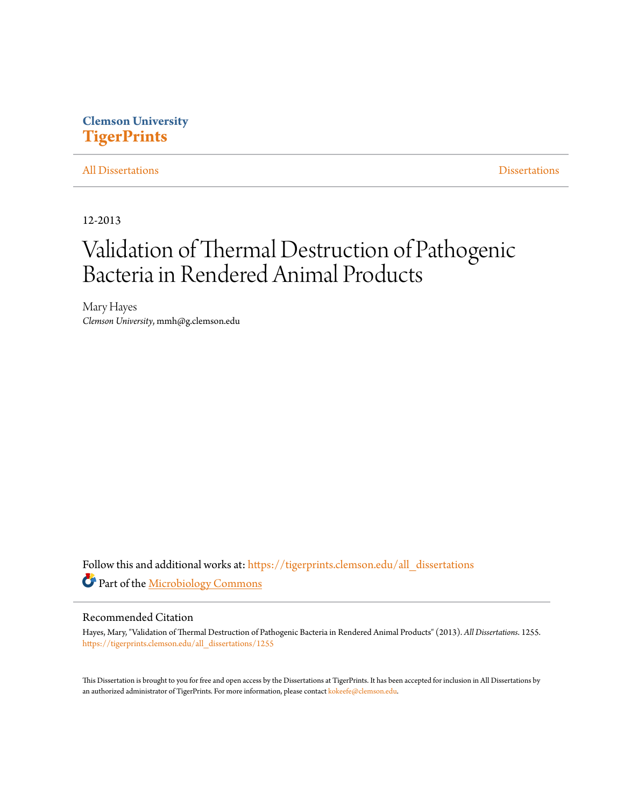### **Clemson University [TigerPrints](https://tigerprints.clemson.edu?utm_source=tigerprints.clemson.edu%2Fall_dissertations%2F1255&utm_medium=PDF&utm_campaign=PDFCoverPages)**

#### [All Dissertations](https://tigerprints.clemson.edu/all_dissertations?utm_source=tigerprints.clemson.edu%2Fall_dissertations%2F1255&utm_medium=PDF&utm_campaign=PDFCoverPages) [Dissertations](https://tigerprints.clemson.edu/dissertations?utm_source=tigerprints.clemson.edu%2Fall_dissertations%2F1255&utm_medium=PDF&utm_campaign=PDFCoverPages)

12-2013

# Validation of Thermal Destruction of Pathogenic Bacteria in Rendered Animal Products

Mary Hayes *Clemson University*, mmh@g.clemson.edu

Follow this and additional works at: [https://tigerprints.clemson.edu/all\\_dissertations](https://tigerprints.clemson.edu/all_dissertations?utm_source=tigerprints.clemson.edu%2Fall_dissertations%2F1255&utm_medium=PDF&utm_campaign=PDFCoverPages) Part of the [Microbiology Commons](http://network.bepress.com/hgg/discipline/48?utm_source=tigerprints.clemson.edu%2Fall_dissertations%2F1255&utm_medium=PDF&utm_campaign=PDFCoverPages)

#### Recommended Citation

Hayes, Mary, "Validation of Thermal Destruction of Pathogenic Bacteria in Rendered Animal Products" (2013). *All Dissertations*. 1255. [https://tigerprints.clemson.edu/all\\_dissertations/1255](https://tigerprints.clemson.edu/all_dissertations/1255?utm_source=tigerprints.clemson.edu%2Fall_dissertations%2F1255&utm_medium=PDF&utm_campaign=PDFCoverPages)

This Dissertation is brought to you for free and open access by the Dissertations at TigerPrints. It has been accepted for inclusion in All Dissertations by an authorized administrator of TigerPrints. For more information, please contact [kokeefe@clemson.edu.](mailto:kokeefe@clemson.edu)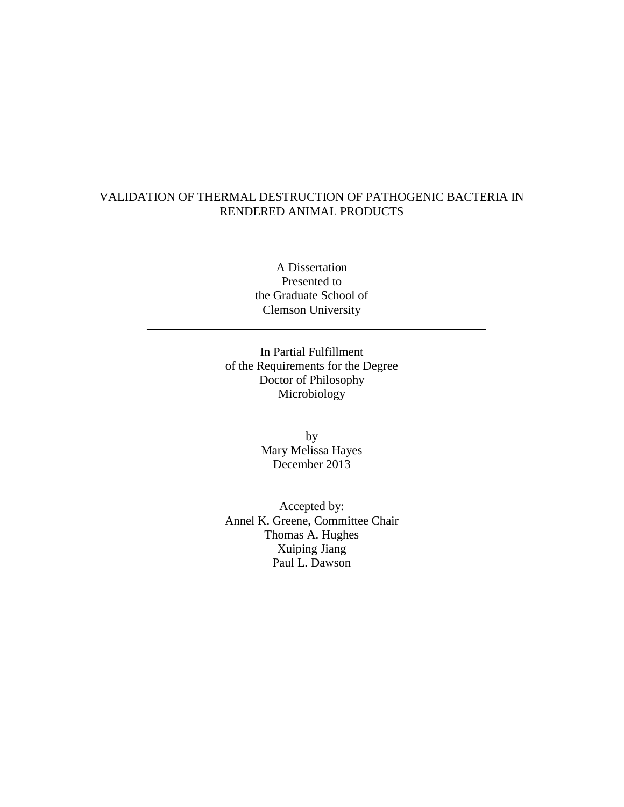### VALIDATION OF THERMAL DESTRUCTION OF PATHOGENIC BACTERIA IN RENDERED ANIMAL PRODUCTS

A Dissertation Presented to the Graduate School of Clemson University

In Partial Fulfillment of the Requirements for the Degree Doctor of Philosophy Microbiology

> by Mary Melissa Hayes December 2013

Accepted by: Annel K. Greene, Committee Chair Thomas A. Hughes Xuiping Jiang Paul L. Dawson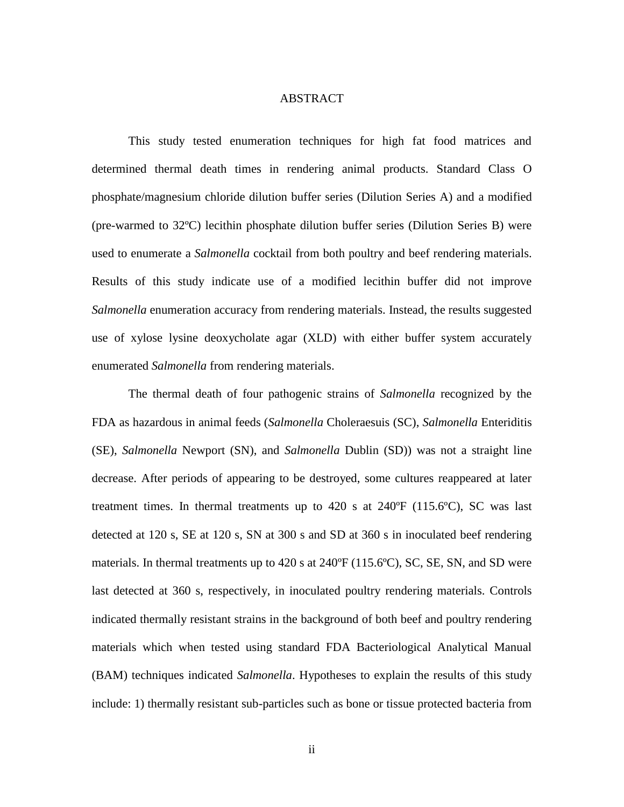#### ABSTRACT

This study tested enumeration techniques for high fat food matrices and determined thermal death times in rendering animal products. Standard Class O phosphate/magnesium chloride dilution buffer series (Dilution Series A) and a modified (pre-warmed to 32ºC) lecithin phosphate dilution buffer series (Dilution Series B) were used to enumerate a *Salmonella* cocktail from both poultry and beef rendering materials. Results of this study indicate use of a modified lecithin buffer did not improve *Salmonella* enumeration accuracy from rendering materials. Instead, the results suggested use of xylose lysine deoxycholate agar (XLD) with either buffer system accurately enumerated *Salmonella* from rendering materials.

The thermal death of four pathogenic strains of *Salmonella* recognized by the FDA as hazardous in animal feeds (*Salmonella* Choleraesuis (SC), *Salmonella* Enteriditis (SE), *Salmonella* Newport (SN), and *Salmonella* Dublin (SD)) was not a straight line decrease. After periods of appearing to be destroyed, some cultures reappeared at later treatment times. In thermal treatments up to  $420$  s at  $240^{\circ}F$  (115.6 $^{\circ}C$ ), SC was last detected at 120 s, SE at 120 s, SN at 300 s and SD at 360 s in inoculated beef rendering materials. In thermal treatments up to  $420$  s at  $240^{\circ}F(115.6^{\circ}C)$ , SC, SE, SN, and SD were last detected at 360 s, respectively, in inoculated poultry rendering materials. Controls indicated thermally resistant strains in the background of both beef and poultry rendering materials which when tested using standard FDA Bacteriological Analytical Manual (BAM) techniques indicated *Salmonella*. Hypotheses to explain the results of this study include: 1) thermally resistant sub-particles such as bone or tissue protected bacteria from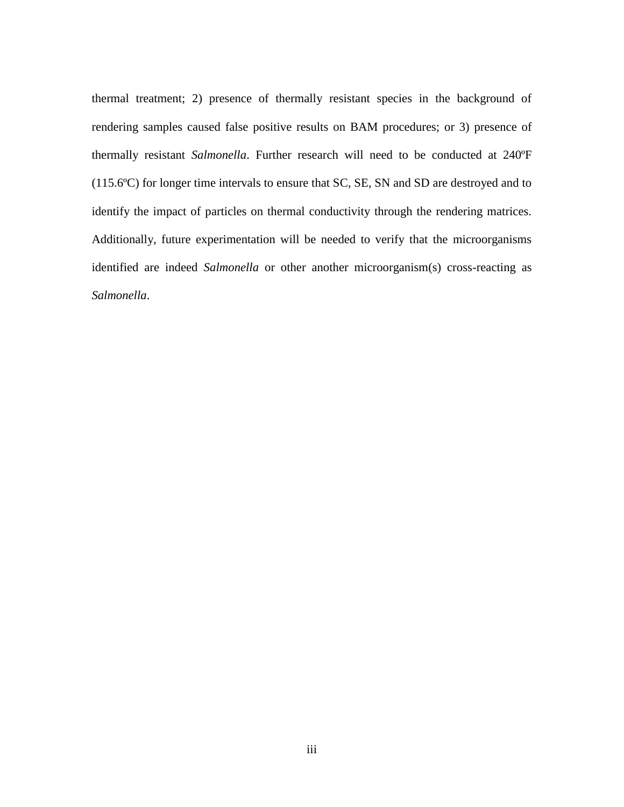thermal treatment; 2) presence of thermally resistant species in the background of rendering samples caused false positive results on BAM procedures; or 3) presence of thermally resistant *Salmonella*. Further research will need to be conducted at 240ºF (115.6ºC) for longer time intervals to ensure that SC, SE, SN and SD are destroyed and to identify the impact of particles on thermal conductivity through the rendering matrices. Additionally, future experimentation will be needed to verify that the microorganisms identified are indeed *Salmonella* or other another microorganism(s) cross-reacting as *Salmonella*.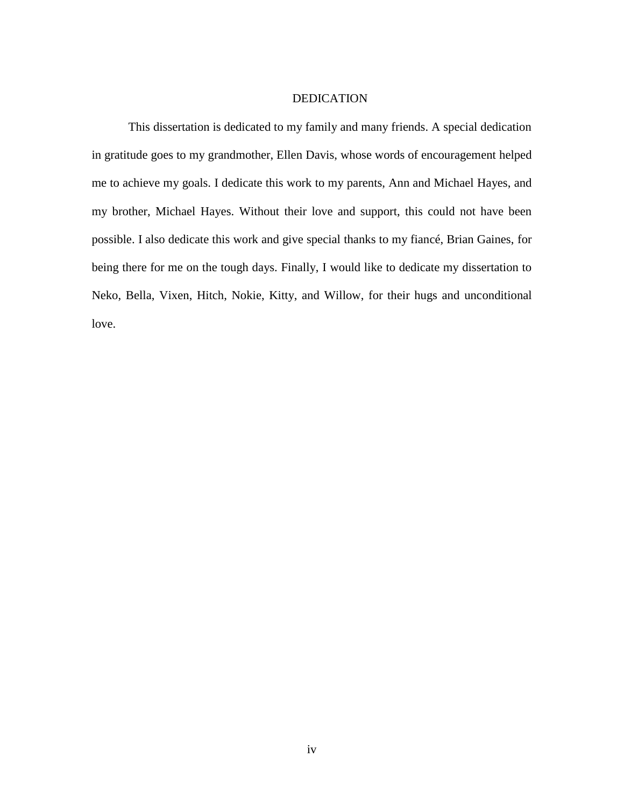#### DEDICATION

This dissertation is dedicated to my family and many friends. A special dedication in gratitude goes to my grandmother, Ellen Davis, whose words of encouragement helped me to achieve my goals. I dedicate this work to my parents, Ann and Michael Hayes, and my brother, Michael Hayes. Without their love and support, this could not have been possible. I also dedicate this work and give special thanks to my fiancé, Brian Gaines, for being there for me on the tough days. Finally, I would like to dedicate my dissertation to Neko, Bella, Vixen, Hitch, Nokie, Kitty, and Willow, for their hugs and unconditional love.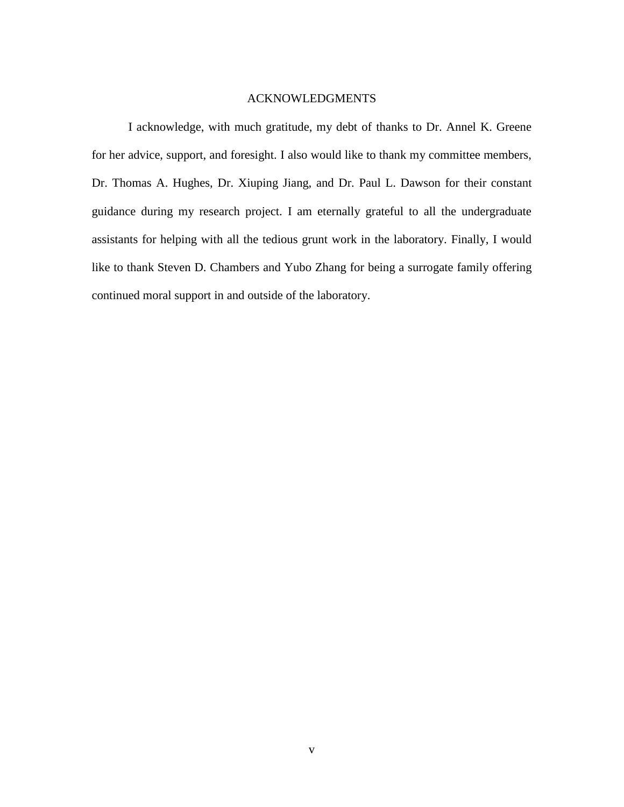#### ACKNOWLEDGMENTS

I acknowledge, with much gratitude, my debt of thanks to Dr. Annel K. Greene for her advice, support, and foresight. I also would like to thank my committee members, Dr. Thomas A. Hughes, Dr. Xiuping Jiang, and Dr. Paul L. Dawson for their constant guidance during my research project. I am eternally grateful to all the undergraduate assistants for helping with all the tedious grunt work in the laboratory. Finally, I would like to thank Steven D. Chambers and Yubo Zhang for being a surrogate family offering continued moral support in and outside of the laboratory.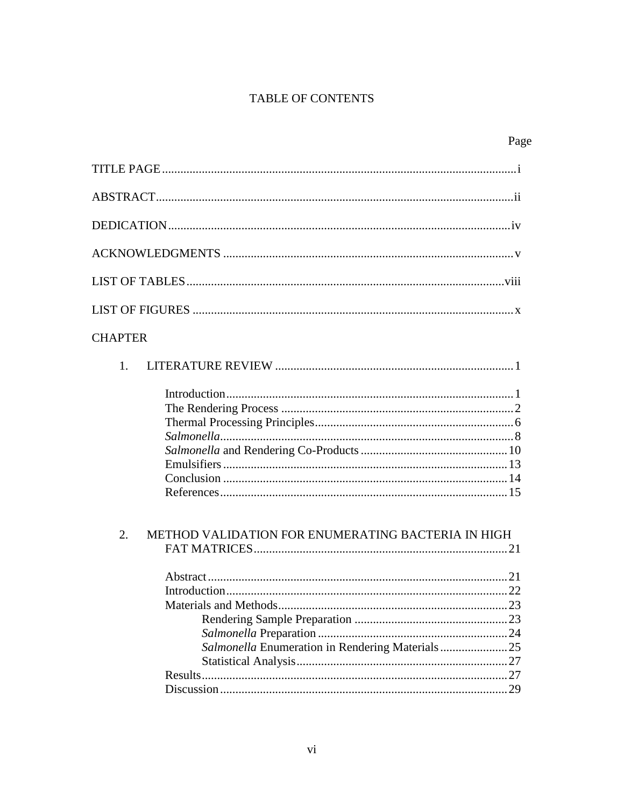### TABLE OF CONTENTS

Page

| <b>CHAPTER</b>                                           |  |
|----------------------------------------------------------|--|
| 1.                                                       |  |
|                                                          |  |
| 2.<br>METHOD VALIDATION FOR ENUMERATING BACTERIA IN HIGH |  |
| Salmonella Enumeration in Rendering Materials 25         |  |
|                                                          |  |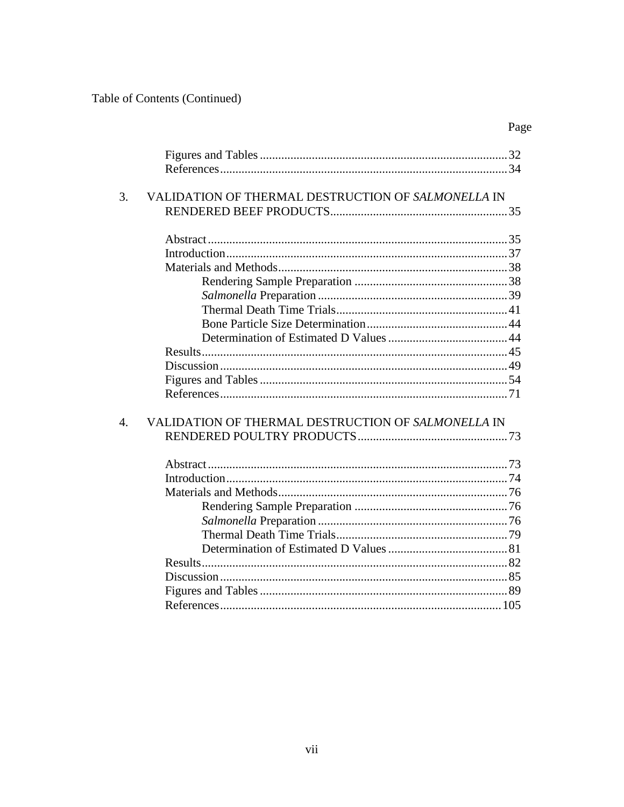Table of Contents (Continued)

| 3.               | VALIDATION OF THERMAL DESTRUCTION OF SALMONELLA IN |  |
|------------------|----------------------------------------------------|--|
|                  |                                                    |  |
|                  |                                                    |  |
|                  |                                                    |  |
|                  |                                                    |  |
|                  |                                                    |  |
|                  |                                                    |  |
|                  |                                                    |  |
|                  |                                                    |  |
|                  |                                                    |  |
|                  |                                                    |  |
|                  |                                                    |  |
|                  |                                                    |  |
|                  |                                                    |  |
|                  |                                                    |  |
| $\overline{4}$ . | VALIDATION OF THERMAL DESTRUCTION OF SALMONELLA IN |  |
|                  |                                                    |  |
|                  |                                                    |  |
|                  |                                                    |  |
|                  |                                                    |  |
|                  |                                                    |  |
|                  |                                                    |  |
|                  |                                                    |  |
|                  |                                                    |  |
|                  |                                                    |  |
|                  |                                                    |  |
|                  |                                                    |  |
|                  |                                                    |  |
|                  |                                                    |  |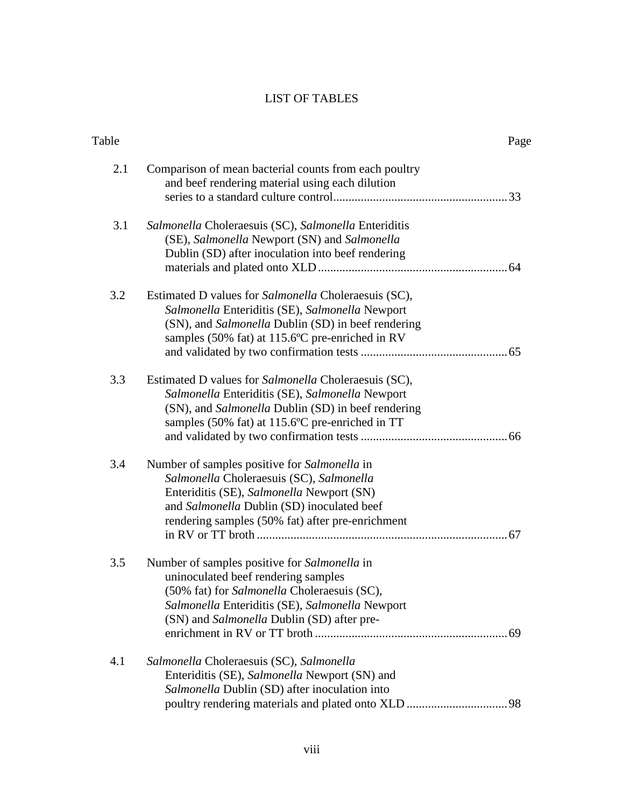### LIST OF TABLES

| Table |                                                                                                                                                                                                                                         | Page |
|-------|-----------------------------------------------------------------------------------------------------------------------------------------------------------------------------------------------------------------------------------------|------|
| 2.1   | Comparison of mean bacterial counts from each poultry<br>and beef rendering material using each dilution                                                                                                                                |      |
| 3.1   | Salmonella Choleraesuis (SC), Salmonella Enteriditis<br>(SE), Salmonella Newport (SN) and Salmonella<br>Dublin (SD) after inoculation into beef rendering                                                                               |      |
| 3.2   | Estimated D values for Salmonella Choleraesuis (SC),<br>Salmonella Enteriditis (SE), Salmonella Newport<br>(SN), and <i>Salmonella</i> Dublin (SD) in beef rendering<br>samples (50% fat) at 115.6°C pre-enriched in RV                 |      |
| 3.3   | Estimated D values for Salmonella Choleraesuis (SC),<br>Salmonella Enteriditis (SE), Salmonella Newport<br>(SN), and Salmonella Dublin (SD) in beef rendering<br>samples (50% fat) at 115.6°C pre-enriched in TT                        |      |
| 3.4   | Number of samples positive for Salmonella in<br>Salmonella Choleraesuis (SC), Salmonella<br>Enteriditis (SE), Salmonella Newport (SN)<br>and Salmonella Dublin (SD) inoculated beef<br>rendering samples (50% fat) after pre-enrichment |      |
| 3.5   | Number of samples positive for Salmonella in<br>uninoculated beef rendering samples<br>(50% fat) for Salmonella Choleraesuis (SC),<br>Salmonella Enteriditis (SE), Salmonella Newport<br>(SN) and Salmonella Dublin (SD) after pre-     |      |
| 4.1   | Salmonella Choleraesuis (SC), Salmonella<br>Enteriditis (SE), Salmonella Newport (SN) and<br>Salmonella Dublin (SD) after inoculation into                                                                                              |      |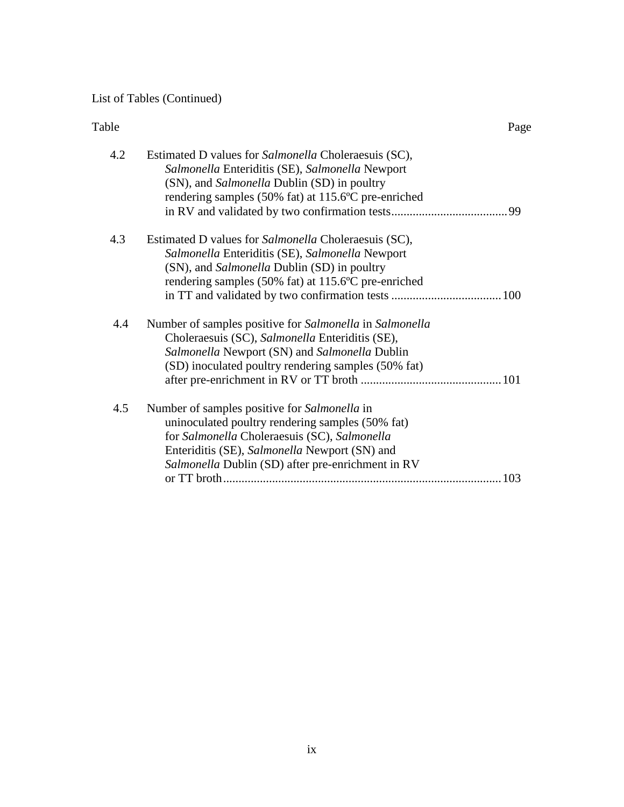## List of Tables (Continued)

| Table | Page                                                                                                                                                                                                                                                   |
|-------|--------------------------------------------------------------------------------------------------------------------------------------------------------------------------------------------------------------------------------------------------------|
| 4.2   | Estimated D values for <i>Salmonella</i> Choleraesuis (SC),<br>Salmonella Enteriditis (SE), Salmonella Newport<br>(SN), and Salmonella Dublin (SD) in poultry<br>rendering samples (50% fat) at 115.6°C pre-enriched                                   |
| 4.3   | Estimated D values for <i>Salmonella</i> Choleraesuis (SC),<br>Salmonella Enteriditis (SE), Salmonella Newport<br>(SN), and Salmonella Dublin (SD) in poultry<br>rendering samples (50% fat) at 115.6°C pre-enriched                                   |
| 4.4   | Number of samples positive for Salmonella in Salmonella<br>Choleraesuis (SC), Salmonella Enteriditis (SE),<br>Salmonella Newport (SN) and Salmonella Dublin<br>(SD) inoculated poultry rendering samples (50% fat)                                     |
| 4.5   | Number of samples positive for Salmonella in<br>uninoculated poultry rendering samples (50% fat)<br>for Salmonella Choleraesuis (SC), Salmonella<br>Enteriditis (SE), Salmonella Newport (SN) and<br>Salmonella Dublin (SD) after pre-enrichment in RV |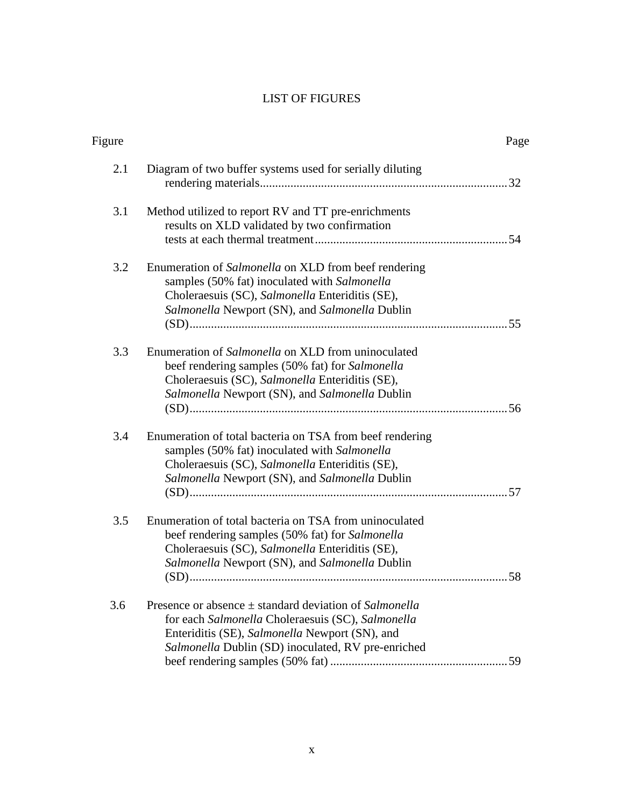### LIST OF FIGURES

| Figure |                                                                                                                                                                                                                         | Page |
|--------|-------------------------------------------------------------------------------------------------------------------------------------------------------------------------------------------------------------------------|------|
| 2.1    | Diagram of two buffer systems used for serially diluting                                                                                                                                                                |      |
| 3.1    | Method utilized to report RV and TT pre-enrichments<br>results on XLD validated by two confirmation                                                                                                                     |      |
| 3.2    | Enumeration of Salmonella on XLD from beef rendering<br>samples (50% fat) inoculated with Salmonella<br>Choleraesuis (SC), Salmonella Enteriditis (SE),<br>Salmonella Newport (SN), and Salmonella Dublin               |      |
| 3.3    | Enumeration of Salmonella on XLD from uninoculated<br>beef rendering samples (50% fat) for Salmonella<br>Choleraesuis (SC), Salmonella Enteriditis (SE),<br>Salmonella Newport (SN), and Salmonella Dublin              |      |
| 3.4    | Enumeration of total bacteria on TSA from beef rendering<br>samples (50% fat) inoculated with Salmonella<br>Choleraesuis (SC), Salmonella Enteriditis (SE),<br>Salmonella Newport (SN), and Salmonella Dublin           |      |
| 3.5    | Enumeration of total bacteria on TSA from uninoculated<br>beef rendering samples (50% fat) for Salmonella<br>Choleraesuis (SC), Salmonella Enteriditis (SE),<br>Salmonella Newport (SN), and Salmonella Dublin          |      |
| 3.6    | Presence or absence $\pm$ standard deviation of Salmonella<br>for each Salmonella Choleraesuis (SC), Salmonella<br>Enteriditis (SE), Salmonella Newport (SN), and<br>Salmonella Dublin (SD) inoculated, RV pre-enriched |      |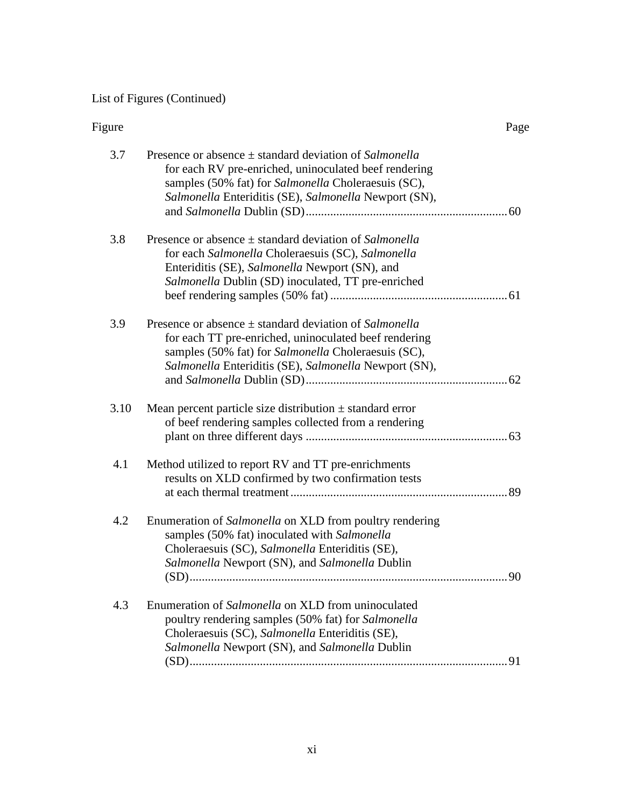# List of Figures (Continued)

| Figure |                                                                                                                                                                                                                                     | Page |
|--------|-------------------------------------------------------------------------------------------------------------------------------------------------------------------------------------------------------------------------------------|------|
| 3.7    | Presence or absence $\pm$ standard deviation of Salmonella<br>for each RV pre-enriched, uninoculated beef rendering<br>samples (50% fat) for Salmonella Choleraesuis (SC),<br>Salmonella Enteriditis (SE), Salmonella Newport (SN), |      |
| 3.8    | Presence or absence $\pm$ standard deviation of Salmonella<br>for each Salmonella Choleraesuis (SC), Salmonella<br>Enteriditis (SE), Salmonella Newport (SN), and<br>Salmonella Dublin (SD) inoculated, TT pre-enriched             |      |
| 3.9    | Presence or absence $\pm$ standard deviation of Salmonella<br>for each TT pre-enriched, uninoculated beef rendering<br>samples (50% fat) for Salmonella Choleraesuis (SC),<br>Salmonella Enteriditis (SE), Salmonella Newport (SN), |      |
| 3.10   | Mean percent particle size distribution $\pm$ standard error<br>of beef rendering samples collected from a rendering                                                                                                                |      |
| 4.1    | Method utilized to report RV and TT pre-enrichments<br>results on XLD confirmed by two confirmation tests                                                                                                                           |      |
| 4.2    | Enumeration of Salmonella on XLD from poultry rendering<br>samples (50% fat) inoculated with Salmonella<br>Choleraesuis (SC), Salmonella Enteriditis (SE),<br>Salmonella Newport (SN), and Salmonella Dublin                        |      |
| 4.3    | Enumeration of Salmonella on XLD from uninoculated<br>poultry rendering samples (50% fat) for Salmonella<br>Choleraesuis (SC), Salmonella Enteriditis (SE),<br>Salmonella Newport (SN), and Salmonella Dublin                       |      |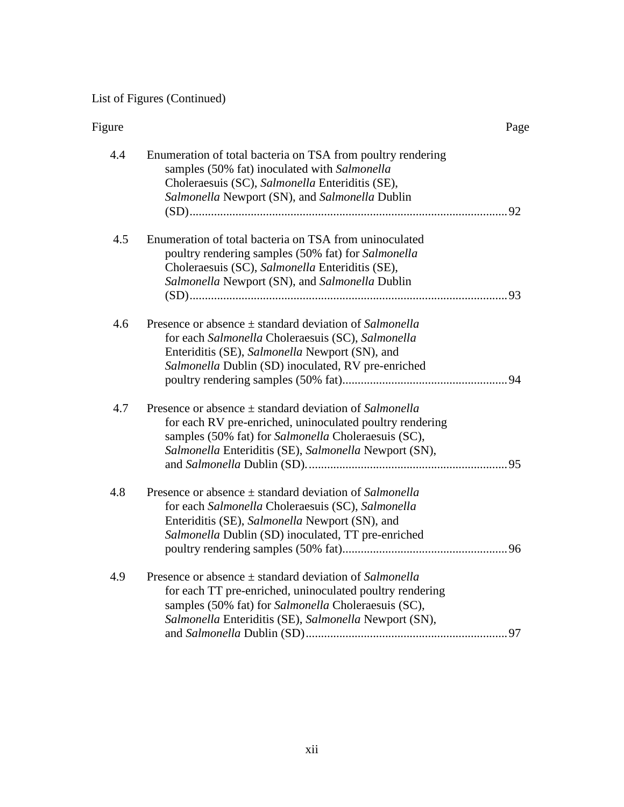# List of Figures (Continued)

| Figure |                                                                                                                                                                                                                                        | Page |
|--------|----------------------------------------------------------------------------------------------------------------------------------------------------------------------------------------------------------------------------------------|------|
| 4.4    | Enumeration of total bacteria on TSA from poultry rendering<br>samples (50% fat) inoculated with Salmonella<br>Choleraesuis (SC), Salmonella Enteriditis (SE),<br>Salmonella Newport (SN), and Salmonella Dublin                       |      |
| 4.5    | Enumeration of total bacteria on TSA from uninoculated<br>poultry rendering samples (50% fat) for Salmonella<br>Choleraesuis (SC), Salmonella Enteriditis (SE),<br>Salmonella Newport (SN), and Salmonella Dublin                      |      |
| 4.6    | Presence or absence $\pm$ standard deviation of Salmonella<br>for each Salmonella Choleraesuis (SC), Salmonella<br>Enteriditis (SE), Salmonella Newport (SN), and<br>Salmonella Dublin (SD) inoculated, RV pre-enriched                |      |
| 4.7    | Presence or absence $\pm$ standard deviation of Salmonella<br>for each RV pre-enriched, uninoculated poultry rendering<br>samples (50% fat) for Salmonella Choleraesuis (SC),<br>Salmonella Enteriditis (SE), Salmonella Newport (SN), |      |
| 4.8    | Presence or absence $\pm$ standard deviation of Salmonella<br>for each Salmonella Choleraesuis (SC), Salmonella<br>Enteriditis (SE), Salmonella Newport (SN), and<br>Salmonella Dublin (SD) inoculated, TT pre-enriched                |      |
| 4.9    | Presence or absence $\pm$ standard deviation of Salmonella<br>for each TT pre-enriched, uninoculated poultry rendering<br>samples (50% fat) for Salmonella Choleraesuis (SC),<br>Salmonella Enteriditis (SE), Salmonella Newport (SN), |      |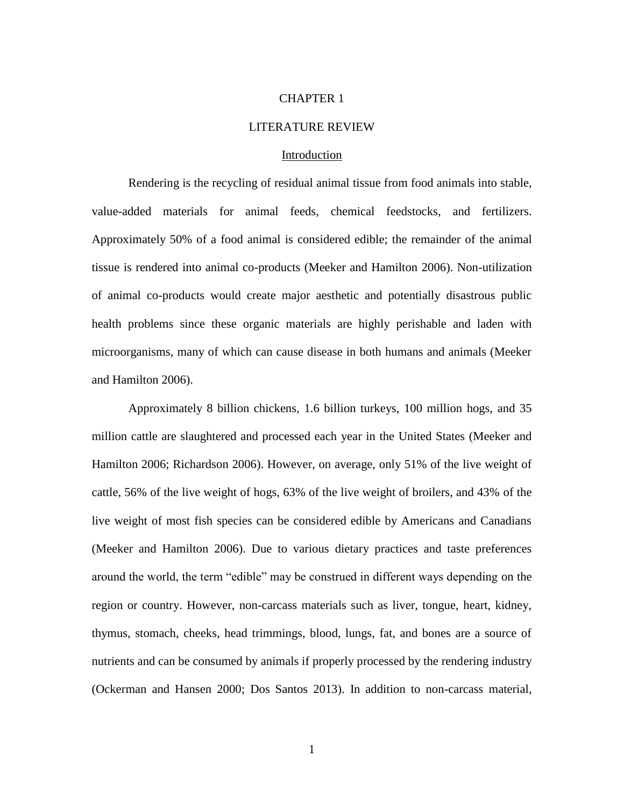#### CHAPTER 1

#### LITERATURE REVIEW

#### **Introduction**

Rendering is the recycling of residual animal tissue from food animals into stable, value-added materials for animal feeds, chemical feedstocks, and fertilizers. Approximately 50% of a food animal is considered edible; the remainder of the animal tissue is rendered into animal co-products (Meeker and Hamilton 2006). Non-utilization of animal co-products would create major aesthetic and potentially disastrous public health problems since these organic materials are highly perishable and laden with microorganisms, many of which can cause disease in both humans and animals (Meeker and Hamilton 2006).

Approximately 8 billion chickens, 1.6 billion turkeys, 100 million hogs, and 35 million cattle are slaughtered and processed each year in the United States (Meeker and Hamilton 2006; Richardson 2006). However, on average, only 51% of the live weight of cattle, 56% of the live weight of hogs, 63% of the live weight of broilers, and 43% of the live weight of most fish species can be considered edible by Americans and Canadians (Meeker and Hamilton 2006). Due to various dietary practices and taste preferences around the world, the term "edible" may be construed in different ways depending on the region or country. However, non-carcass materials such as liver, tongue, heart, kidney, thymus, stomach, cheeks, head trimmings, blood, lungs, fat, and bones are a source of nutrients and can be consumed by animals if properly processed by the rendering industry (Ockerman and Hansen 2000; Dos Santos 2013). In addition to non-carcass material,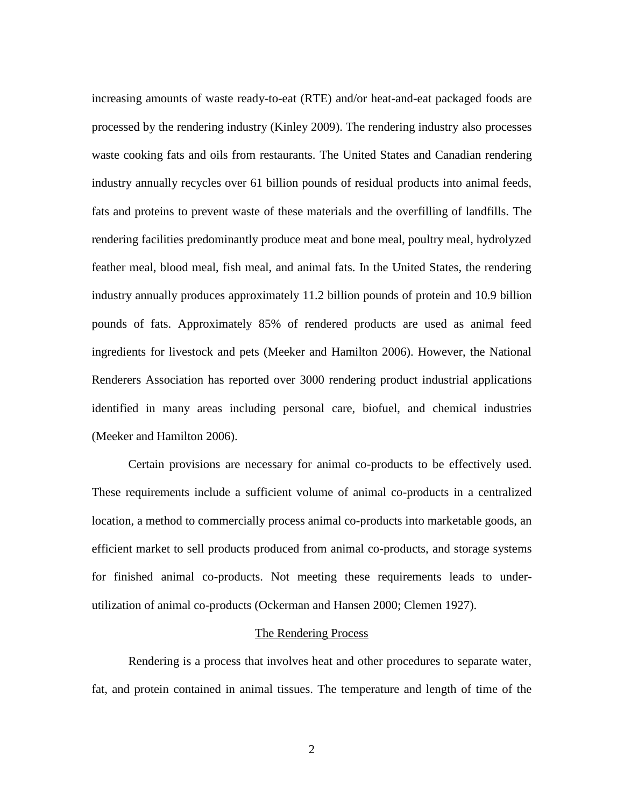increasing amounts of waste ready-to-eat (RTE) and/or heat-and-eat packaged foods are processed by the rendering industry (Kinley 2009). The rendering industry also processes waste cooking fats and oils from restaurants. The United States and Canadian rendering industry annually recycles over 61 billion pounds of residual products into animal feeds, fats and proteins to prevent waste of these materials and the overfilling of landfills. The rendering facilities predominantly produce meat and bone meal, poultry meal, hydrolyzed feather meal, blood meal, fish meal, and animal fats. In the United States, the rendering industry annually produces approximately 11.2 billion pounds of protein and 10.9 billion pounds of fats. Approximately 85% of rendered products are used as animal feed ingredients for livestock and pets (Meeker and Hamilton 2006). However, the National Renderers Association has reported over 3000 rendering product industrial applications identified in many areas including personal care, biofuel, and chemical industries (Meeker and Hamilton 2006).

Certain provisions are necessary for animal co-products to be effectively used. These requirements include a sufficient volume of animal co-products in a centralized location, a method to commercially process animal co-products into marketable goods, an efficient market to sell products produced from animal co-products, and storage systems for finished animal co-products. Not meeting these requirements leads to underutilization of animal co-products (Ockerman and Hansen 2000; Clemen 1927).

#### The Rendering Process

Rendering is a process that involves heat and other procedures to separate water, fat, and protein contained in animal tissues. The temperature and length of time of the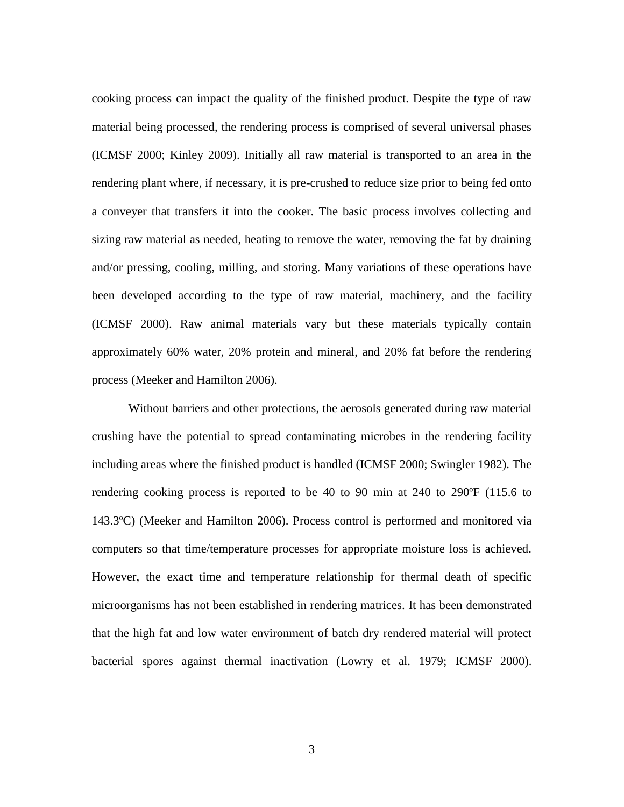cooking process can impact the quality of the finished product. Despite the type of raw material being processed, the rendering process is comprised of several universal phases (ICMSF 2000; Kinley 2009). Initially all raw material is transported to an area in the rendering plant where, if necessary, it is pre-crushed to reduce size prior to being fed onto a conveyer that transfers it into the cooker. The basic process involves collecting and sizing raw material as needed, heating to remove the water, removing the fat by draining and/or pressing, cooling, milling, and storing. Many variations of these operations have been developed according to the type of raw material, machinery, and the facility (ICMSF 2000). Raw animal materials vary but these materials typically contain approximately 60% water, 20% protein and mineral, and 20% fat before the rendering process (Meeker and Hamilton 2006).

Without barriers and other protections, the aerosols generated during raw material crushing have the potential to spread contaminating microbes in the rendering facility including areas where the finished product is handled (ICMSF 2000; Swingler 1982). The rendering cooking process is reported to be 40 to 90 min at 240 to 290ºF (115.6 to 143.3ºC) (Meeker and Hamilton 2006). Process control is performed and monitored via computers so that time/temperature processes for appropriate moisture loss is achieved. However, the exact time and temperature relationship for thermal death of specific microorganisms has not been established in rendering matrices. It has been demonstrated that the high fat and low water environment of batch dry rendered material will protect bacterial spores against thermal inactivation (Lowry et al. 1979; ICMSF 2000).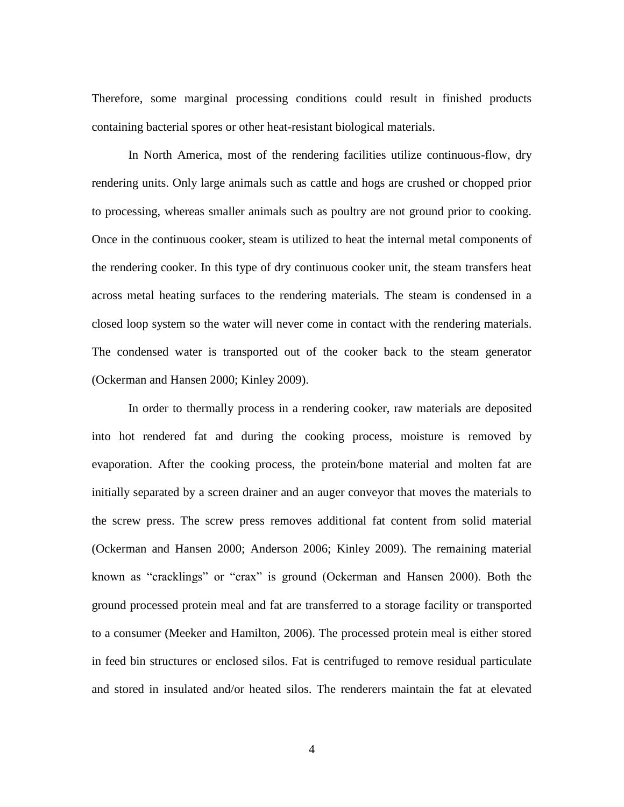Therefore, some marginal processing conditions could result in finished products containing bacterial spores or other heat-resistant biological materials.

In North America, most of the rendering facilities utilize continuous-flow, dry rendering units. Only large animals such as cattle and hogs are crushed or chopped prior to processing, whereas smaller animals such as poultry are not ground prior to cooking. Once in the continuous cooker, steam is utilized to heat the internal metal components of the rendering cooker. In this type of dry continuous cooker unit, the steam transfers heat across metal heating surfaces to the rendering materials. The steam is condensed in a closed loop system so the water will never come in contact with the rendering materials. The condensed water is transported out of the cooker back to the steam generator (Ockerman and Hansen 2000; Kinley 2009).

In order to thermally process in a rendering cooker, raw materials are deposited into hot rendered fat and during the cooking process, moisture is removed by evaporation. After the cooking process, the protein/bone material and molten fat are initially separated by a screen drainer and an auger conveyor that moves the materials to the screw press. The screw press removes additional fat content from solid material (Ockerman and Hansen 2000; Anderson 2006; Kinley 2009). The remaining material known as "cracklings" or "crax" is ground (Ockerman and Hansen 2000). Both the ground processed protein meal and fat are transferred to a storage facility or transported to a consumer (Meeker and Hamilton, 2006). The processed protein meal is either stored in feed bin structures or enclosed silos. Fat is centrifuged to remove residual particulate and stored in insulated and/or heated silos. The renderers maintain the fat at elevated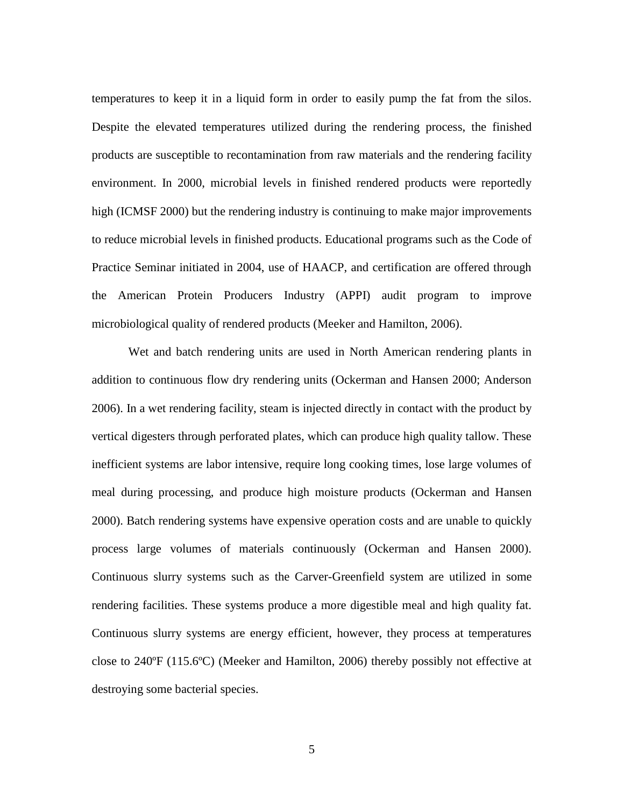temperatures to keep it in a liquid form in order to easily pump the fat from the silos. Despite the elevated temperatures utilized during the rendering process, the finished products are susceptible to recontamination from raw materials and the rendering facility environment. In 2000, microbial levels in finished rendered products were reportedly high (ICMSF 2000) but the rendering industry is continuing to make major improvements to reduce microbial levels in finished products. Educational programs such as the Code of Practice Seminar initiated in 2004, use of HAACP, and certification are offered through the American Protein Producers Industry (APPI) audit program to improve microbiological quality of rendered products (Meeker and Hamilton, 2006).

Wet and batch rendering units are used in North American rendering plants in addition to continuous flow dry rendering units (Ockerman and Hansen 2000; Anderson 2006). In a wet rendering facility, steam is injected directly in contact with the product by vertical digesters through perforated plates, which can produce high quality tallow. These inefficient systems are labor intensive, require long cooking times, lose large volumes of meal during processing, and produce high moisture products (Ockerman and Hansen 2000). Batch rendering systems have expensive operation costs and are unable to quickly process large volumes of materials continuously (Ockerman and Hansen 2000). Continuous slurry systems such as the Carver-Greenfield system are utilized in some rendering facilities. These systems produce a more digestible meal and high quality fat. Continuous slurry systems are energy efficient, however, they process at temperatures close to 240ºF (115.6ºC) (Meeker and Hamilton, 2006) thereby possibly not effective at destroying some bacterial species.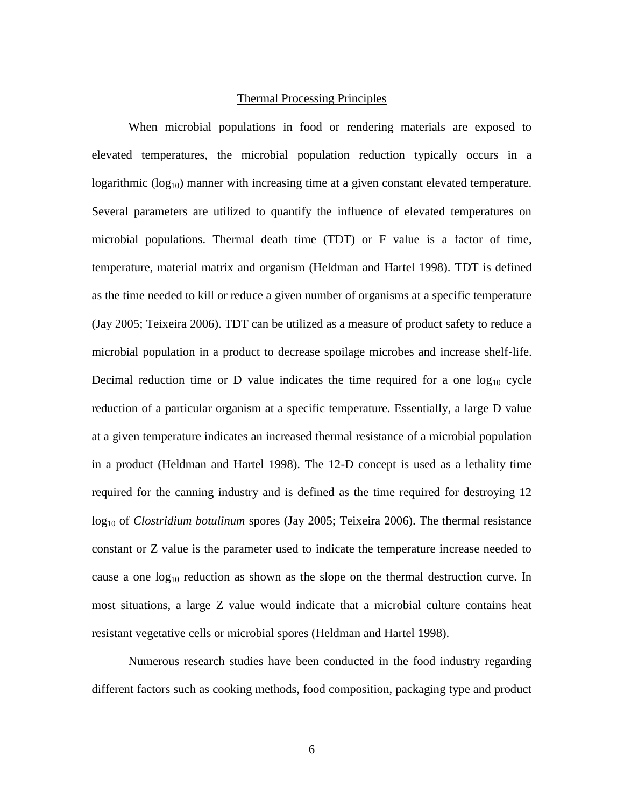#### Thermal Processing Principles

When microbial populations in food or rendering materials are exposed to elevated temperatures, the microbial population reduction typically occurs in a logarithmic  $(log_{10})$  manner with increasing time at a given constant elevated temperature. Several parameters are utilized to quantify the influence of elevated temperatures on microbial populations. Thermal death time (TDT) or F value is a factor of time, temperature, material matrix and organism (Heldman and Hartel 1998). TDT is defined as the time needed to kill or reduce a given number of organisms at a specific temperature (Jay 2005; Teixeira 2006). TDT can be utilized as a measure of product safety to reduce a microbial population in a product to decrease spoilage microbes and increase shelf-life. Decimal reduction time or D value indicates the time required for a one  $log_{10}$  cycle reduction of a particular organism at a specific temperature. Essentially, a large D value at a given temperature indicates an increased thermal resistance of a microbial population in a product (Heldman and Hartel 1998). The 12-D concept is used as a lethality time required for the canning industry and is defined as the time required for destroying 12 log<sub>10</sub> of *Clostridium botulinum* spores (Jay 2005; Teixeira 2006). The thermal resistance constant or Z value is the parameter used to indicate the temperature increase needed to cause a one  $log_{10}$  reduction as shown as the slope on the thermal destruction curve. In most situations, a large Z value would indicate that a microbial culture contains heat resistant vegetative cells or microbial spores (Heldman and Hartel 1998).

Numerous research studies have been conducted in the food industry regarding different factors such as cooking methods, food composition, packaging type and product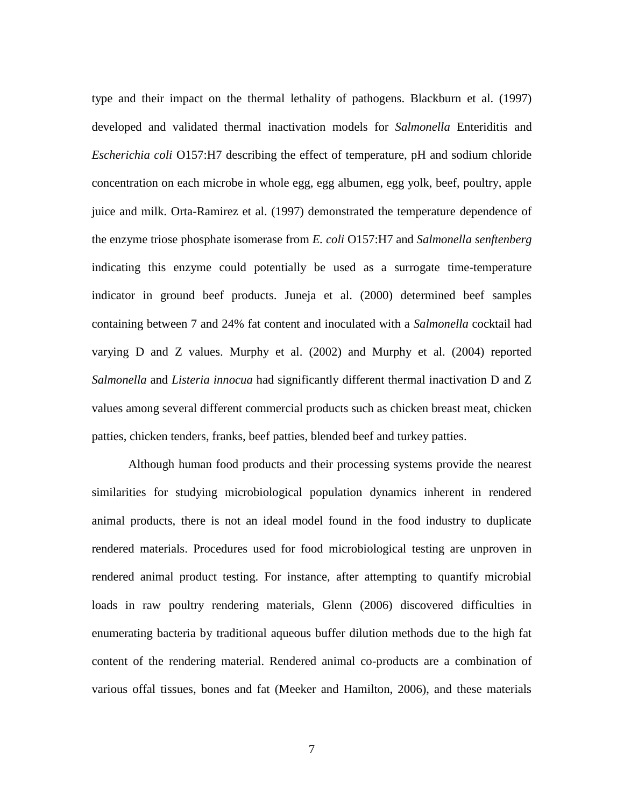type and their impact on the thermal lethality of pathogens. Blackburn et al. (1997) developed and validated thermal inactivation models for *Salmonella* Enteriditis and *Escherichia coli* O157:H7 describing the effect of temperature, pH and sodium chloride concentration on each microbe in whole egg, egg albumen, egg yolk, beef, poultry, apple juice and milk. Orta-Ramirez et al. (1997) demonstrated the temperature dependence of the enzyme triose phosphate isomerase from *E. coli* O157:H7 and *Salmonella senftenberg* indicating this enzyme could potentially be used as a surrogate time-temperature indicator in ground beef products. Juneja et al. (2000) determined beef samples containing between 7 and 24% fat content and inoculated with a *Salmonella* cocktail had varying D and Z values. Murphy et al. (2002) and Murphy et al. (2004) reported *Salmonella* and *Listeria innocua* had significantly different thermal inactivation D and Z values among several different commercial products such as chicken breast meat, chicken patties, chicken tenders, franks, beef patties, blended beef and turkey patties.

Although human food products and their processing systems provide the nearest similarities for studying microbiological population dynamics inherent in rendered animal products, there is not an ideal model found in the food industry to duplicate rendered materials. Procedures used for food microbiological testing are unproven in rendered animal product testing. For instance, after attempting to quantify microbial loads in raw poultry rendering materials, Glenn (2006) discovered difficulties in enumerating bacteria by traditional aqueous buffer dilution methods due to the high fat content of the rendering material. Rendered animal co-products are a combination of various offal tissues, bones and fat (Meeker and Hamilton, 2006), and these materials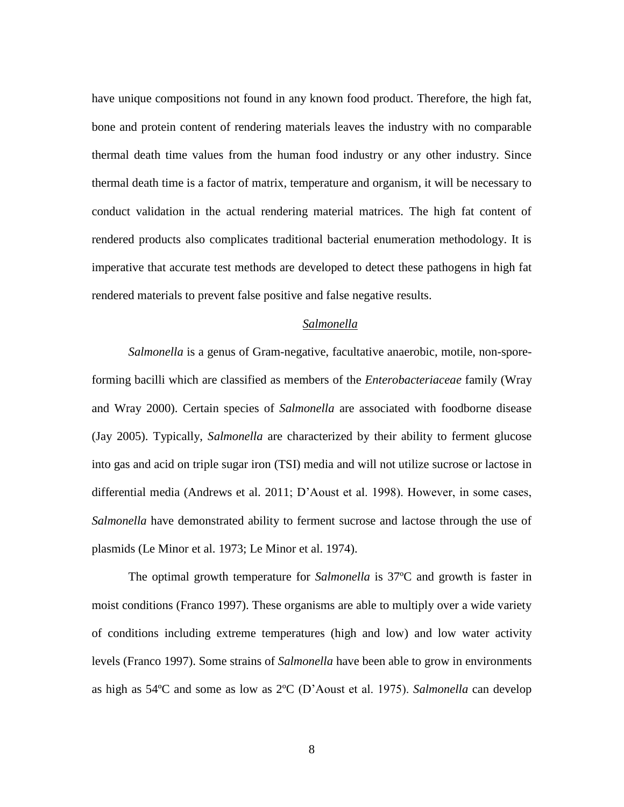have unique compositions not found in any known food product. Therefore, the high fat, bone and protein content of rendering materials leaves the industry with no comparable thermal death time values from the human food industry or any other industry. Since thermal death time is a factor of matrix, temperature and organism, it will be necessary to conduct validation in the actual rendering material matrices. The high fat content of rendered products also complicates traditional bacterial enumeration methodology. It is imperative that accurate test methods are developed to detect these pathogens in high fat rendered materials to prevent false positive and false negative results.

#### *Salmonella*

*Salmonella* is a genus of Gram-negative, facultative anaerobic, motile, non-sporeforming bacilli which are classified as members of the *Enterobacteriaceae* family (Wray and Wray 2000). Certain species of *Salmonella* are associated with foodborne disease (Jay 2005). Typically, *Salmonella* are characterized by their ability to ferment glucose into gas and acid on triple sugar iron (TSI) media and will not utilize sucrose or lactose in differential media (Andrews et al. 2011; D'Aoust et al. 1998). However, in some cases, *Salmonella* have demonstrated ability to ferment sucrose and lactose through the use of plasmids (Le Minor et al. 1973; Le Minor et al. 1974).

The optimal growth temperature for *Salmonella* is 37ºC and growth is faster in moist conditions (Franco 1997). These organisms are able to multiply over a wide variety of conditions including extreme temperatures (high and low) and low water activity levels (Franco 1997). Some strains of *Salmonella* have been able to grow in environments as high as 54ºC and some as low as 2ºC (D'Aoust et al. 1975). *Salmonella* can develop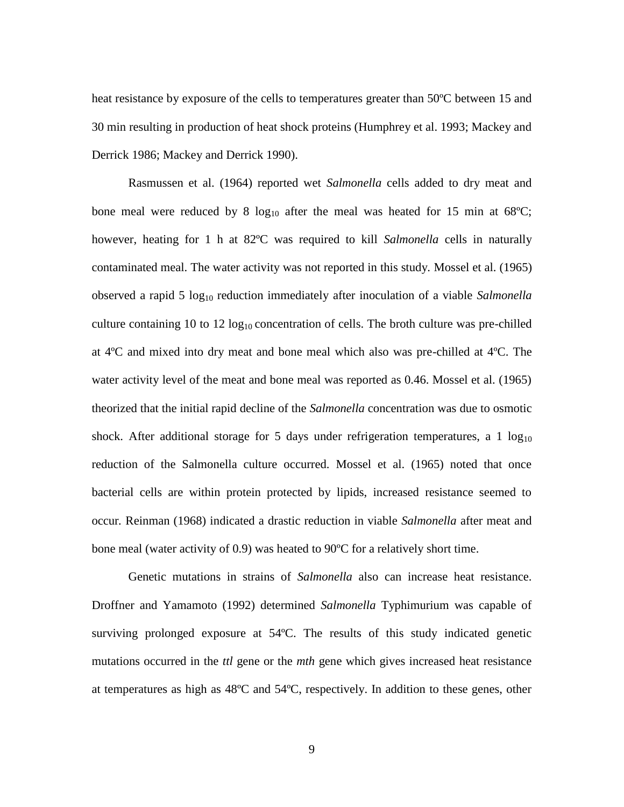heat resistance by exposure of the cells to temperatures greater than 50ºC between 15 and 30 min resulting in production of heat shock proteins (Humphrey et al. 1993; Mackey and Derrick 1986; Mackey and Derrick 1990).

Rasmussen et al. (1964) reported wet *Salmonella* cells added to dry meat and bone meal were reduced by 8  $log_{10}$  after the meal was heated for 15 min at 68°C; however, heating for 1 h at 82ºC was required to kill *Salmonella* cells in naturally contaminated meal. The water activity was not reported in this study. Mossel et al. (1965) observed a rapid 5 log<sup>10</sup> reduction immediately after inoculation of a viable *Salmonella* culture containing 10 to 12  $log_{10}$  concentration of cells. The broth culture was pre-chilled at 4ºC and mixed into dry meat and bone meal which also was pre-chilled at 4ºC. The water activity level of the meat and bone meal was reported as 0.46. Mossel et al. (1965) theorized that the initial rapid decline of the *Salmonella* concentration was due to osmotic shock. After additional storage for 5 days under refrigeration temperatures, a 1  $log_{10}$ reduction of the Salmonella culture occurred. Mossel et al. (1965) noted that once bacterial cells are within protein protected by lipids, increased resistance seemed to occur*.* Reinman (1968) indicated a drastic reduction in viable *Salmonella* after meat and bone meal (water activity of 0.9) was heated to 90ºC for a relatively short time.

Genetic mutations in strains of *Salmonella* also can increase heat resistance. Droffner and Yamamoto (1992) determined *Salmonella* Typhimurium was capable of surviving prolonged exposure at 54ºC. The results of this study indicated genetic mutations occurred in the *ttl* gene or the *mth* gene which gives increased heat resistance at temperatures as high as 48ºC and 54ºC, respectively. In addition to these genes, other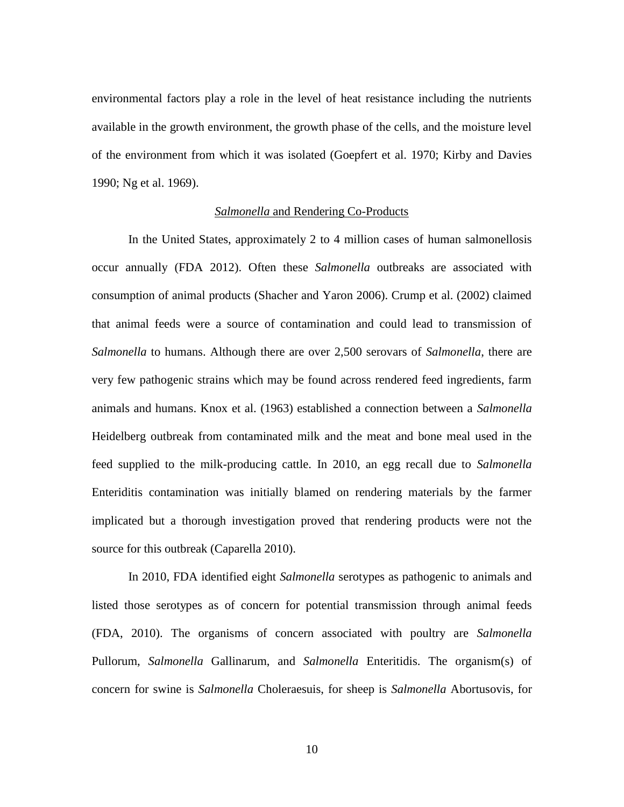environmental factors play a role in the level of heat resistance including the nutrients available in the growth environment, the growth phase of the cells, and the moisture level of the environment from which it was isolated (Goepfert et al. 1970; Kirby and Davies 1990; Ng et al. 1969).

#### *Salmonella* and Rendering Co-Products

In the United States, approximately 2 to 4 million cases of human salmonellosis occur annually (FDA 2012). Often these *Salmonella* outbreaks are associated with consumption of animal products (Shacher and Yaron 2006). Crump et al. (2002) claimed that animal feeds were a source of contamination and could lead to transmission of *Salmonella* to humans. Although there are over 2,500 serovars of *Salmonella*, there are very few pathogenic strains which may be found across rendered feed ingredients, farm animals and humans. Knox et al. (1963) established a connection between a *Salmonella* Heidelberg outbreak from contaminated milk and the meat and bone meal used in the feed supplied to the milk-producing cattle. In 2010, an egg recall due to *Salmonella* Enteriditis contamination was initially blamed on rendering materials by the farmer implicated but a thorough investigation proved that rendering products were not the source for this outbreak (Caparella 2010).

In 2010, FDA identified eight *Salmonella* serotypes as pathogenic to animals and listed those serotypes as of concern for potential transmission through animal feeds (FDA, 2010). The organisms of concern associated with poultry are *Salmonella* Pullorum, *Salmonella* Gallinarum, and *Salmonella* Enteritidis. The organism(s) of concern for swine is *Salmonella* Choleraesuis, for sheep is *Salmonella* Abortusovis, for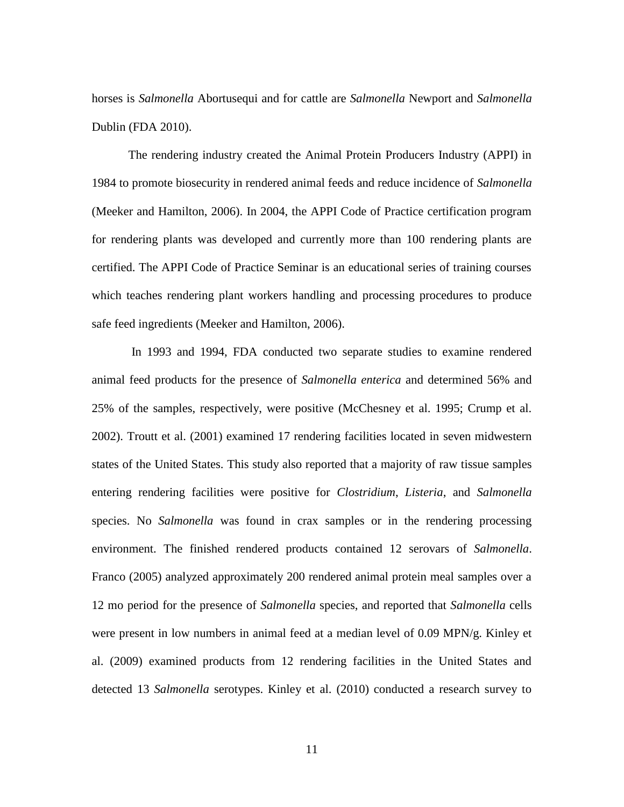horses is *Salmonella* Abortusequi and for cattle are *Salmonella* Newport and *Salmonella* Dublin (FDA 2010).

The rendering industry created the Animal Protein Producers Industry (APPI) in 1984 to promote biosecurity in rendered animal feeds and reduce incidence of *Salmonella*  (Meeker and Hamilton, 2006). In 2004, the APPI Code of Practice certification program for rendering plants was developed and currently more than 100 rendering plants are certified. The APPI Code of Practice Seminar is an educational series of training courses which teaches rendering plant workers handling and processing procedures to produce safe feed ingredients (Meeker and Hamilton, 2006).

In 1993 and 1994, FDA conducted two separate studies to examine rendered animal feed products for the presence of *Salmonella enterica* and determined 56% and 25% of the samples, respectively, were positive (McChesney et al. 1995; Crump et al. 2002). Troutt et al. (2001) examined 17 rendering facilities located in seven midwestern states of the United States. This study also reported that a majority of raw tissue samples entering rendering facilities were positive for *Clostridium*, *Listeria*, and *Salmonella* species. No *Salmonella* was found in crax samples or in the rendering processing environment. The finished rendered products contained 12 serovars of *Salmonella*. Franco (2005) analyzed approximately 200 rendered animal protein meal samples over a 12 mo period for the presence of *Salmonella* species, and reported that *Salmonella* cells were present in low numbers in animal feed at a median level of 0.09 MPN/g. Kinley et al. (2009) examined products from 12 rendering facilities in the United States and detected 13 *Salmonella* serotypes. Kinley et al. (2010) conducted a research survey to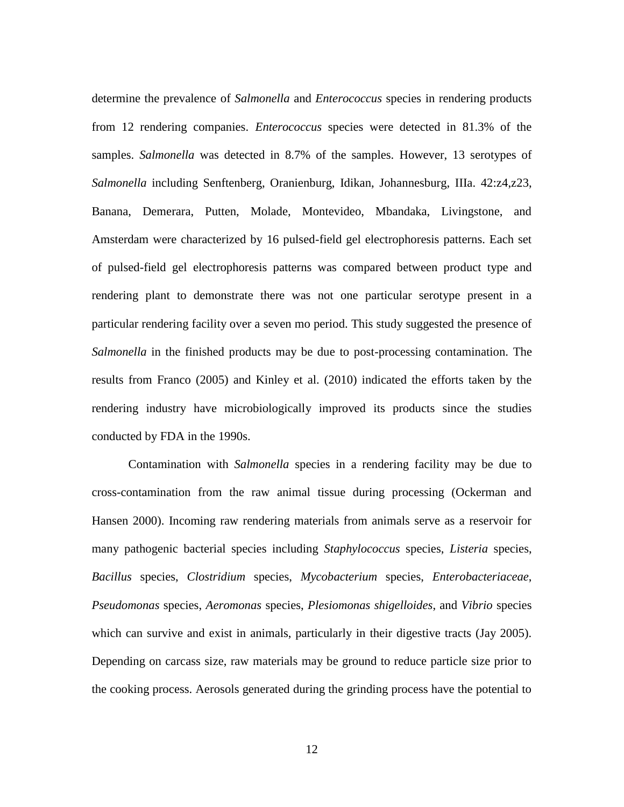determine the prevalence of *Salmonella* and *Enterococcus* species in rendering products from 12 rendering companies. *Enterococcus* species were detected in 81.3% of the samples. *Salmonella* was detected in 8.7% of the samples. However, 13 serotypes of *Salmonella* including Senftenberg, Oranienburg, Idikan, Johannesburg, IIIa. 42:z4,z23, Banana, Demerara, Putten, Molade, Montevideo, Mbandaka, Livingstone, and Amsterdam were characterized by 16 pulsed-field gel electrophoresis patterns. Each set of pulsed-field gel electrophoresis patterns was compared between product type and rendering plant to demonstrate there was not one particular serotype present in a particular rendering facility over a seven mo period. This study suggested the presence of *Salmonella* in the finished products may be due to post-processing contamination. The results from Franco (2005) and Kinley et al. (2010) indicated the efforts taken by the rendering industry have microbiologically improved its products since the studies conducted by FDA in the 1990s.

Contamination with *Salmonella* species in a rendering facility may be due to cross-contamination from the raw animal tissue during processing (Ockerman and Hansen 2000). Incoming raw rendering materials from animals serve as a reservoir for many pathogenic bacterial species including *Staphylococcus* species, *Listeria* species, *Bacillus* species, *Clostridium* species, *Mycobacterium* species, *Enterobacteriaceae*, *Pseudomonas* species, *Aeromonas* species, *Plesiomonas shigelloides*, and *Vibrio* species which can survive and exist in animals, particularly in their digestive tracts (Jay 2005). Depending on carcass size, raw materials may be ground to reduce particle size prior to the cooking process. Aerosols generated during the grinding process have the potential to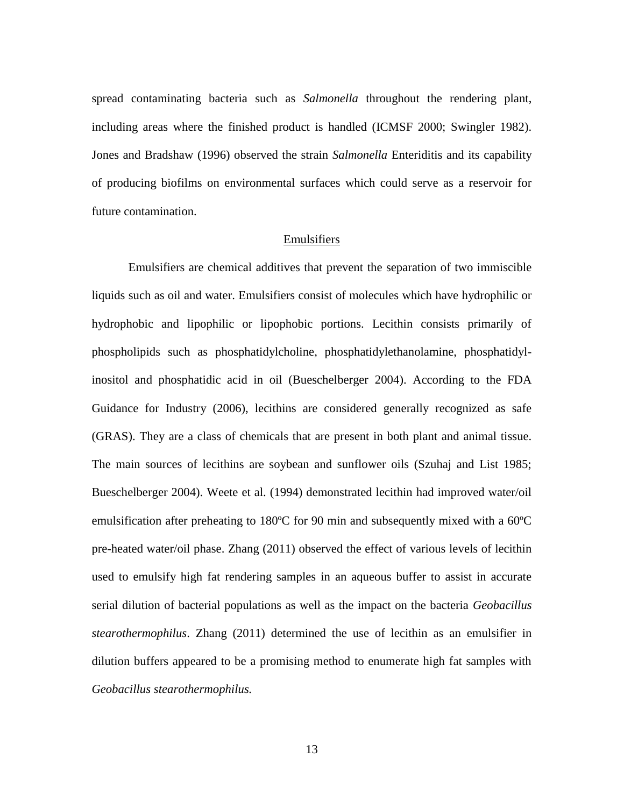spread contaminating bacteria such as *Salmonella* throughout the rendering plant, including areas where the finished product is handled (ICMSF 2000; Swingler 1982). Jones and Bradshaw (1996) observed the strain *Salmonella* Enteriditis and its capability of producing biofilms on environmental surfaces which could serve as a reservoir for future contamination.

#### Emulsifiers

Emulsifiers are chemical additives that prevent the separation of two immiscible liquids such as oil and water. Emulsifiers consist of molecules which have hydrophilic or hydrophobic and lipophilic or lipophobic portions. Lecithin consists primarily of phospholipids such as phosphatidylcholine, phosphatidylethanolamine, phosphatidylinositol and phosphatidic acid in oil (Bueschelberger 2004). According to the FDA Guidance for Industry (2006), lecithins are considered generally recognized as safe (GRAS). They are a class of chemicals that are present in both plant and animal tissue. The main sources of lecithins are soybean and sunflower oils (Szuhaj and List 1985; Bueschelberger 2004). Weete et al. (1994) demonstrated lecithin had improved water/oil emulsification after preheating to 180ºC for 90 min and subsequently mixed with a 60ºC pre-heated water/oil phase. Zhang (2011) observed the effect of various levels of lecithin used to emulsify high fat rendering samples in an aqueous buffer to assist in accurate serial dilution of bacterial populations as well as the impact on the bacteria *Geobacillus stearothermophilus*. Zhang (2011) determined the use of lecithin as an emulsifier in dilution buffers appeared to be a promising method to enumerate high fat samples with *Geobacillus stearothermophilus.*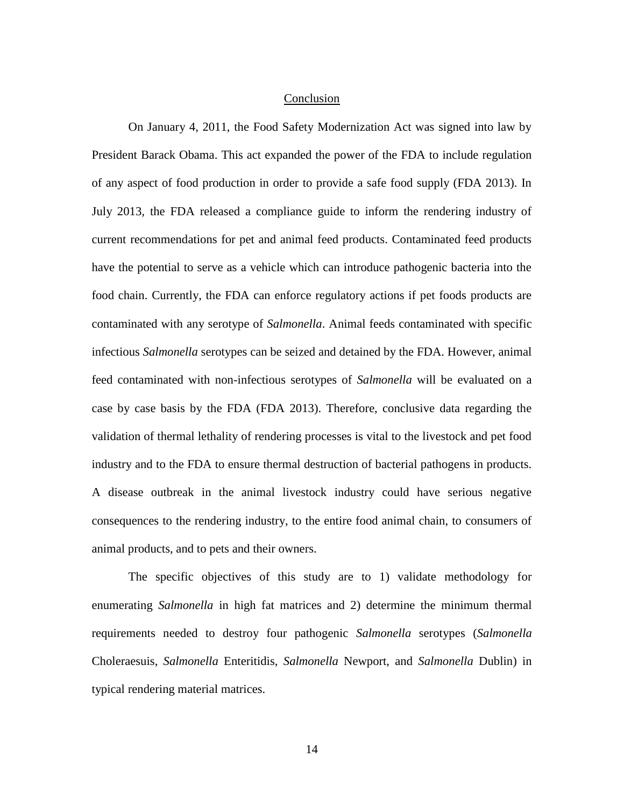#### Conclusion

On January 4, 2011, the Food Safety Modernization Act was signed into law by President Barack Obama. This act expanded the power of the FDA to include regulation of any aspect of food production in order to provide a safe food supply (FDA 2013). In July 2013, the FDA released a compliance guide to inform the rendering industry of current recommendations for pet and animal feed products. Contaminated feed products have the potential to serve as a vehicle which can introduce pathogenic bacteria into the food chain. Currently, the FDA can enforce regulatory actions if pet foods products are contaminated with any serotype of *Salmonella*. Animal feeds contaminated with specific infectious *Salmonella* serotypes can be seized and detained by the FDA. However, animal feed contaminated with non-infectious serotypes of *Salmonella* will be evaluated on a case by case basis by the FDA (FDA 2013). Therefore, conclusive data regarding the validation of thermal lethality of rendering processes is vital to the livestock and pet food industry and to the FDA to ensure thermal destruction of bacterial pathogens in products. A disease outbreak in the animal livestock industry could have serious negative consequences to the rendering industry, to the entire food animal chain, to consumers of animal products, and to pets and their owners.

The specific objectives of this study are to 1) validate methodology for enumerating *Salmonella* in high fat matrices and 2) determine the minimum thermal requirements needed to destroy four pathogenic *Salmonella* serotypes (*Salmonella* Choleraesuis, *Salmonella* Enteritidis, *Salmonella* Newport, and *Salmonella* Dublin) in typical rendering material matrices.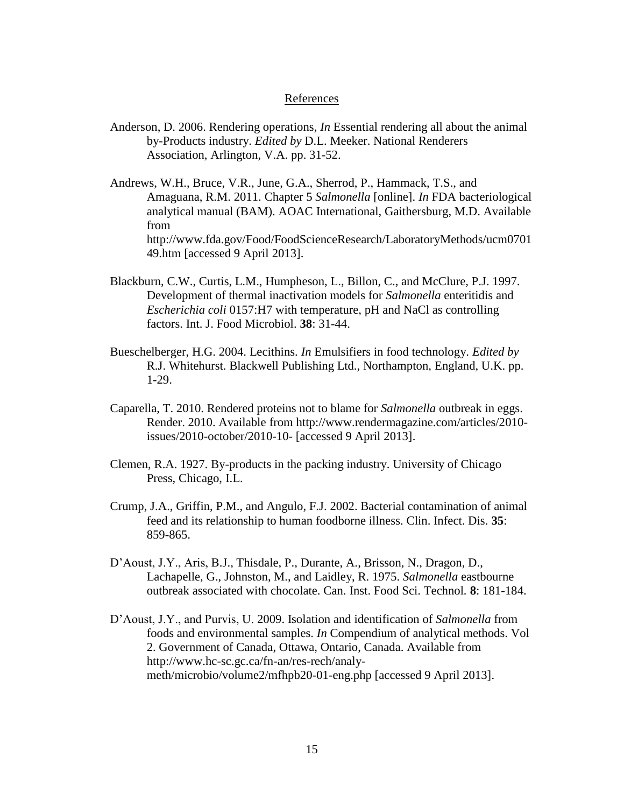#### References

- Anderson, D. 2006. Rendering operations, *In* Essential rendering all about the animal by-Products industry. *Edited by* D.L. Meeker. National Renderers Association, Arlington, V.A. pp. 31-52.
- Andrews, W.H., Bruce, V.R., June, G.A., Sherrod, P., Hammack, T.S., and Amaguana, R.M. 2011. Chapter 5 *Salmonella* [online]. *In* FDA bacteriological analytical manual (BAM). AOAC International, Gaithersburg, M.D. Available from http://www.fda.gov/Food/FoodScienceResearch/LaboratoryMethods/ucm0701 49.htm [accessed 9 April 2013].
- Blackburn, C.W., Curtis, L.M., Humpheson, L., Billon, C., and McClure, P.J. 1997. Development of thermal inactivation models for *Salmonella* enteritidis and *Escherichia coli* 0157:H7 with temperature, pH and NaCl as controlling factors. Int. J. Food Microbiol. **38**: 31-44.
- Bueschelberger, H.G. 2004. Lecithins. *In* Emulsifiers in food technology. *Edited by* R.J. Whitehurst. Blackwell Publishing Ltd., Northampton, England, U.K. pp. 1-29.
- Caparella, T. 2010. Rendered proteins not to blame for *Salmonella* outbreak in eggs. Render. 2010. Available from http://www.rendermagazine.com/articles/2010 issues/2010-october/2010-10- [accessed 9 April 2013].
- Clemen, R.A. 1927. By-products in the packing industry. University of Chicago Press, Chicago, I.L.
- Crump, J.A., Griffin, P.M., and Angulo, F.J. 2002. Bacterial contamination of animal feed and its relationship to human foodborne illness. Clin. Infect. Dis. **35**: 859-865.
- D'Aoust, J.Y., Aris, B.J., Thisdale, P., Durante, A., Brisson, N., Dragon, D., Lachapelle, G., Johnston, M., and Laidley, R. 1975. *Salmonella* eastbourne outbreak associated with chocolate. Can. Inst. Food Sci. Technol*.* **8**: 181-184.
- D'Aoust, J.Y., and Purvis, U. 2009. Isolation and identification of *Salmonella* from foods and environmental samples. *In* Compendium of analytical methods. Vol 2. Government of Canada, Ottawa, Ontario, Canada. Available from http://www.hc-sc.gc.ca/fn-an/res-rech/analymeth/microbio/volume2/mfhpb20-01-eng.php [accessed 9 April 2013].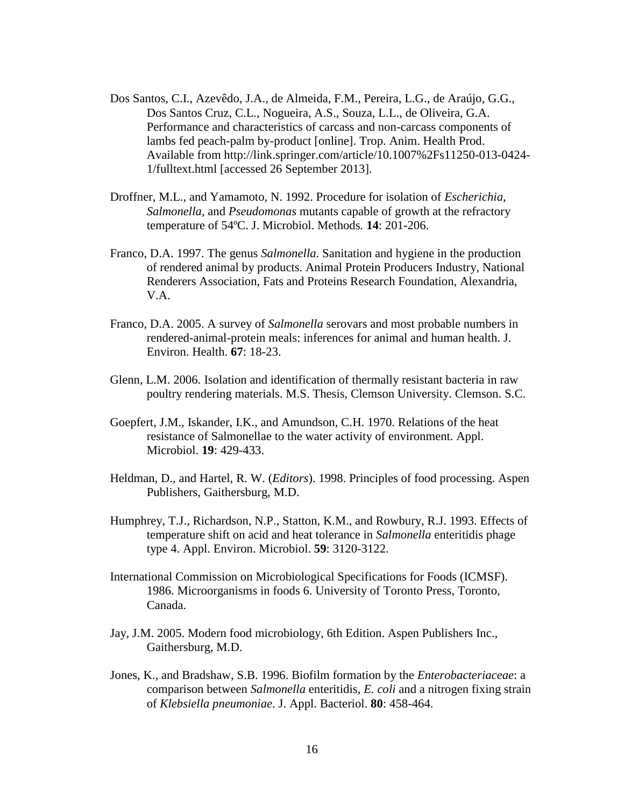- Dos Santos, C.I., Azevêdo, J.A., de Almeida, F.M., Pereira, L.G., de Araújo, G.G., Dos Santos Cruz, C.L., Nogueira, A.S., Souza, L.L., de Oliveira, G.A. Performance and characteristics of carcass and non-carcass components of lambs fed peach-palm by-product [online]. Trop. Anim. Health Prod. Available from http://link.springer.com/article/10.1007%2Fs11250-013-0424- 1/fulltext.html [accessed 26 September 2013].
- Droffner, M.L., and Yamamoto, N. 1992. Procedure for isolation of *Escherichia*, *Salmonella*, and *Pseudomonas* mutants capable of growth at the refractory temperature of 54ºC. J. Microbiol. Methods*.* **14**: 201-206.
- Franco, D.A. 1997. The genus *Salmonella.* Sanitation and hygiene in the production of rendered animal by products. Animal Protein Producers Industry, National Renderers Association, Fats and Proteins Research Foundation, Alexandria, V.A.
- Franco, D.A. 2005. A survey of *Salmonella* serovars and most probable numbers in rendered-animal-protein meals: inferences for animal and human health. J. Environ. Health. **67**: 18-23.
- Glenn, L.M. 2006. Isolation and identification of thermally resistant bacteria in raw poultry rendering materials. M.S. Thesis, Clemson University. Clemson. S.C.
- Goepfert, J.M., Iskander, I.K., and Amundson, C.H. 1970. Relations of the heat resistance of Salmonellae to the water activity of environment. Appl. Microbiol. **19**: 429-433.
- Heldman, D., and Hartel, R. W. (*Editors*). 1998. Principles of food processing. Aspen Publishers, Gaithersburg, M.D.
- Humphrey, T.J., Richardson, N.P., Statton, K.M., and Rowbury, R.J. 1993. Effects of temperature shift on acid and heat tolerance in *Salmonella* enteritidis phage type 4. Appl. Environ. Microbiol. **59**: 3120-3122.
- International Commission on Microbiological Specifications for Foods (ICMSF). 1986. Microorganisms in foods 6. University of Toronto Press, Toronto, Canada.
- Jay, J.M. 2005. Modern food microbiology, 6th Edition. Aspen Publishers Inc., Gaithersburg, M.D.
- Jones, K., and Bradshaw, S.B. 1996. Biofilm formation by the *Enterobacteriaceae*: a comparison between *Salmonella* enteritidis, *E. coli* and a nitrogen fixing strain of *Klebsiella pneumoniae*. J. Appl. Bacteriol. **80**: 458-464.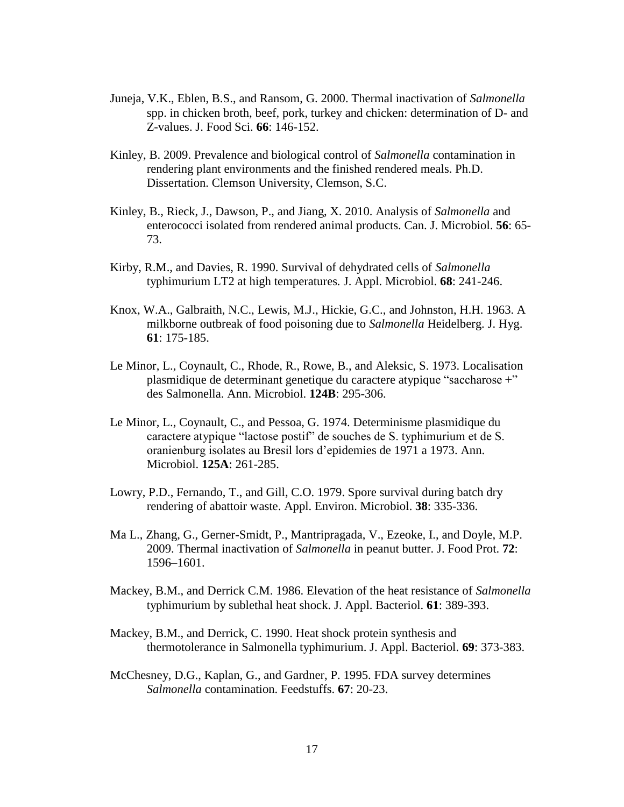- Juneja, V.K., Eblen, B.S., and Ransom, G. 2000. Thermal inactivation of *Salmonella* spp. in chicken broth, beef, pork, turkey and chicken: determination of D- and Z-values. J. Food Sci. **66**: 146-152.
- Kinley, B. 2009. Prevalence and biological control of *Salmonella* contamination in rendering plant environments and the finished rendered meals. Ph.D. Dissertation. Clemson University, Clemson, S.C.
- Kinley, B., Rieck, J., Dawson, P., and Jiang, X. 2010. Analysis of *Salmonella* and enterococci isolated from rendered animal products. Can. J. Microbiol. **56**: 65- 73.
- Kirby, R.M., and Davies, R. 1990. Survival of dehydrated cells of *Salmonella* typhimurium LT2 at high temperatures*.* J. Appl. Microbiol. **68**: 241-246.
- Knox, W.A., Galbraith, N.C., Lewis, M.J., Hickie, G.C., and Johnston, H.H. 1963. A milkborne outbreak of food poisoning due to *Salmonella* Heidelberg. J. Hyg. **61**: 175-185.
- Le Minor, L., Coynault, C., Rhode, R., Rowe, B., and Aleksic, S. 1973. Localisation plasmidique de determinant genetique du caractere atypique "saccharose +" des Salmonella. Ann. Microbiol. **124B**: 295-306.
- Le Minor, L., Coynault, C., and Pessoa, G. 1974. Determinisme plasmidique du caractere atypique "lactose postif" de souches de S. typhimurium et de S. oranienburg isolates au Bresil lors d'epidemies de 1971 a 1973. Ann. Microbiol. **125A**: 261-285.
- Lowry, P.D., Fernando, T., and Gill, C.O. 1979. Spore survival during batch dry rendering of abattoir waste. Appl. Environ. Microbiol. **38**: 335-336.
- Ma L., Zhang, G., Gerner-Smidt, P., Mantripragada, V., Ezeoke, I., and Doyle, M.P. 2009. Thermal inactivation of *Salmonella* in peanut butter. J. Food Prot. **72**: 1596–1601.
- Mackey, B.M., and Derrick C.M. 1986. Elevation of the heat resistance of *Salmonella* typhimurium by sublethal heat shock. J. Appl. Bacteriol. **61**: 389-393.
- Mackey, B.M., and Derrick, C. 1990. Heat shock protein synthesis and thermotolerance in Salmonella typhimurium. J. Appl. Bacteriol. **69**: 373-383.
- McChesney, D.G., Kaplan, G., and Gardner, P. 1995. FDA survey determines *Salmonella* contamination. Feedstuffs. **67**: 20-23.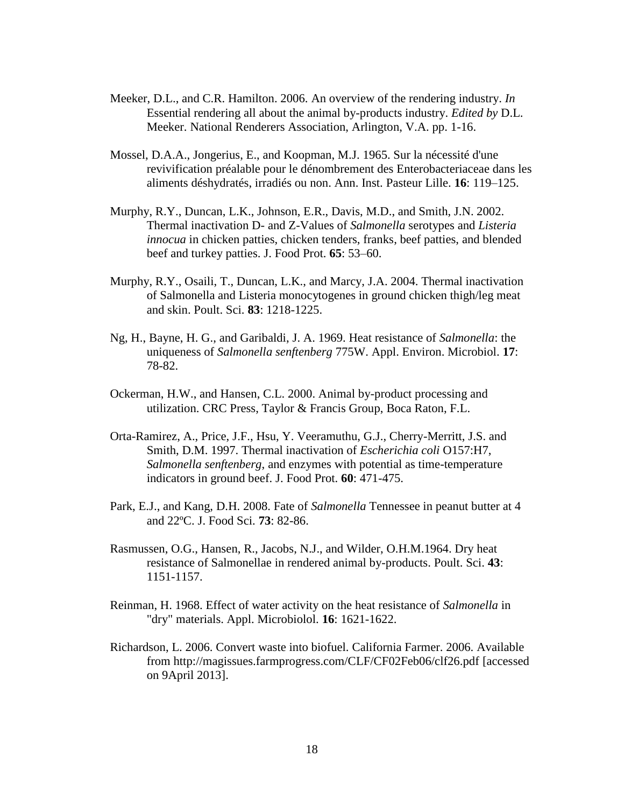- Meeker, D.L., and C.R. Hamilton. 2006. An overview of the rendering industry. *In* Essential rendering all about the animal by-products industry. *Edited by* D.L. Meeker. National Renderers Association, Arlington, V.A. pp. 1-16.
- Mossel, D.A.A., Jongerius, E., and Koopman, M.J. 1965. Sur la nécessité d'une revivification préalable pour le dénombrement des Enterobacteriaceae dans les aliments déshydratés, irradiés ou non. Ann. Inst. Pasteur Lille. **16**: 119–125.
- Murphy, R.Y., Duncan, L.K., Johnson, E.R., Davis, M.D., and Smith, J.N. 2002. Thermal inactivation D- and Z-Values of *Salmonella* serotypes and *Listeria innocua* in chicken patties, chicken tenders, franks, beef patties, and blended beef and turkey patties. J. Food Prot. **65**: 53–60.
- Murphy, R.Y., Osaili, T., Duncan, L.K., and Marcy, J.A. 2004. Thermal inactivation of Salmonella and Listeria monocytogenes in ground chicken thigh/leg meat and skin. Poult. Sci. **83**: 1218-1225.
- Ng, H., Bayne, H. G., and Garibaldi, J. A. 1969. Heat resistance of *Salmonella*: the uniqueness of *Salmonella senftenberg* 775W. Appl. Environ. Microbiol. **17**: 78-82.
- Ockerman, H.W., and Hansen, C.L. 2000. Animal by-product processing and utilization. CRC Press, Taylor & Francis Group, Boca Raton, F.L.
- Orta-Ramirez, A., Price, J.F., Hsu, Y. Veeramuthu, G.J., Cherry-Merritt, J.S. and Smith, D.M. 1997. Thermal inactivation of *Escherichia coli* O157:H7, *Salmonella senftenberg*, and enzymes with potential as time-temperature indicators in ground beef. J. Food Prot. **60**: 471-475.
- Park, E.J., and Kang, D.H. 2008. Fate of *Salmonella* Tennessee in peanut butter at 4 and 22ºC. J. Food Sci. **73**: 82-86.
- Rasmussen, O.G., Hansen, R., Jacobs, N.J., and Wilder, O.H.M.1964. Dry heat resistance of Salmonellae in rendered animal by-products. Poult. Sci. **43**: 1151-1157.
- Reinman, H. 1968. Effect of water activity on the heat resistance of *Salmonella* in "dry" materials. Appl. Microbiolol. **16**: 1621-1622.
- Richardson, L. 2006. Convert waste into biofuel. California Farmer. 2006. Available from http://magissues.farmprogress.com/CLF/CF02Feb06/clf26.pdf [accessed on 9April 2013].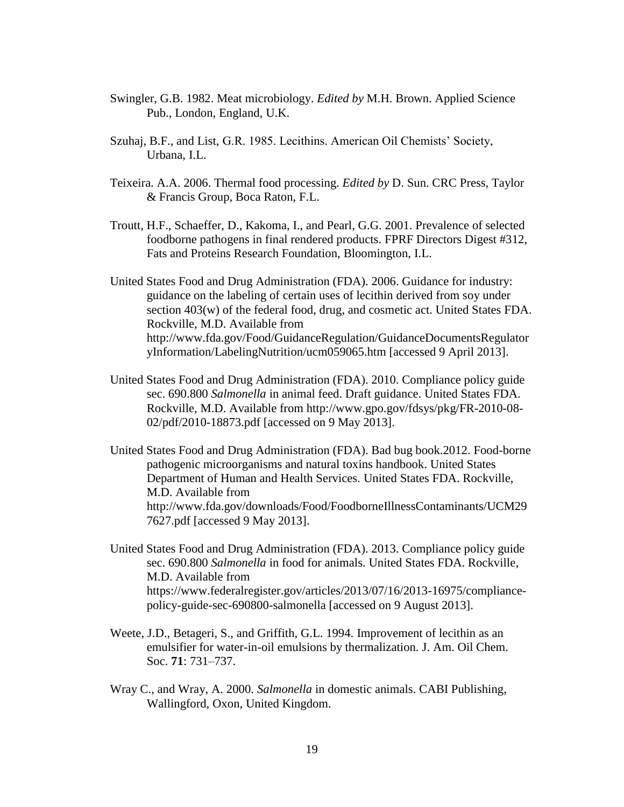- Swingler, G.B. 1982. Meat microbiology. *Edited by* M.H. Brown. Applied Science Pub., London, England, U.K.
- Szuhaj, B.F., and List, G.R. 1985. Lecithins. American Oil Chemists' Society, Urbana, I.L.
- Teixeira. A.A. 2006. Thermal food processing. *Edited by* D. Sun. CRC Press, Taylor & Francis Group, Boca Raton, F.L.
- Troutt, H.F., Schaeffer, D., Kakoma, I., and Pearl, G.G. 2001. Prevalence of selected foodborne pathogens in final rendered products. FPRF Directors Digest #312, Fats and Proteins Research Foundation, Bloomington, I.L.
- United States Food and Drug Administration (FDA). 2006. Guidance for industry: guidance on the labeling of certain uses of lecithin derived from soy under section 403(w) of the federal food, drug, and cosmetic act. United States FDA. Rockville, M.D. Available from http://www.fda.gov/Food/GuidanceRegulation/GuidanceDocumentsRegulator yInformation/LabelingNutrition/ucm059065.htm [accessed 9 April 2013].
- United States Food and Drug Administration (FDA). 2010. Compliance policy guide sec. 690.800 *Salmonella* in animal feed. Draft guidance. United States FDA. Rockville, M.D. Available from http://www.gpo.gov/fdsys/pkg/FR-2010-08- 02/pdf/2010-18873.pdf [accessed on 9 May 2013].
- United States Food and Drug Administration (FDA). Bad bug book.2012. Food-borne pathogenic microorganisms and natural toxins handbook. United States Department of Human and Health Services. United States FDA. Rockville, M.D. Available from http://www.fda.gov/downloads/Food/FoodborneIllnessContaminants/UCM29 7627.pdf [accessed 9 May 2013].
- United States Food and Drug Administration (FDA). 2013. Compliance policy guide sec. 690.800 *Salmonella* in food for animals. United States FDA. Rockville, M.D. Available from https://www.federalregister.gov/articles/2013/07/16/2013-16975/compliancepolicy-guide-sec-690800-salmonella [accessed on 9 August 2013].
- Weete, J.D., Betageri, S., and Griffith, G.L. 1994. Improvement of lecithin as an emulsifier for water-in-oil emulsions by thermalization*.* J. Am. Oil Chem. Soc. **71**: 731–737.
- Wray C., and Wray, A. 2000. *Salmonella* in domestic animals. CABI Publishing, Wallingford, Oxon, United Kingdom.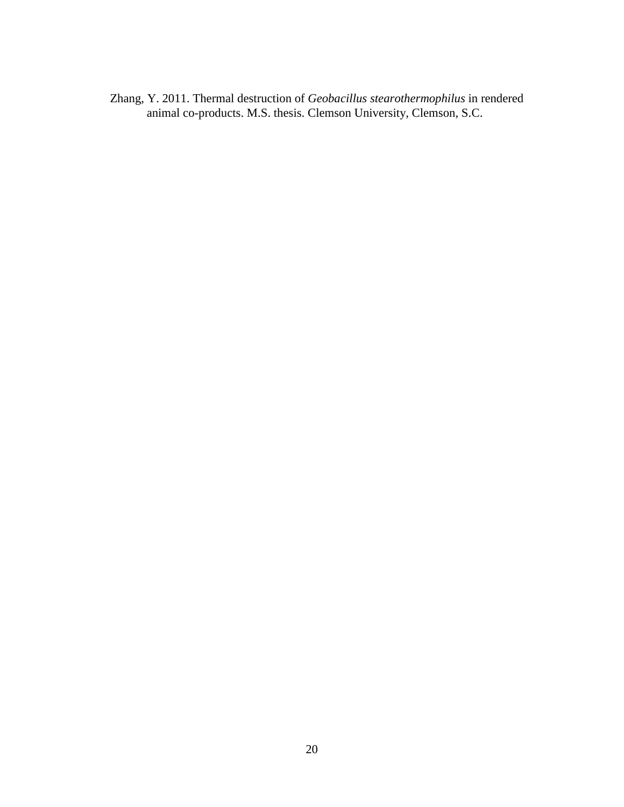Zhang, Y. 2011. Thermal destruction of *Geobacillus stearothermophilus* in rendered animal co-products. M.S. thesis. Clemson University, Clemson, S.C.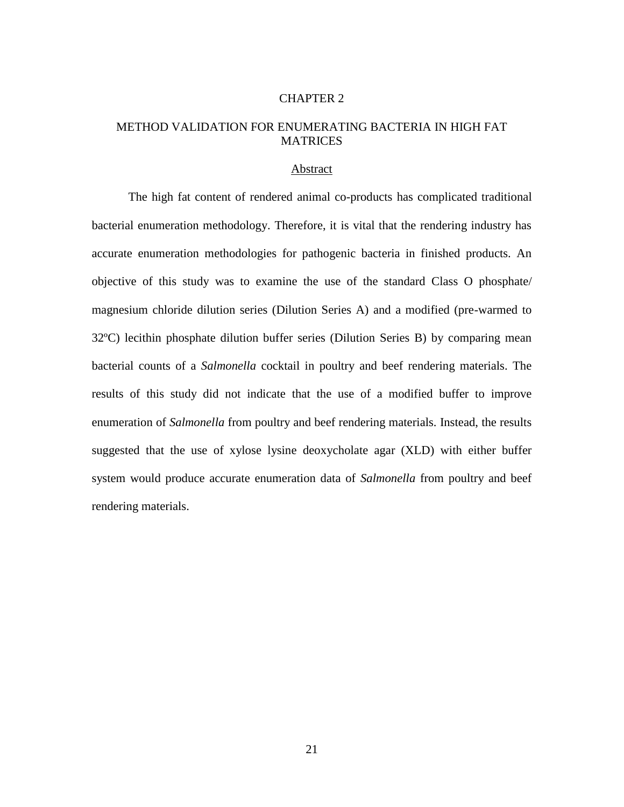#### CHAPTER 2

#### METHOD VALIDATION FOR ENUMERATING BACTERIA IN HIGH FAT MATRICES

#### Abstract

The high fat content of rendered animal co-products has complicated traditional bacterial enumeration methodology. Therefore, it is vital that the rendering industry has accurate enumeration methodologies for pathogenic bacteria in finished products. An objective of this study was to examine the use of the standard Class O phosphate/ magnesium chloride dilution series (Dilution Series A) and a modified (pre-warmed to 32ºC) lecithin phosphate dilution buffer series (Dilution Series B) by comparing mean bacterial counts of a *Salmonella* cocktail in poultry and beef rendering materials. The results of this study did not indicate that the use of a modified buffer to improve enumeration of *Salmonella* from poultry and beef rendering materials. Instead, the results suggested that the use of xylose lysine deoxycholate agar (XLD) with either buffer system would produce accurate enumeration data of *Salmonella* from poultry and beef rendering materials.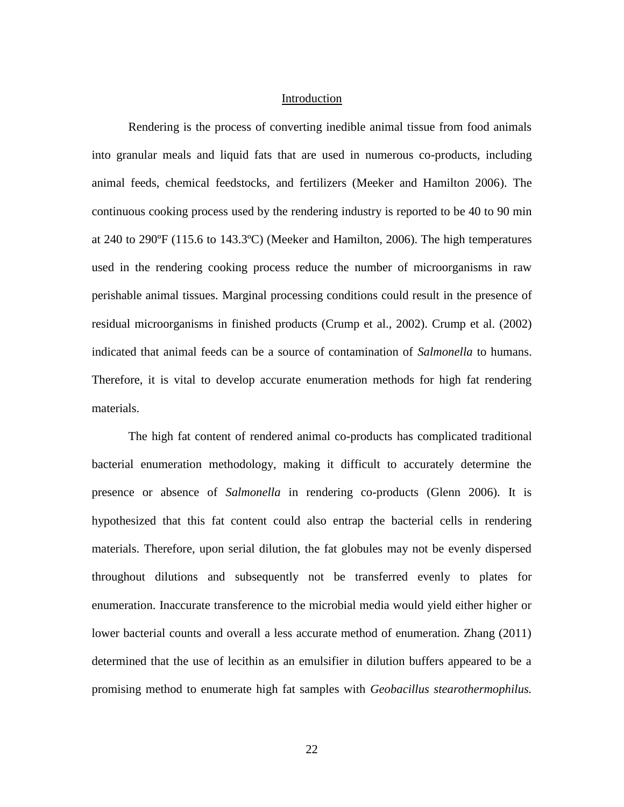#### Introduction

Rendering is the process of converting inedible animal tissue from food animals into granular meals and liquid fats that are used in numerous co-products, including animal feeds, chemical feedstocks, and fertilizers (Meeker and Hamilton 2006). The continuous cooking process used by the rendering industry is reported to be 40 to 90 min at 240 to 290ºF (115.6 to 143.3ºC) (Meeker and Hamilton, 2006). The high temperatures used in the rendering cooking process reduce the number of microorganisms in raw perishable animal tissues. Marginal processing conditions could result in the presence of residual microorganisms in finished products (Crump et al., 2002). Crump et al. (2002) indicated that animal feeds can be a source of contamination of *Salmonella* to humans. Therefore, it is vital to develop accurate enumeration methods for high fat rendering materials.

The high fat content of rendered animal co-products has complicated traditional bacterial enumeration methodology, making it difficult to accurately determine the presence or absence of *Salmonella* in rendering co-products (Glenn 2006). It is hypothesized that this fat content could also entrap the bacterial cells in rendering materials. Therefore, upon serial dilution, the fat globules may not be evenly dispersed throughout dilutions and subsequently not be transferred evenly to plates for enumeration. Inaccurate transference to the microbial media would yield either higher or lower bacterial counts and overall a less accurate method of enumeration. Zhang (2011) determined that the use of lecithin as an emulsifier in dilution buffers appeared to be a promising method to enumerate high fat samples with *Geobacillus stearothermophilus.*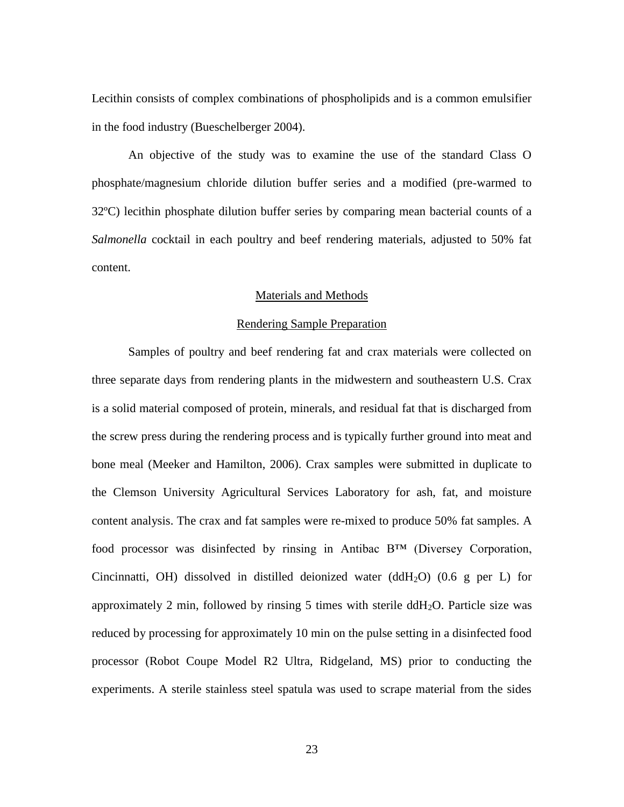Lecithin consists of complex combinations of phospholipids and is a common emulsifier in the food industry (Bueschelberger 2004).

An objective of the study was to examine the use of the standard Class O phosphate/magnesium chloride dilution buffer series and a modified (pre-warmed to 32ºC) lecithin phosphate dilution buffer series by comparing mean bacterial counts of a *Salmonella* cocktail in each poultry and beef rendering materials, adjusted to 50% fat content.

#### Materials and Methods

#### Rendering Sample Preparation

Samples of poultry and beef rendering fat and crax materials were collected on three separate days from rendering plants in the midwestern and southeastern U.S. Crax is a solid material composed of protein, minerals, and residual fat that is discharged from the screw press during the rendering process and is typically further ground into meat and bone meal (Meeker and Hamilton, 2006). Crax samples were submitted in duplicate to the Clemson University Agricultural Services Laboratory for ash, fat, and moisture content analysis. The crax and fat samples were re-mixed to produce 50% fat samples. A food processor was disinfected by rinsing in Antibac B™ (Diversey Corporation, Cincinnatti, OH) dissolved in distilled deionized water (ddH<sub>2</sub>O) (0.6 g per L) for approximately 2 min, followed by rinsing 5 times with sterile ddH<sub>2</sub>O. Particle size was reduced by processing for approximately 10 min on the pulse setting in a disinfected food processor (Robot Coupe Model R2 Ultra, Ridgeland, MS) prior to conducting the experiments. A sterile stainless steel spatula was used to scrape material from the sides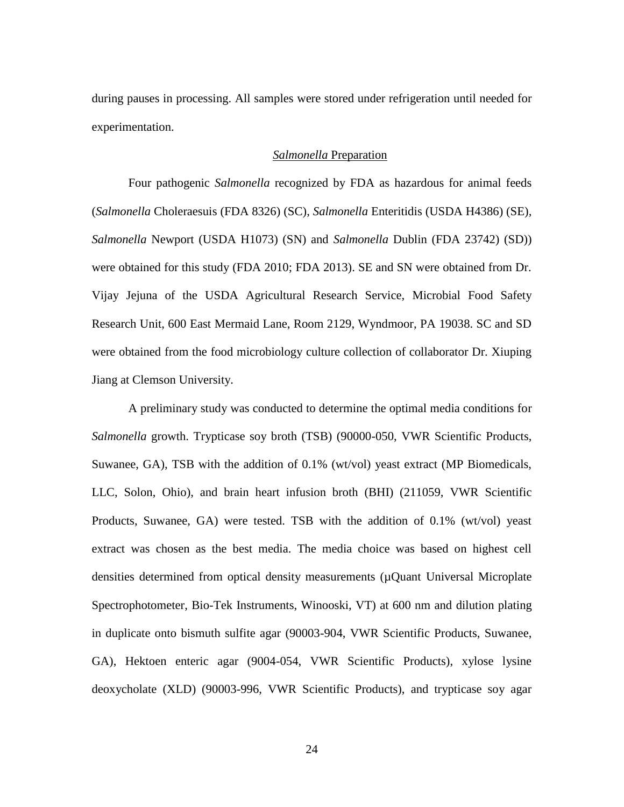during pauses in processing. All samples were stored under refrigeration until needed for experimentation.

### *Salmonella* Preparation

Four pathogenic *Salmonella* recognized by FDA as hazardous for animal feeds (*Salmonella* Choleraesuis (FDA 8326) (SC), *Salmonella* Enteritidis (USDA H4386) (SE)*, Salmonella* Newport (USDA H1073) (SN) and *Salmonella* Dublin (FDA 23742) (SD)) were obtained for this study (FDA 2010; FDA 2013). SE and SN were obtained from Dr. Vijay Jejuna of the USDA Agricultural Research Service, Microbial Food Safety Research Unit, 600 East Mermaid Lane, Room 2129, Wyndmoor, PA 19038. SC and SD were obtained from the food microbiology culture collection of collaborator Dr. Xiuping Jiang at Clemson University.

A preliminary study was conducted to determine the optimal media conditions for *Salmonella* growth. Trypticase soy broth (TSB) (90000-050, VWR Scientific Products, Suwanee, GA), TSB with the addition of 0.1% (wt/vol) yeast extract (MP Biomedicals, LLC, Solon, Ohio), and brain heart infusion broth (BHI) (211059, VWR Scientific Products, Suwanee, GA) were tested. TSB with the addition of 0.1% (wt/vol) yeast extract was chosen as the best media. The media choice was based on highest cell densities determined from optical density measurements (µQuant Universal Microplate Spectrophotometer, Bio-Tek Instruments, Winooski, VT) at 600 nm and dilution plating in duplicate onto bismuth sulfite agar (90003-904, VWR Scientific Products, Suwanee, GA), Hektoen enteric agar (9004-054, VWR Scientific Products), xylose lysine deoxycholate (XLD) (90003-996, VWR Scientific Products), and trypticase soy agar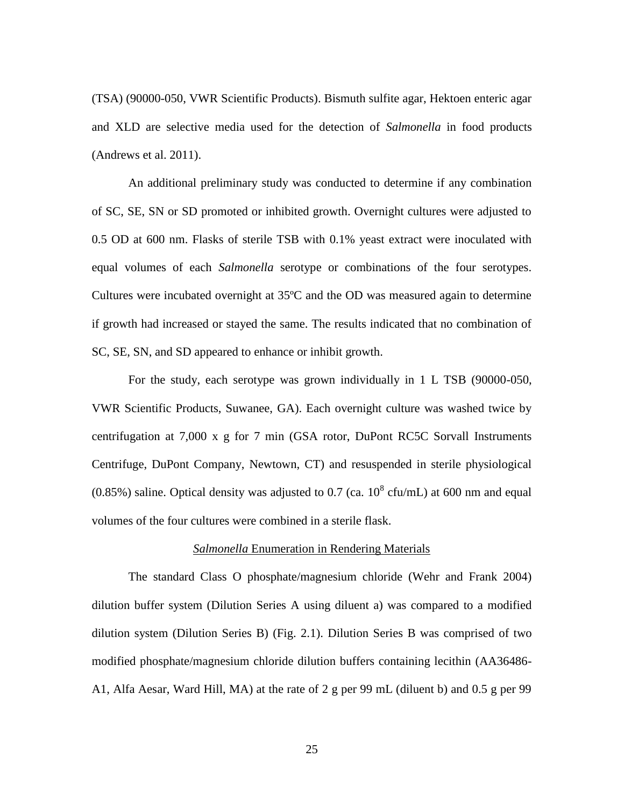(TSA) (90000-050, VWR Scientific Products). Bismuth sulfite agar, Hektoen enteric agar and XLD are selective media used for the detection of *Salmonella* in food products (Andrews et al. 2011).

An additional preliminary study was conducted to determine if any combination of SC, SE, SN or SD promoted or inhibited growth. Overnight cultures were adjusted to 0.5 OD at 600 nm. Flasks of sterile TSB with 0.1% yeast extract were inoculated with equal volumes of each *Salmonella* serotype or combinations of the four serotypes. Cultures were incubated overnight at 35ºC and the OD was measured again to determine if growth had increased or stayed the same. The results indicated that no combination of SC, SE, SN, and SD appeared to enhance or inhibit growth.

For the study, each serotype was grown individually in 1 L TSB (90000-050, VWR Scientific Products, Suwanee, GA). Each overnight culture was washed twice by centrifugation at 7,000 x g for 7 min (GSA rotor, DuPont RC5C Sorvall Instruments Centrifuge, DuPont Company, Newtown, CT) and resuspended in sterile physiological  $(0.85\%)$  saline. Optical density was adjusted to 0.7 (ca.  $10^8$  cfu/mL) at 600 nm and equal volumes of the four cultures were combined in a sterile flask.

# *Salmonella* Enumeration in Rendering Materials

The standard Class O phosphate/magnesium chloride (Wehr and Frank 2004) dilution buffer system (Dilution Series A using diluent a) was compared to a modified dilution system (Dilution Series B) (Fig. 2.1). Dilution Series B was comprised of two modified phosphate/magnesium chloride dilution buffers containing lecithin (AA36486- A1, Alfa Aesar, Ward Hill, MA) at the rate of 2 g per 99 mL (diluent b) and 0.5 g per 99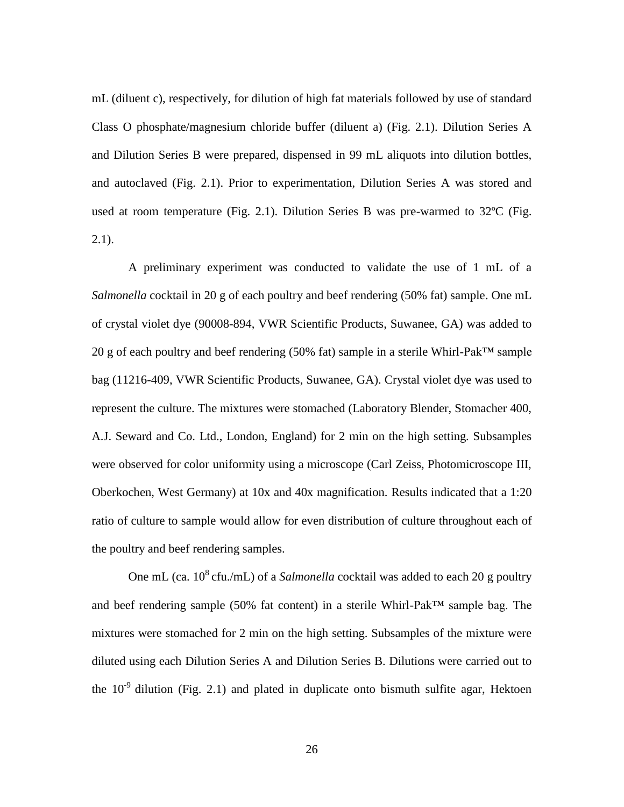mL (diluent c), respectively, for dilution of high fat materials followed by use of standard Class O phosphate/magnesium chloride buffer (diluent a) (Fig. 2.1). Dilution Series A and Dilution Series B were prepared, dispensed in 99 mL aliquots into dilution bottles, and autoclaved (Fig. 2.1). Prior to experimentation, Dilution Series A was stored and used at room temperature (Fig. 2.1). Dilution Series B was pre-warmed to 32ºC (Fig.  $2.1$ ).

A preliminary experiment was conducted to validate the use of 1 mL of a *Salmonella* cocktail in 20 g of each poultry and beef rendering (50% fat) sample. One mL of crystal violet dye (90008-894, VWR Scientific Products, Suwanee, GA) was added to 20 g of each poultry and beef rendering (50% fat) sample in a sterile Whirl-Pak™ sample bag (11216-409, VWR Scientific Products, Suwanee, GA). Crystal violet dye was used to represent the culture. The mixtures were stomached (Laboratory Blender, Stomacher 400, A.J. Seward and Co. Ltd., London, England) for 2 min on the high setting. Subsamples were observed for color uniformity using a microscope (Carl Zeiss, Photomicroscope III, Oberkochen, West Germany) at 10x and 40x magnification. Results indicated that a 1:20 ratio of culture to sample would allow for even distribution of culture throughout each of the poultry and beef rendering samples.

One mL (ca.  $10^8$  cfu./mL) of a *Salmonella* cocktail was added to each 20 g poultry and beef rendering sample (50% fat content) in a sterile Whirl-Pak™ sample bag. The mixtures were stomached for 2 min on the high setting. Subsamples of the mixture were diluted using each Dilution Series A and Dilution Series B. Dilutions were carried out to the  $10^{-9}$  dilution (Fig. 2.1) and plated in duplicate onto bismuth sulfite agar, Hektoen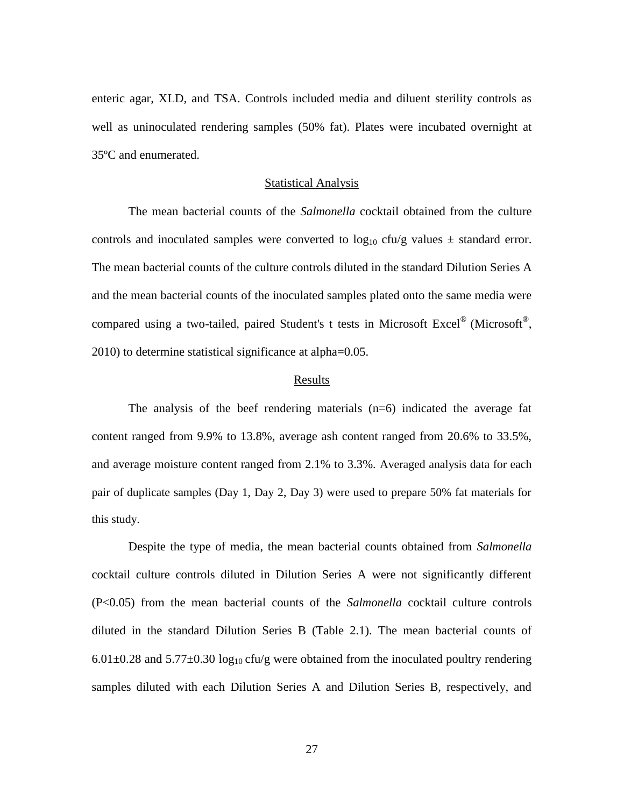enteric agar, XLD, and TSA. Controls included media and diluent sterility controls as well as uninoculated rendering samples (50% fat). Plates were incubated overnight at 35ºC and enumerated.

### Statistical Analysis

The mean bacterial counts of the *Salmonella* cocktail obtained from the culture controls and inoculated samples were converted to  $log_{10}$  cfu/g values  $\pm$  standard error. The mean bacterial counts of the culture controls diluted in the standard Dilution Series A and the mean bacterial counts of the inoculated samples plated onto the same media were compared using a two-tailed, paired Student's t tests in Microsoft Excel<sup>®</sup> (Microsoft<sup>®</sup>, 2010) to determine statistical significance at alpha=0.05.

### Results

The analysis of the beef rendering materials  $(n=6)$  indicated the average fat content ranged from 9.9% to 13.8%, average ash content ranged from 20.6% to 33.5%, and average moisture content ranged from 2.1% to 3.3%. Averaged analysis data for each pair of duplicate samples (Day 1, Day 2, Day 3) were used to prepare 50% fat materials for this study.

Despite the type of media, the mean bacterial counts obtained from *Salmonella*  cocktail culture controls diluted in Dilution Series A were not significantly different (P<0.05) from the mean bacterial counts of the *Salmonella* cocktail culture controls diluted in the standard Dilution Series B (Table 2.1). The mean bacterial counts of 6.01 $\pm$ 0.28 and 5.77 $\pm$ 0.30 log<sub>10</sub> cfu/g were obtained from the inoculated poultry rendering samples diluted with each Dilution Series A and Dilution Series B, respectively, and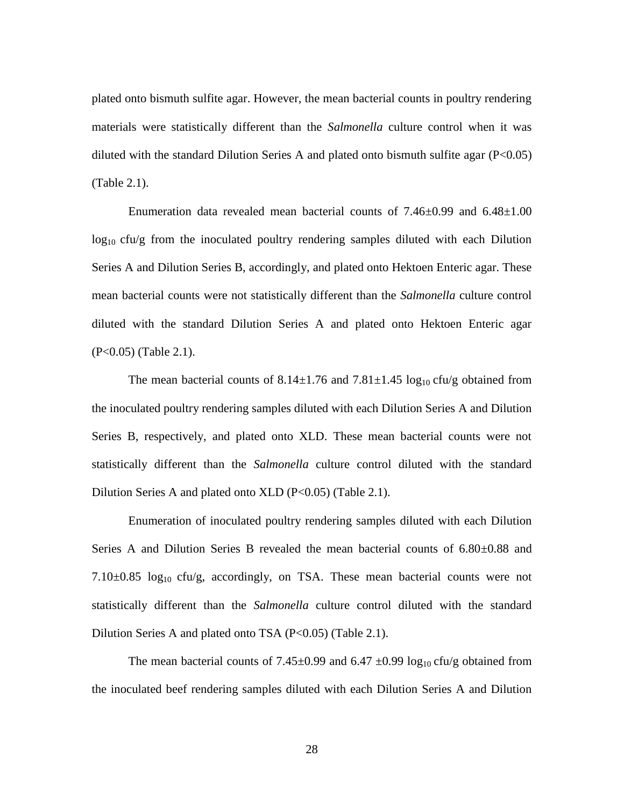plated onto bismuth sulfite agar. However, the mean bacterial counts in poultry rendering materials were statistically different than the *Salmonella* culture control when it was diluted with the standard Dilution Series A and plated onto bismuth sulfite agar  $(P<0.05)$ (Table 2.1).

Enumeration data revealed mean bacterial counts of  $7.46\pm0.99$  and  $6.48\pm1.00$  $log_{10}$  cfu/g from the inoculated poultry rendering samples diluted with each Dilution Series A and Dilution Series B, accordingly, and plated onto Hektoen Enteric agar. These mean bacterial counts were not statistically different than the *Salmonella* culture control diluted with the standard Dilution Series A and plated onto Hektoen Enteric agar (P<0.05) (Table 2.1).

The mean bacterial counts of  $8.14 \pm 1.76$  and  $7.81 \pm 1.45$  log<sub>10</sub> cfu/g obtained from the inoculated poultry rendering samples diluted with each Dilution Series A and Dilution Series B, respectively, and plated onto XLD. These mean bacterial counts were not statistically different than the *Salmonella* culture control diluted with the standard Dilution Series A and plated onto XLD  $(P<0.05)$  (Table 2.1).

Enumeration of inoculated poultry rendering samples diluted with each Dilution Series A and Dilution Series B revealed the mean bacterial counts of 6.80±0.88 and 7.10 $\pm$ 0.85 log<sub>10</sub> cfu/g, accordingly, on TSA. These mean bacterial counts were not statistically different than the *Salmonella* culture control diluted with the standard Dilution Series A and plated onto TSA (P<0.05) (Table 2.1).

The mean bacterial counts of 7.45 $\pm$ 0.99 and 6.47  $\pm$ 0.99 log<sub>10</sub> cfu/g obtained from the inoculated beef rendering samples diluted with each Dilution Series A and Dilution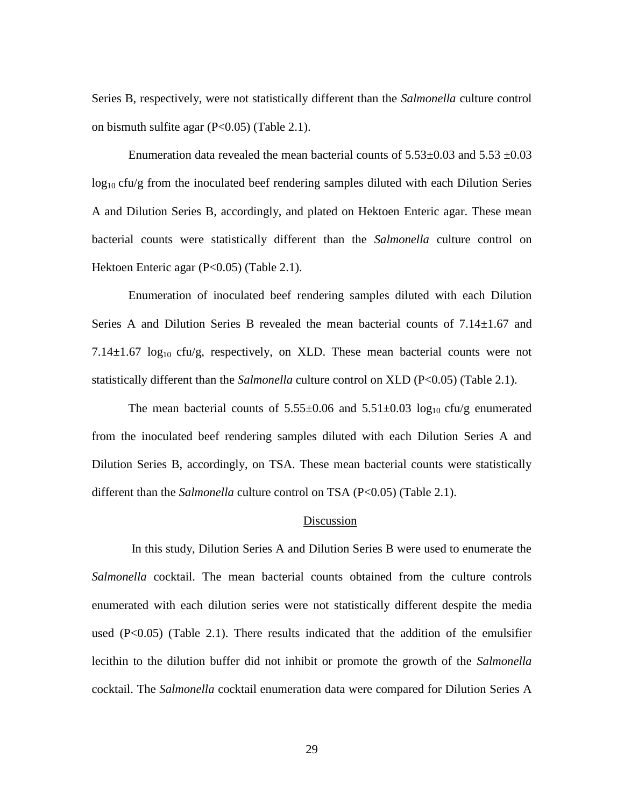Series B, respectively, were not statistically different than the *Salmonella* culture control on bismuth sulfite agar (P<0.05) (Table 2.1).

Enumeration data revealed the mean bacterial counts of  $5.53\pm0.03$  and  $5.53\pm0.03$  $log_{10}$  cfu/g from the inoculated beef rendering samples diluted with each Dilution Series A and Dilution Series B, accordingly, and plated on Hektoen Enteric agar. These mean bacterial counts were statistically different than the *Salmonella* culture control on Hektoen Enteric agar (P<0.05) (Table 2.1).

Enumeration of inoculated beef rendering samples diluted with each Dilution Series A and Dilution Series B revealed the mean bacterial counts of  $7.14 \pm 1.67$  and 7.14 $\pm$ 1.67 log<sub>10</sub> cfu/g, respectively, on XLD. These mean bacterial counts were not statistically different than the *Salmonella* culture control on XLD (P<0.05) (Table 2.1).

The mean bacterial counts of  $5.55\pm0.06$  and  $5.51\pm0.03$  log<sub>10</sub> cfu/g enumerated from the inoculated beef rendering samples diluted with each Dilution Series A and Dilution Series B, accordingly, on TSA. These mean bacterial counts were statistically different than the *Salmonella* culture control on TSA (P<0.05) (Table 2.1).

# **Discussion**

In this study, Dilution Series A and Dilution Series B were used to enumerate the *Salmonella* cocktail. The mean bacterial counts obtained from the culture controls enumerated with each dilution series were not statistically different despite the media used  $(P<0.05)$  (Table 2.1). There results indicated that the addition of the emulsifier lecithin to the dilution buffer did not inhibit or promote the growth of the *Salmonella*  cocktail. The *Salmonella* cocktail enumeration data were compared for Dilution Series A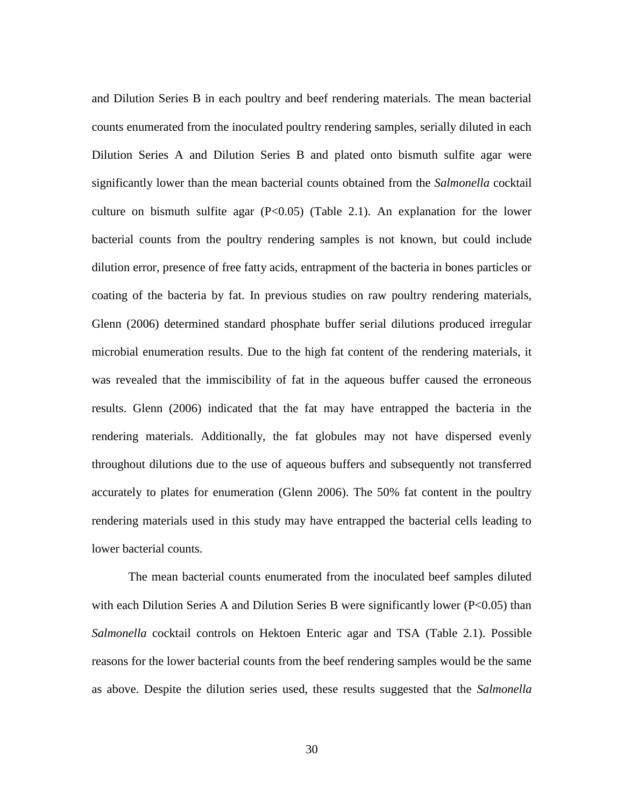and Dilution Series B in each poultry and beef rendering materials. The mean bacterial counts enumerated from the inoculated poultry rendering samples, serially diluted in each Dilution Series A and Dilution Series B and plated onto bismuth sulfite agar were significantly lower than the mean bacterial counts obtained from the *Salmonella* cocktail culture on bismuth sulfite agar  $(P<0.05)$  (Table 2.1). An explanation for the lower bacterial counts from the poultry rendering samples is not known, but could include dilution error, presence of free fatty acids, entrapment of the bacteria in bones particles or coating of the bacteria by fat. In previous studies on raw poultry rendering materials, Glenn (2006) determined standard phosphate buffer serial dilutions produced irregular microbial enumeration results. Due to the high fat content of the rendering materials, it was revealed that the immiscibility of fat in the aqueous buffer caused the erroneous results. Glenn (2006) indicated that the fat may have entrapped the bacteria in the rendering materials. Additionally, the fat globules may not have dispersed evenly throughout dilutions due to the use of aqueous buffers and subsequently not transferred accurately to plates for enumeration (Glenn 2006). The 50% fat content in the poultry rendering materials used in this study may have entrapped the bacterial cells leading to lower bacterial counts.

The mean bacterial counts enumerated from the inoculated beef samples diluted with each Dilution Series A and Dilution Series B were significantly lower (P<0.05) than *Salmonella* cocktail controls on Hektoen Enteric agar and TSA (Table 2.1). Possible reasons for the lower bacterial counts from the beef rendering samples would be the same as above. Despite the dilution series used, these results suggested that the *Salmonella*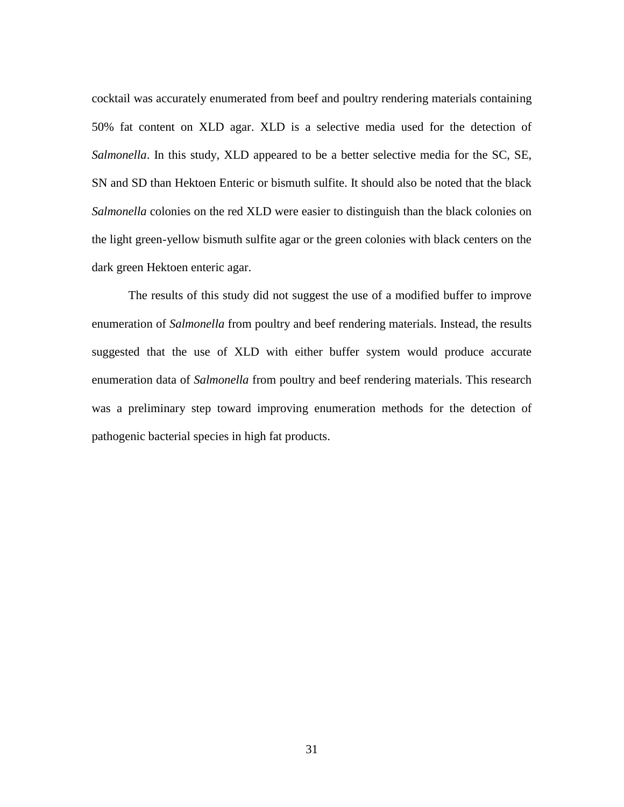cocktail was accurately enumerated from beef and poultry rendering materials containing 50% fat content on XLD agar. XLD is a selective media used for the detection of *Salmonella*. In this study, XLD appeared to be a better selective media for the SC, SE, SN and SD than Hektoen Enteric or bismuth sulfite. It should also be noted that the black *Salmonella* colonies on the red XLD were easier to distinguish than the black colonies on the light green-yellow bismuth sulfite agar or the green colonies with black centers on the dark green Hektoen enteric agar.

The results of this study did not suggest the use of a modified buffer to improve enumeration of *Salmonella* from poultry and beef rendering materials. Instead, the results suggested that the use of XLD with either buffer system would produce accurate enumeration data of *Salmonella* from poultry and beef rendering materials. This research was a preliminary step toward improving enumeration methods for the detection of pathogenic bacterial species in high fat products.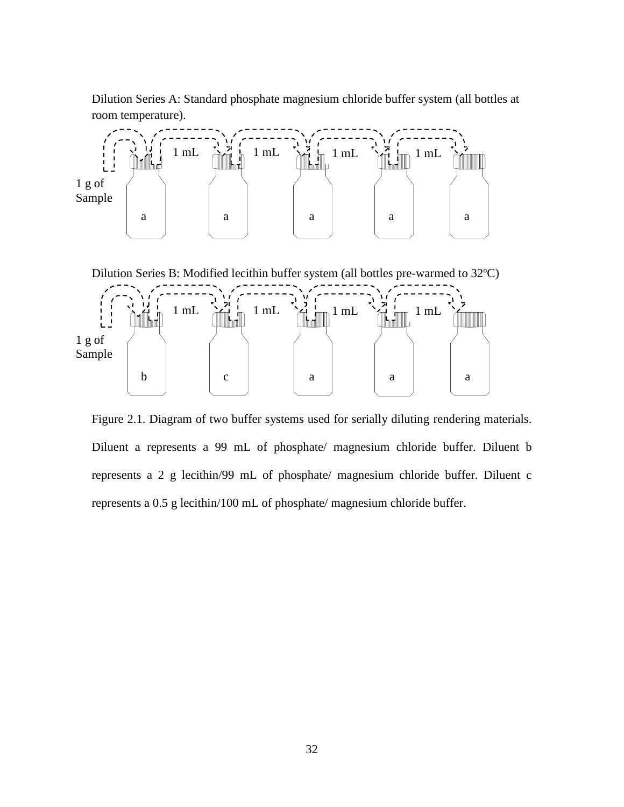Dilution Series A: Standard phosphate magnesium chloride buffer system (all bottles at room temperature).



Figure 2.1. Diagram of two buffer systems used for serially diluting rendering materials. Diluent a represents a 99 mL of phosphate/ magnesium chloride buffer. Diluent b represents a 2 g lecithin/99 mL of phosphate/ magnesium chloride buffer. Diluent c represents a 0.5 g lecithin/100 mL of phosphate/ magnesium chloride buffer.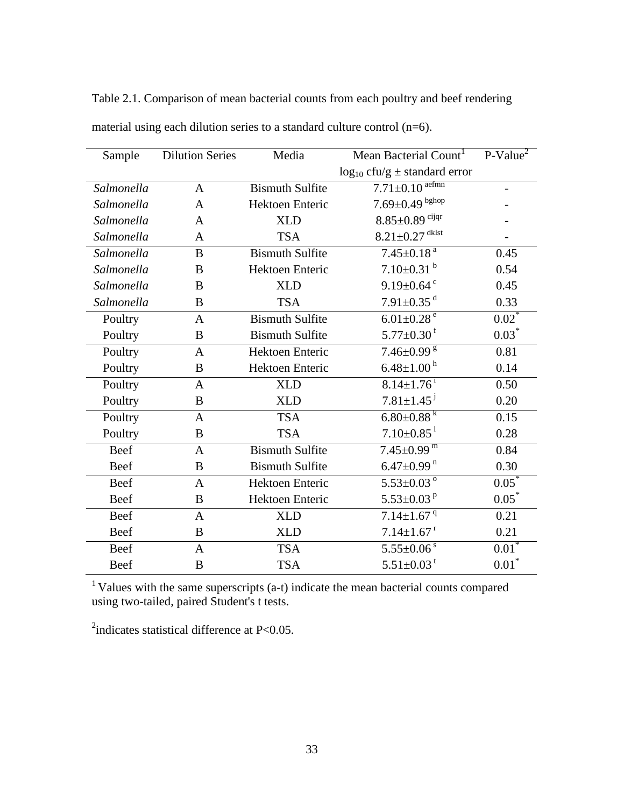| Sample     | <b>Dilution Series</b> | Media                  | Mean Bacterial Count <sup>1</sup>     | $P-Value2$ |
|------------|------------------------|------------------------|---------------------------------------|------------|
|            |                        |                        | $log_{10}$ cfu/g $\pm$ standard error |            |
| Salmonella | $\mathbf{A}$           | <b>Bismuth Sulfite</b> | $7.71 \pm 0.10$ <sup>aefmn</sup>      |            |
| Salmonella | $\mathbf{A}$           | Hektoen Enteric        | $7.69 \pm 0.49$ bghop                 |            |
| Salmonella | A                      | <b>XLD</b>             | $8.85{\pm}0.89$ cijqr                 |            |
| Salmonella | A                      | <b>TSA</b>             | $8.21 \pm 0.27$ <sup>dklst</sup>      |            |
| Salmonella | B                      | <b>Bismuth Sulfite</b> | $7.45 \pm 0.18$ <sup>a</sup>          | 0.45       |
| Salmonella | B                      | Hektoen Enteric        | $7.10\pm0.31^{b}$                     | 0.54       |
| Salmonella | B                      | <b>XLD</b>             | $9.19 \pm 0.64$ <sup>c</sup>          | 0.45       |
| Salmonella | B                      | <b>TSA</b>             | $7.91 \pm 0.35$ <sup>d</sup>          | 0.33       |
| Poultry    | $\mathbf{A}$           | <b>Bismuth Sulfite</b> | $6.01 \pm 0.28$ <sup>e</sup>          | $0.02^*$   |
| Poultry    | B                      | <b>Bismuth Sulfite</b> | $5.77 \pm 0.30$ <sup>f</sup>          | $0.03*$    |
| Poultry    | A                      | Hektoen Enteric        | $7.46 \pm 0.99$ <sup>g</sup>          | 0.81       |
| Poultry    | B                      | Hektoen Enteric        | $6.48 \pm 1.00^{\mathrm{h}}$          | 0.14       |
| Poultry    | $\mathbf{A}$           | <b>XLD</b>             | $8.14 \pm 1.76$ <sup>i</sup>          | 0.50       |
| Poultry    | B                      | <b>XLD</b>             | $7.81 \pm 1.45$ <sup>j</sup>          | 0.20       |
| Poultry    | $\mathbf{A}$           | <b>TSA</b>             | $6.80 \pm 0.88$ <sup>k</sup>          | 0.15       |
| Poultry    | B                      | <b>TSA</b>             | $7.10 \pm 0.85$ <sup>1</sup>          | 0.28       |
| Beef       | $\mathbf{A}$           | <b>Bismuth Sulfite</b> | $7.45 \pm 0.99$ <sup>m</sup>          | 0.84       |
| Beef       | B                      | <b>Bismuth Sulfite</b> | $6.47 \pm 0.99$ <sup>n</sup>          | 0.30       |
| Beef       | $\mathbf{A}$           | Hektoen Enteric        | $5.53 \pm 0.03$ <sup>o</sup>          | $0.05*$    |
| Beef       | B                      | Hektoen Enteric        | 5.53 $\pm$ 0.03 <sup>p</sup>          | $0.05*$    |
| Beef       | $\mathbf{A}$           | <b>XLD</b>             | $7.14 \pm 1.67$ <sup>q</sup>          | 0.21       |
| Beef       | B                      | <b>XLD</b>             | $7.14 \pm 1.67$ <sup>r</sup>          | 0.21       |
| Beef       | $\mathbf{A}$           | <b>TSA</b>             | $5.55 \pm 0.06$ <sup>s</sup>          | $0.01*$    |
| Beef       | B                      | <b>TSA</b>             | $5.51 \pm 0.03$ <sup>t</sup>          | $0.01*$    |

Table 2.1. Comparison of mean bacterial counts from each poultry and beef rendering material using each dilution series to a standard culture control (n=6).

<sup>1</sup> Values with the same superscripts (a-t) indicate the mean bacterial counts compared using two-tailed, paired Student's t tests.

 $2$ indicates statistical difference at P<0.05.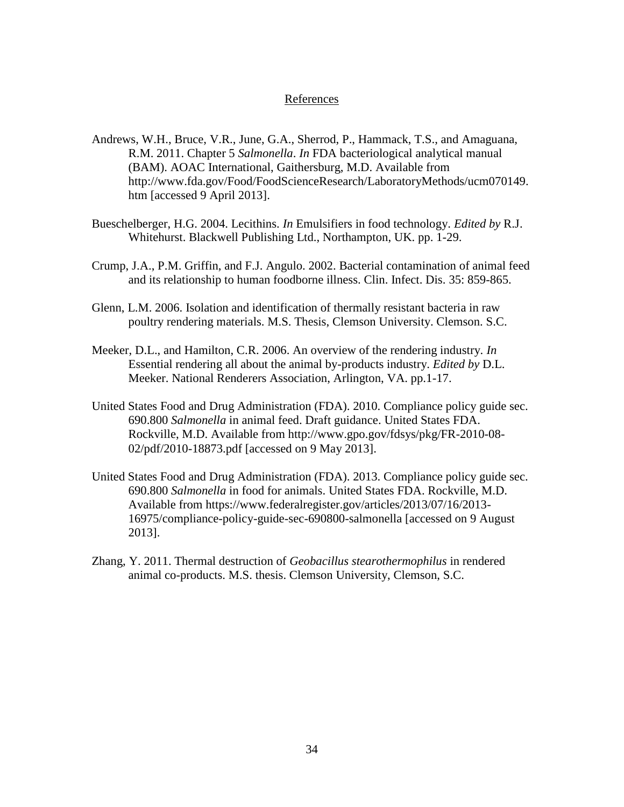# References

- Andrews, W.H., Bruce, V.R., June, G.A., Sherrod, P., Hammack, T.S., and Amaguana, R.M. 2011. Chapter 5 *Salmonella*. *In* FDA bacteriological analytical manual (BAM). AOAC International, Gaithersburg, M.D. Available from http://www.fda.gov/Food/FoodScienceResearch/LaboratoryMethods/ucm070149. htm [accessed 9 April 2013].
- Bueschelberger, H.G. 2004. Lecithins. *In* Emulsifiers in food technology. *Edited by* R.J. Whitehurst. Blackwell Publishing Ltd., Northampton, UK. pp. 1-29.
- Crump, J.A., P.M. Griffin, and F.J. Angulo. 2002. Bacterial contamination of animal feed and its relationship to human foodborne illness. Clin. Infect. Dis. 35: 859-865.
- Glenn, L.M. 2006. Isolation and identification of thermally resistant bacteria in raw poultry rendering materials. M.S. Thesis, Clemson University. Clemson. S.C.
- Meeker, D.L., and Hamilton, C.R. 2006. An overview of the rendering industry. *In* Essential rendering all about the animal by-products industry. *Edited by* D.L. Meeker. National Renderers Association, Arlington, VA. pp.1-17.
- United States Food and Drug Administration (FDA). 2010. Compliance policy guide sec. 690.800 *Salmonella* in animal feed. Draft guidance. United States FDA. Rockville, M.D. Available from http://www.gpo.gov/fdsys/pkg/FR-2010-08- 02/pdf/2010-18873.pdf [accessed on 9 May 2013].
- United States Food and Drug Administration (FDA). 2013. Compliance policy guide sec. 690.800 *Salmonella* in food for animals. United States FDA. Rockville, M.D. Available from https://www.federalregister.gov/articles/2013/07/16/2013- 16975/compliance-policy-guide-sec-690800-salmonella [accessed on 9 August 2013].
- Zhang, Y. 2011. Thermal destruction of *Geobacillus stearothermophilus* in rendered animal co-products. M.S. thesis. Clemson University, Clemson, S.C.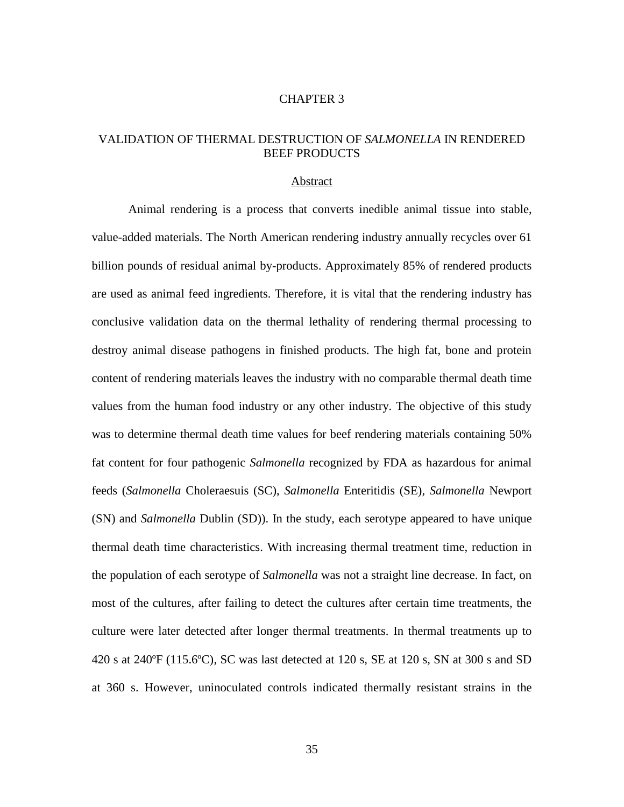#### CHAPTER 3

# VALIDATION OF THERMAL DESTRUCTION OF *SALMONELLA* IN RENDERED BEEF PRODUCTS

#### Abstract

Animal rendering is a process that converts inedible animal tissue into stable, value-added materials. The North American rendering industry annually recycles over 61 billion pounds of residual animal by-products. Approximately 85% of rendered products are used as animal feed ingredients. Therefore, it is vital that the rendering industry has conclusive validation data on the thermal lethality of rendering thermal processing to destroy animal disease pathogens in finished products. The high fat, bone and protein content of rendering materials leaves the industry with no comparable thermal death time values from the human food industry or any other industry. The objective of this study was to determine thermal death time values for beef rendering materials containing 50% fat content for four pathogenic *Salmonella* recognized by FDA as hazardous for animal feeds (*Salmonella* Choleraesuis (SC), *Salmonella* Enteritidis (SE)*, Salmonella* Newport (SN) and *Salmonella* Dublin (SD)). In the study, each serotype appeared to have unique thermal death time characteristics. With increasing thermal treatment time, reduction in the population of each serotype of *Salmonella* was not a straight line decrease. In fact, on most of the cultures, after failing to detect the cultures after certain time treatments, the culture were later detected after longer thermal treatments. In thermal treatments up to 420 s at 240ºF (115.6ºC), SC was last detected at 120 s, SE at 120 s, SN at 300 s and SD at 360 s. However, uninoculated controls indicated thermally resistant strains in the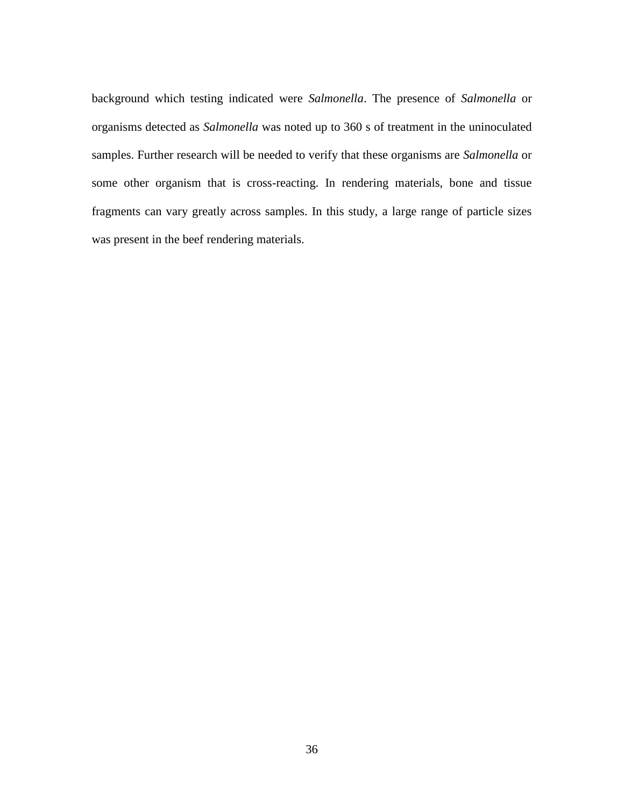background which testing indicated were *Salmonella*. The presence of *Salmonella* or organisms detected as *Salmonella* was noted up to 360 s of treatment in the uninoculated samples. Further research will be needed to verify that these organisms are *Salmonella* or some other organism that is cross-reacting. In rendering materials, bone and tissue fragments can vary greatly across samples. In this study, a large range of particle sizes was present in the beef rendering materials.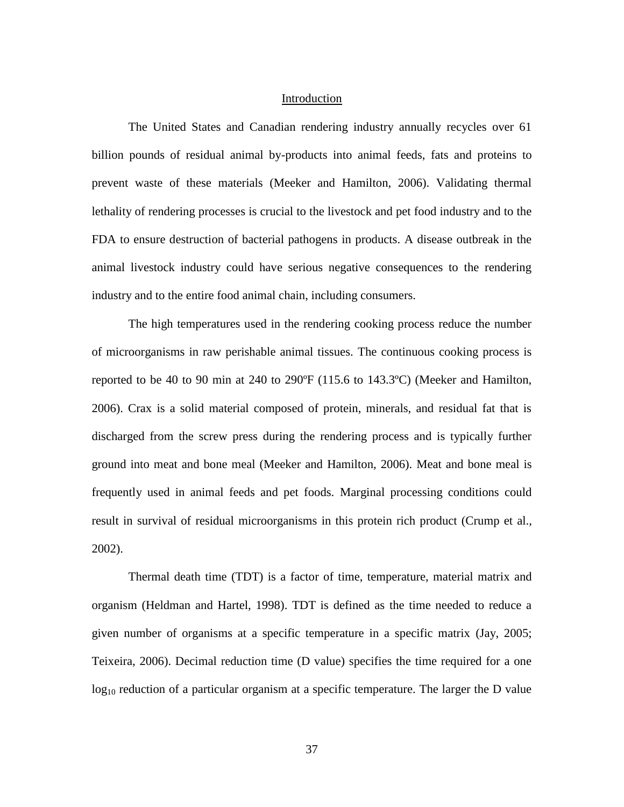# Introduction

The United States and Canadian rendering industry annually recycles over 61 billion pounds of residual animal by-products into animal feeds, fats and proteins to prevent waste of these materials (Meeker and Hamilton, 2006). Validating thermal lethality of rendering processes is crucial to the livestock and pet food industry and to the FDA to ensure destruction of bacterial pathogens in products. A disease outbreak in the animal livestock industry could have serious negative consequences to the rendering industry and to the entire food animal chain, including consumers.

The high temperatures used in the rendering cooking process reduce the number of microorganisms in raw perishable animal tissues. The continuous cooking process is reported to be 40 to 90 min at 240 to 290ºF (115.6 to 143.3ºC) (Meeker and Hamilton, 2006). Crax is a solid material composed of protein, minerals, and residual fat that is discharged from the screw press during the rendering process and is typically further ground into meat and bone meal (Meeker and Hamilton, 2006). Meat and bone meal is frequently used in animal feeds and pet foods. Marginal processing conditions could result in survival of residual microorganisms in this protein rich product (Crump et al., 2002).

Thermal death time (TDT) is a factor of time, temperature, material matrix and organism (Heldman and Hartel, 1998). TDT is defined as the time needed to reduce a given number of organisms at a specific temperature in a specific matrix (Jay, 2005; Teixeira, 2006). Decimal reduction time (D value) specifies the time required for a one  $log_{10}$  reduction of a particular organism at a specific temperature. The larger the D value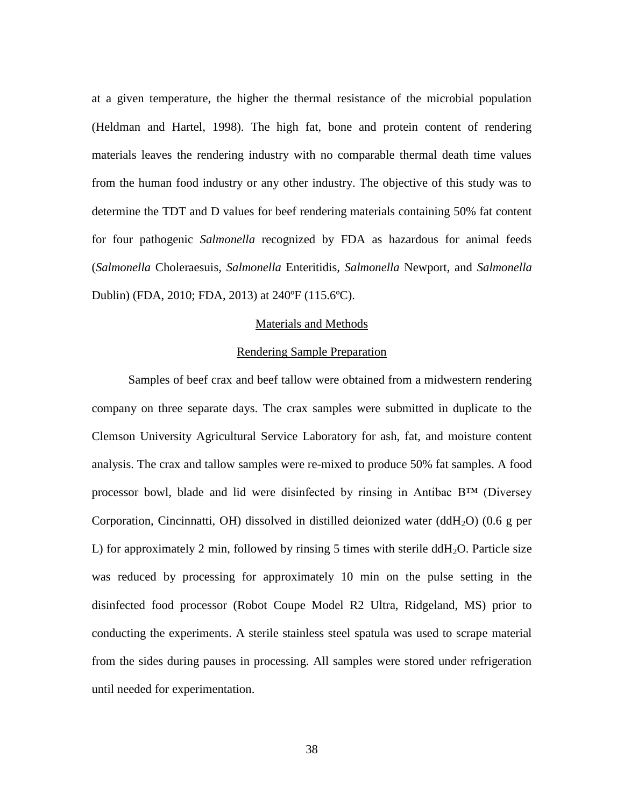at a given temperature, the higher the thermal resistance of the microbial population (Heldman and Hartel, 1998). The high fat, bone and protein content of rendering materials leaves the rendering industry with no comparable thermal death time values from the human food industry or any other industry. The objective of this study was to determine the TDT and D values for beef rendering materials containing 50% fat content for four pathogenic *Salmonella* recognized by FDA as hazardous for animal feeds (*Salmonella* Choleraesuis*, Salmonella* Enteritidis*, Salmonella* Newport, and *Salmonella* Dublin) (FDA, 2010; FDA, 2013) at 240ºF (115.6ºC).

### Materials and Methods

# Rendering Sample Preparation

Samples of beef crax and beef tallow were obtained from a midwestern rendering company on three separate days. The crax samples were submitted in duplicate to the Clemson University Agricultural Service Laboratory for ash, fat, and moisture content analysis. The crax and tallow samples were re-mixed to produce 50% fat samples. A food processor bowl, blade and lid were disinfected by rinsing in Antibac B™ (Diversey Corporation, Cincinnatti, OH) dissolved in distilled deionized water (ddH<sub>2</sub>O) (0.6 g per L) for approximately 2 min, followed by rinsing 5 times with sterile  $ddH<sub>2</sub>O$ . Particle size was reduced by processing for approximately 10 min on the pulse setting in the disinfected food processor (Robot Coupe Model R2 Ultra, Ridgeland, MS) prior to conducting the experiments. A sterile stainless steel spatula was used to scrape material from the sides during pauses in processing. All samples were stored under refrigeration until needed for experimentation.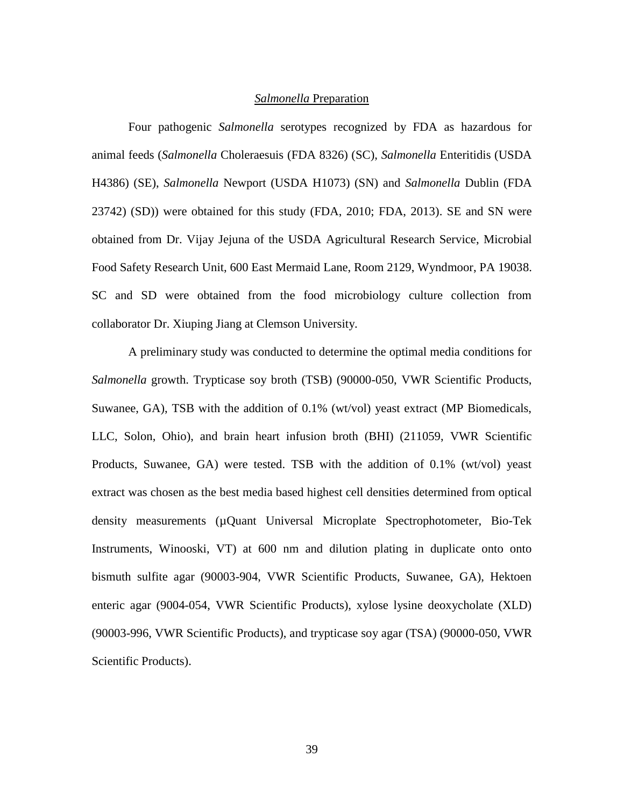### *Salmonella* Preparation

Four pathogenic *Salmonella* serotypes recognized by FDA as hazardous for animal feeds (*Salmonella* Choleraesuis (FDA 8326) (SC), *Salmonella* Enteritidis (USDA H4386) (SE), *Salmonella* Newport (USDA H1073) (SN) and *Salmonella* Dublin (FDA 23742) (SD)) were obtained for this study (FDA, 2010; FDA, 2013). SE and SN were obtained from Dr. Vijay Jejuna of the USDA Agricultural Research Service, Microbial Food Safety Research Unit, 600 East Mermaid Lane, Room 2129, Wyndmoor, PA 19038. SC and SD were obtained from the food microbiology culture collection from collaborator Dr. Xiuping Jiang at Clemson University.

A preliminary study was conducted to determine the optimal media conditions for *Salmonella* growth. Trypticase soy broth (TSB) (90000-050, VWR Scientific Products, Suwanee, GA), TSB with the addition of 0.1% (wt/vol) yeast extract (MP Biomedicals, LLC, Solon, Ohio), and brain heart infusion broth (BHI) (211059, VWR Scientific Products, Suwanee, GA) were tested. TSB with the addition of 0.1% (wt/vol) yeast extract was chosen as the best media based highest cell densities determined from optical density measurements (µQuant Universal Microplate Spectrophotometer, Bio-Tek Instruments, Winooski, VT) at 600 nm and dilution plating in duplicate onto onto bismuth sulfite agar (90003-904, VWR Scientific Products, Suwanee, GA), Hektoen enteric agar (9004-054, VWR Scientific Products), xylose lysine deoxycholate (XLD) (90003-996, VWR Scientific Products), and trypticase soy agar (TSA) (90000-050, VWR Scientific Products).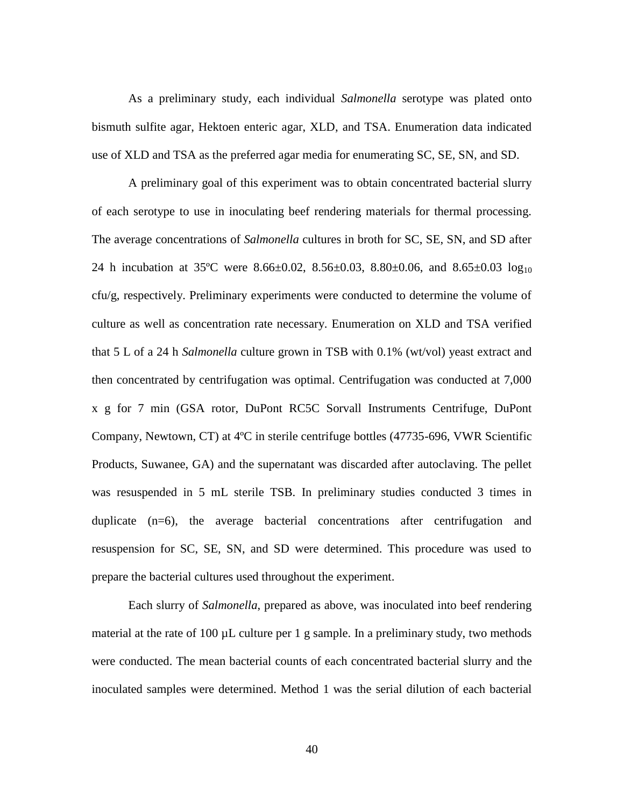As a preliminary study, each individual *Salmonella* serotype was plated onto bismuth sulfite agar, Hektoen enteric agar, XLD, and TSA. Enumeration data indicated use of XLD and TSA as the preferred agar media for enumerating SC, SE, SN, and SD.

A preliminary goal of this experiment was to obtain concentrated bacterial slurry of each serotype to use in inoculating beef rendering materials for thermal processing. The average concentrations of *Salmonella* cultures in broth for SC, SE, SN, and SD after 24 h incubation at 35°C were 8.66±0.02, 8.56±0.03, 8.80±0.06, and 8.65±0.03  $log_{10}$ cfu/g, respectively. Preliminary experiments were conducted to determine the volume of culture as well as concentration rate necessary. Enumeration on XLD and TSA verified that 5 L of a 24 h *Salmonella* culture grown in TSB with 0.1% (wt/vol) yeast extract and then concentrated by centrifugation was optimal. Centrifugation was conducted at 7,000 x g for 7 min (GSA rotor, DuPont RC5C Sorvall Instruments Centrifuge, DuPont Company, Newtown, CT) at 4ºC in sterile centrifuge bottles (47735-696, VWR Scientific Products, Suwanee, GA) and the supernatant was discarded after autoclaving. The pellet was resuspended in 5 mL sterile TSB. In preliminary studies conducted 3 times in duplicate (n=6), the average bacterial concentrations after centrifugation and resuspension for SC, SE, SN, and SD were determined. This procedure was used to prepare the bacterial cultures used throughout the experiment.

Each slurry of *Salmonella*, prepared as above, was inoculated into beef rendering material at the rate of 100 µL culture per 1 g sample. In a preliminary study, two methods were conducted. The mean bacterial counts of each concentrated bacterial slurry and the inoculated samples were determined. Method 1 was the serial dilution of each bacterial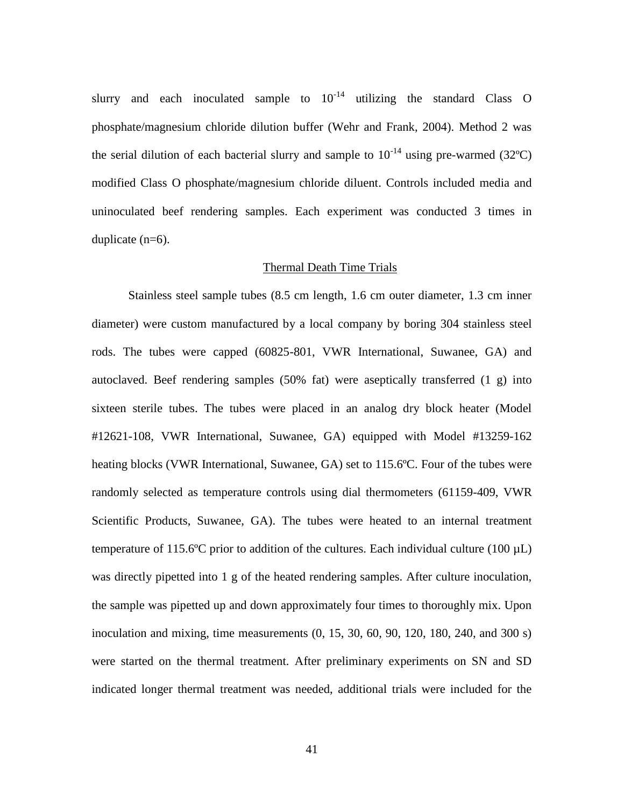slurry and each inoculated sample to  $10^{-14}$  utilizing the standard Class O phosphate/magnesium chloride dilution buffer (Wehr and Frank, 2004). Method 2 was the serial dilution of each bacterial slurry and sample to  $10^{-14}$  using pre-warmed (32°C) modified Class O phosphate/magnesium chloride diluent. Controls included media and uninoculated beef rendering samples. Each experiment was conducted 3 times in duplicate (n=6).

### Thermal Death Time Trials

Stainless steel sample tubes (8.5 cm length, 1.6 cm outer diameter, 1.3 cm inner diameter) were custom manufactured by a local company by boring 304 stainless steel rods. The tubes were capped (60825-801, VWR International, Suwanee, GA) and autoclaved. Beef rendering samples (50% fat) were aseptically transferred (1 g) into sixteen sterile tubes. The tubes were placed in an analog dry block heater (Model #12621-108, VWR International, Suwanee, GA) equipped with Model #13259-162 heating blocks (VWR International, Suwanee, GA) set to 115.6ºC. Four of the tubes were randomly selected as temperature controls using dial thermometers (61159-409, VWR Scientific Products, Suwanee, GA). The tubes were heated to an internal treatment temperature of 115.6°C prior to addition of the cultures. Each individual culture (100  $\mu$ L) was directly pipetted into 1 g of the heated rendering samples. After culture inoculation, the sample was pipetted up and down approximately four times to thoroughly mix. Upon inoculation and mixing, time measurements (0, 15, 30, 60, 90, 120, 180, 240, and 300 s) were started on the thermal treatment. After preliminary experiments on SN and SD indicated longer thermal treatment was needed, additional trials were included for the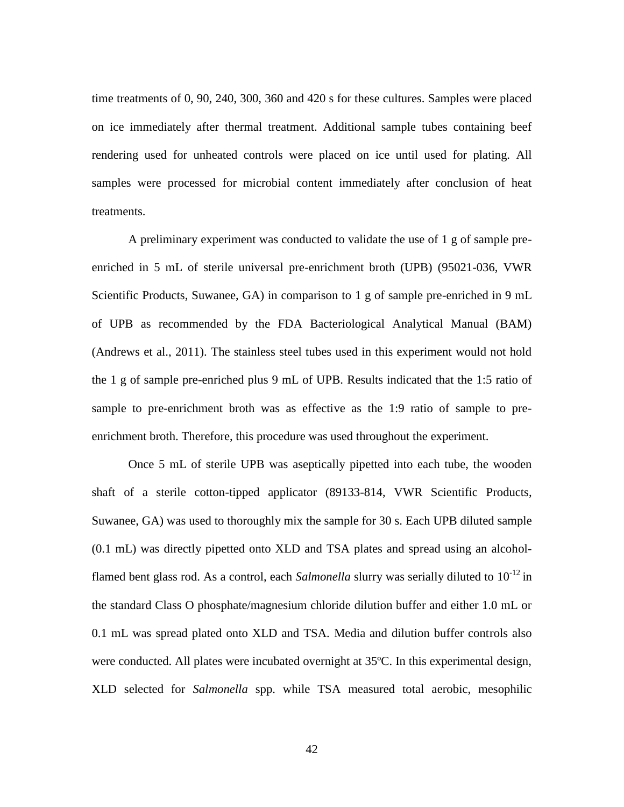time treatments of 0, 90, 240, 300, 360 and 420 s for these cultures. Samples were placed on ice immediately after thermal treatment. Additional sample tubes containing beef rendering used for unheated controls were placed on ice until used for plating. All samples were processed for microbial content immediately after conclusion of heat treatments.

A preliminary experiment was conducted to validate the use of 1 g of sample preenriched in 5 mL of sterile universal pre-enrichment broth (UPB) (95021-036, VWR Scientific Products, Suwanee, GA) in comparison to 1 g of sample pre-enriched in 9 mL of UPB as recommended by the FDA Bacteriological Analytical Manual (BAM) (Andrews et al., 2011). The stainless steel tubes used in this experiment would not hold the 1 g of sample pre-enriched plus 9 mL of UPB. Results indicated that the 1:5 ratio of sample to pre-enrichment broth was as effective as the 1:9 ratio of sample to preenrichment broth. Therefore, this procedure was used throughout the experiment.

Once 5 mL of sterile UPB was aseptically pipetted into each tube, the wooden shaft of a sterile cotton-tipped applicator (89133-814, VWR Scientific Products, Suwanee, GA) was used to thoroughly mix the sample for 30 s. Each UPB diluted sample (0.1 mL) was directly pipetted onto XLD and TSA plates and spread using an alcoholflamed bent glass rod. As a control, each *Salmonella* slurry was serially diluted to 10-12 in the standard Class O phosphate/magnesium chloride dilution buffer and either 1.0 mL or 0.1 mL was spread plated onto XLD and TSA. Media and dilution buffer controls also were conducted. All plates were incubated overnight at 35ºC. In this experimental design, XLD selected for *Salmonella* spp. while TSA measured total aerobic, mesophilic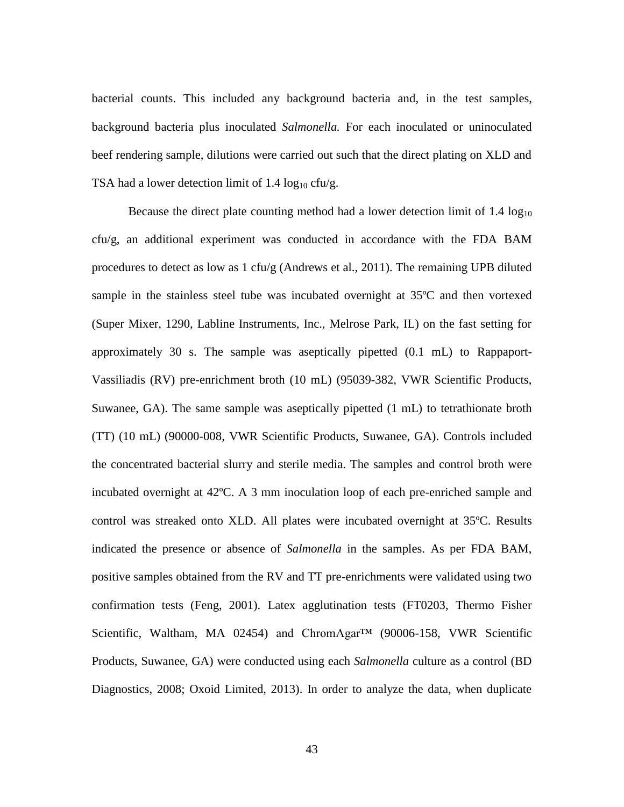bacterial counts. This included any background bacteria and, in the test samples, background bacteria plus inoculated *Salmonella.* For each inoculated or uninoculated beef rendering sample, dilutions were carried out such that the direct plating on XLD and TSA had a lower detection limit of 1.4  $log_{10}$  cfu/g.

Because the direct plate counting method had a lower detection limit of  $1.4 \log_{10}$ cfu/g, an additional experiment was conducted in accordance with the FDA BAM procedures to detect as low as 1 cfu/g (Andrews et al., 2011). The remaining UPB diluted sample in the stainless steel tube was incubated overnight at 35ºC and then vortexed (Super Mixer, 1290, Labline Instruments, Inc., Melrose Park, IL) on the fast setting for approximately 30 s. The sample was aseptically pipetted (0.1 mL) to Rappaport-Vassiliadis (RV) pre-enrichment broth (10 mL) (95039-382, VWR Scientific Products, Suwanee, GA). The same sample was aseptically pipetted (1 mL) to tetrathionate broth (TT) (10 mL) (90000-008, VWR Scientific Products, Suwanee, GA). Controls included the concentrated bacterial slurry and sterile media. The samples and control broth were incubated overnight at 42ºC. A 3 mm inoculation loop of each pre-enriched sample and control was streaked onto XLD. All plates were incubated overnight at 35ºC. Results indicated the presence or absence of *Salmonella* in the samples. As per FDA BAM, positive samples obtained from the RV and TT pre-enrichments were validated using two confirmation tests (Feng, 2001). Latex agglutination tests (FT0203, Thermo Fisher Scientific, Waltham, MA 02454) and ChromAgar<sup>™</sup> (90006-158, VWR Scientific Products, Suwanee, GA) were conducted using each *Salmonella* culture as a control (BD Diagnostics, 2008; Oxoid Limited, 2013). In order to analyze the data, when duplicate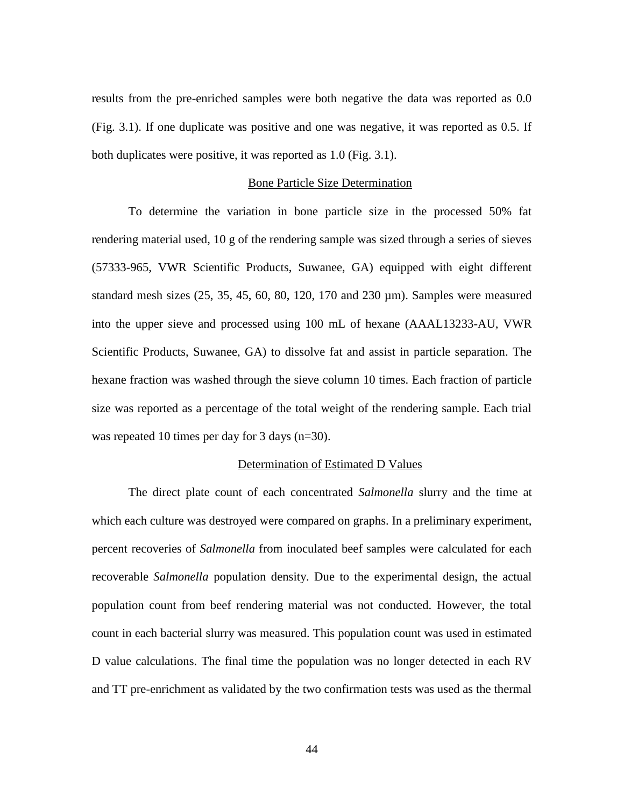results from the pre-enriched samples were both negative the data was reported as 0.0 (Fig. 3.1). If one duplicate was positive and one was negative, it was reported as 0.5. If both duplicates were positive, it was reported as 1.0 (Fig. 3.1).

### Bone Particle Size Determination

To determine the variation in bone particle size in the processed 50% fat rendering material used, 10 g of the rendering sample was sized through a series of sieves (57333-965, VWR Scientific Products, Suwanee, GA) equipped with eight different standard mesh sizes (25, 35, 45, 60, 80, 120, 170 and 230 µm). Samples were measured into the upper sieve and processed using 100 mL of hexane (AAAL13233-AU, VWR Scientific Products, Suwanee, GA) to dissolve fat and assist in particle separation. The hexane fraction was washed through the sieve column 10 times. Each fraction of particle size was reported as a percentage of the total weight of the rendering sample. Each trial was repeated 10 times per day for 3 days (n=30).

## Determination of Estimated D Values

The direct plate count of each concentrated *Salmonella* slurry and the time at which each culture was destroyed were compared on graphs. In a preliminary experiment, percent recoveries of *Salmonella* from inoculated beef samples were calculated for each recoverable *Salmonella* population density. Due to the experimental design, the actual population count from beef rendering material was not conducted. However, the total count in each bacterial slurry was measured. This population count was used in estimated D value calculations. The final time the population was no longer detected in each RV and TT pre-enrichment as validated by the two confirmation tests was used as the thermal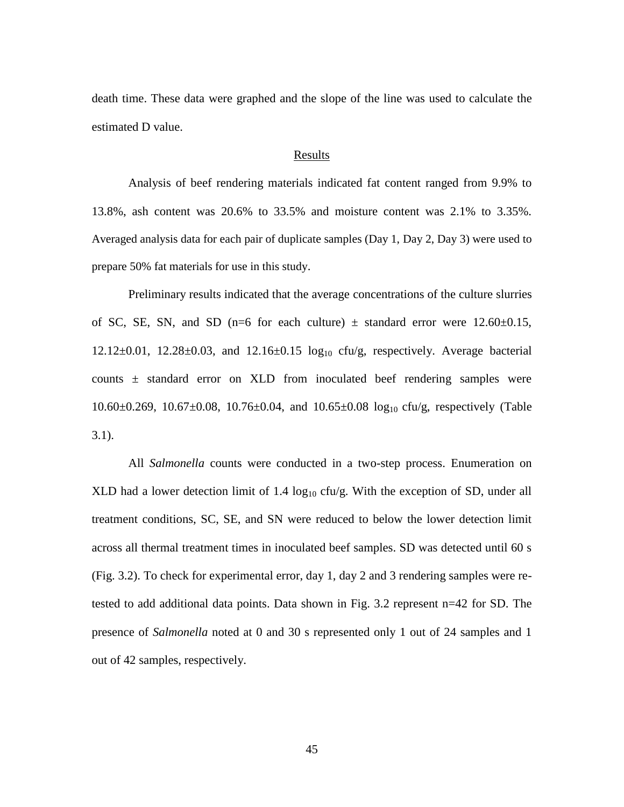death time. These data were graphed and the slope of the line was used to calculate the estimated D value.

### **Results**

Analysis of beef rendering materials indicated fat content ranged from 9.9% to 13.8%, ash content was 20.6% to 33.5% and moisture content was 2.1% to 3.35%. Averaged analysis data for each pair of duplicate samples (Day 1, Day 2, Day 3) were used to prepare 50% fat materials for use in this study.

Preliminary results indicated that the average concentrations of the culture slurries of SC, SE, SN, and SD (n=6 for each culture)  $\pm$  standard error were 12.60 $\pm$ 0.15,  $12.12 \pm 0.01$ ,  $12.28 \pm 0.03$ , and  $12.16 \pm 0.15$   $\log_{10}$  cfu/g, respectively. Average bacterial counts  $\pm$  standard error on XLD from inoculated beef rendering samples were 10.60±0.269, 10.67±0.08, 10.76±0.04, and 10.65±0.08 log10 cfu/g, respectively (Table  $3.1$ ).

All *Salmonella* counts were conducted in a two-step process. Enumeration on XLD had a lower detection limit of 1.4  $log_{10}$  cfu/g. With the exception of SD, under all treatment conditions, SC, SE, and SN were reduced to below the lower detection limit across all thermal treatment times in inoculated beef samples. SD was detected until 60 s (Fig. 3.2). To check for experimental error, day 1, day 2 and 3 rendering samples were retested to add additional data points. Data shown in Fig. 3.2 represent n=42 for SD. The presence of *Salmonella* noted at 0 and 30 s represented only 1 out of 24 samples and 1 out of 42 samples, respectively.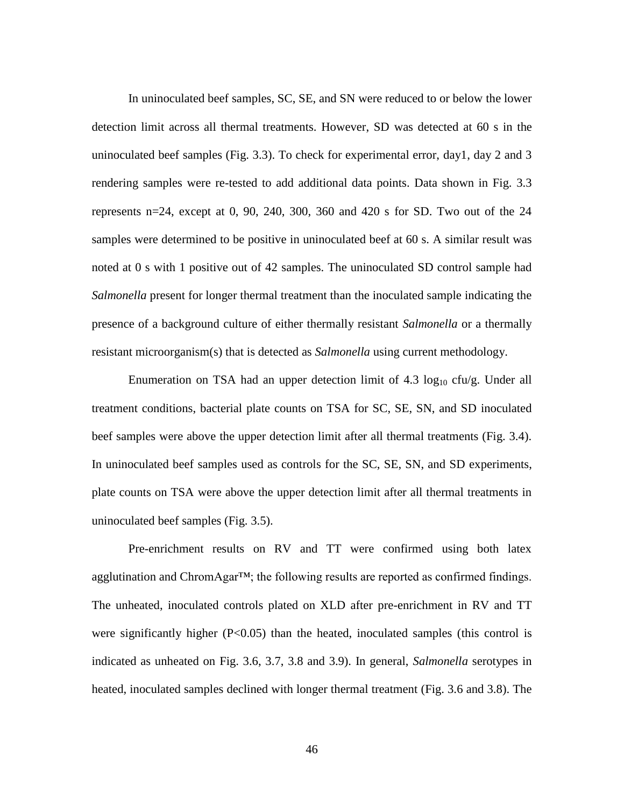In uninoculated beef samples, SC, SE, and SN were reduced to or below the lower detection limit across all thermal treatments. However, SD was detected at 60 s in the uninoculated beef samples (Fig. 3.3). To check for experimental error, day1, day 2 and 3 rendering samples were re-tested to add additional data points. Data shown in Fig. 3.3 represents n=24, except at 0, 90, 240, 300, 360 and 420 s for SD. Two out of the 24 samples were determined to be positive in uninoculated beef at 60 s. A similar result was noted at 0 s with 1 positive out of 42 samples. The uninoculated SD control sample had *Salmonella* present for longer thermal treatment than the inoculated sample indicating the presence of a background culture of either thermally resistant *Salmonella* or a thermally resistant microorganism(s) that is detected as *Salmonella* using current methodology.

Enumeration on TSA had an upper detection limit of  $4.3 \log_{10} c f u/g$ . Under all treatment conditions, bacterial plate counts on TSA for SC, SE, SN, and SD inoculated beef samples were above the upper detection limit after all thermal treatments (Fig. 3.4). In uninoculated beef samples used as controls for the SC, SE, SN, and SD experiments, plate counts on TSA were above the upper detection limit after all thermal treatments in uninoculated beef samples (Fig. 3.5).

Pre-enrichment results on RV and TT were confirmed using both latex agglutination and ChromAgar™; the following results are reported as confirmed findings. The unheated, inoculated controls plated on XLD after pre-enrichment in RV and TT were significantly higher  $(P<0.05)$  than the heated, inoculated samples (this control is indicated as unheated on Fig. 3.6, 3.7, 3.8 and 3.9). In general, *Salmonella* serotypes in heated, inoculated samples declined with longer thermal treatment (Fig. 3.6 and 3.8). The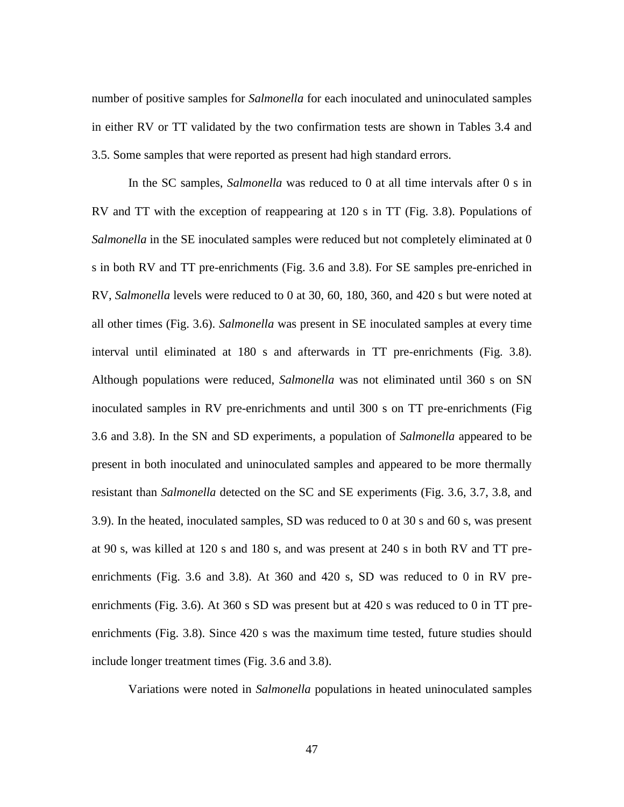number of positive samples for *Salmonella* for each inoculated and uninoculated samples in either RV or TT validated by the two confirmation tests are shown in Tables 3.4 and 3.5. Some samples that were reported as present had high standard errors.

In the SC samples, *Salmonella* was reduced to 0 at all time intervals after 0 s in RV and TT with the exception of reappearing at 120 s in TT (Fig. 3.8). Populations of *Salmonella* in the SE inoculated samples were reduced but not completely eliminated at 0 s in both RV and TT pre-enrichments (Fig. 3.6 and 3.8). For SE samples pre-enriched in RV, *Salmonella* levels were reduced to 0 at 30, 60, 180, 360, and 420 s but were noted at all other times (Fig. 3.6). *Salmonella* was present in SE inoculated samples at every time interval until eliminated at 180 s and afterwards in TT pre-enrichments (Fig. 3.8). Although populations were reduced, *Salmonella* was not eliminated until 360 s on SN inoculated samples in RV pre-enrichments and until 300 s on TT pre-enrichments (Fig 3.6 and 3.8). In the SN and SD experiments, a population of *Salmonella* appeared to be present in both inoculated and uninoculated samples and appeared to be more thermally resistant than *Salmonella* detected on the SC and SE experiments (Fig. 3.6, 3.7, 3.8, and 3.9). In the heated, inoculated samples, SD was reduced to 0 at 30 s and 60 s, was present at 90 s, was killed at 120 s and 180 s, and was present at 240 s in both RV and TT preenrichments (Fig. 3.6 and 3.8). At 360 and 420 s, SD was reduced to 0 in RV preenrichments (Fig. 3.6). At 360 s SD was present but at 420 s was reduced to 0 in TT preenrichments (Fig. 3.8). Since 420 s was the maximum time tested, future studies should include longer treatment times (Fig. 3.6 and 3.8).

Variations were noted in *Salmonella* populations in heated uninoculated samples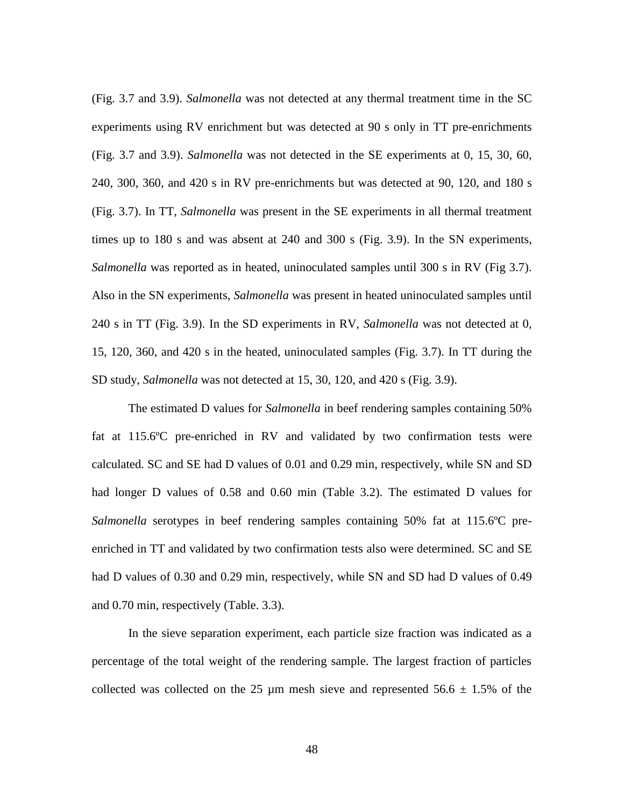(Fig. 3.7 and 3.9). *Salmonella* was not detected at any thermal treatment time in the SC experiments using RV enrichment but was detected at 90 s only in TT pre-enrichments (Fig. 3.7 and 3.9). *Salmonella* was not detected in the SE experiments at 0, 15, 30, 60, 240, 300, 360, and 420 s in RV pre-enrichments but was detected at 90, 120, and 180 s (Fig. 3.7). In TT, *Salmonella* was present in the SE experiments in all thermal treatment times up to 180 s and was absent at 240 and 300 s (Fig. 3.9). In the SN experiments, *Salmonella* was reported as in heated, uninoculated samples until 300 s in RV (Fig 3.7). Also in the SN experiments, *Salmonella* was present in heated uninoculated samples until 240 s in TT (Fig. 3.9). In the SD experiments in RV, *Salmonella* was not detected at 0, 15, 120, 360, and 420 s in the heated, uninoculated samples (Fig. 3.7). In TT during the SD study, *Salmonella* was not detected at 15, 30, 120, and 420 s (Fig. 3.9).

The estimated D values for *Salmonella* in beef rendering samples containing 50% fat at 115.6ºC pre-enriched in RV and validated by two confirmation tests were calculated. SC and SE had D values of 0.01 and 0.29 min, respectively, while SN and SD had longer D values of 0.58 and 0.60 min (Table 3.2). The estimated D values for *Salmonella* serotypes in beef rendering samples containing 50% fat at 115.6ºC preenriched in TT and validated by two confirmation tests also were determined. SC and SE had D values of 0.30 and 0.29 min, respectively, while SN and SD had D values of 0.49 and 0.70 min, respectively (Table. 3.3).

In the sieve separation experiment, each particle size fraction was indicated as a percentage of the total weight of the rendering sample. The largest fraction of particles collected was collected on the 25  $\mu$ m mesh sieve and represented 56.6  $\pm$  1.5% of the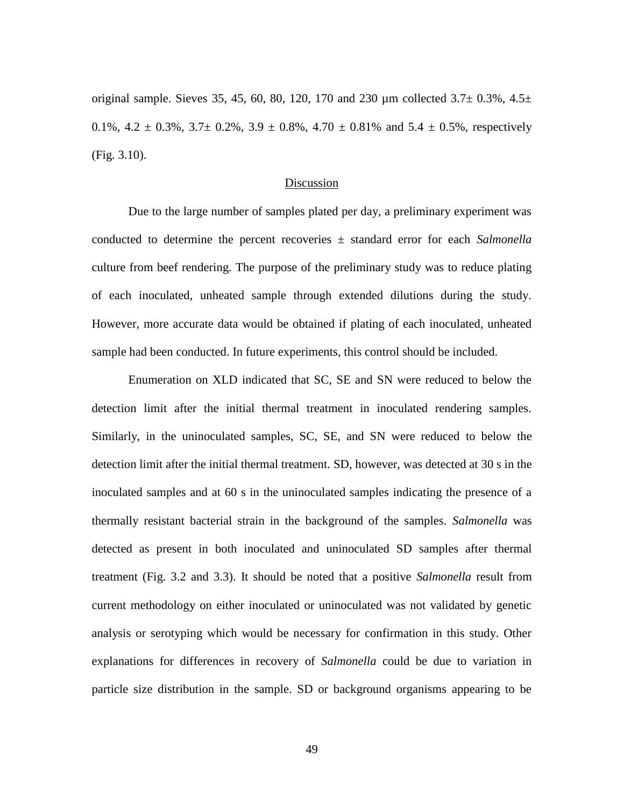original sample. Sieves 35, 45, 60, 80, 120, 170 and 230  $\mu$ m collected 3.7 $\pm$  0.3%, 4.5 $\pm$ 0.1%,  $4.2 \pm 0.3$ %,  $3.7 \pm 0.2$ %,  $3.9 \pm 0.8$ %,  $4.70 \pm 0.81$ % and  $5.4 \pm 0.5$ %, respectively (Fig. 3.10).

## Discussion

Due to the large number of samples plated per day, a preliminary experiment was conducted to determine the percent recoveries ± standard error for each *Salmonella* culture from beef rendering. The purpose of the preliminary study was to reduce plating of each inoculated, unheated sample through extended dilutions during the study. However, more accurate data would be obtained if plating of each inoculated, unheated sample had been conducted. In future experiments, this control should be included.

Enumeration on XLD indicated that SC, SE and SN were reduced to below the detection limit after the initial thermal treatment in inoculated rendering samples. Similarly, in the uninoculated samples, SC, SE, and SN were reduced to below the detection limit after the initial thermal treatment. SD, however, was detected at 30 s in the inoculated samples and at 60 s in the uninoculated samples indicating the presence of a thermally resistant bacterial strain in the background of the samples. *Salmonella* was detected as present in both inoculated and uninoculated SD samples after thermal treatment (Fig. 3.2 and 3.3). It should be noted that a positive *Salmonella* result from current methodology on either inoculated or uninoculated was not validated by genetic analysis or serotyping which would be necessary for confirmation in this study. Other explanations for differences in recovery of *Salmonella* could be due to variation in particle size distribution in the sample. SD or background organisms appearing to be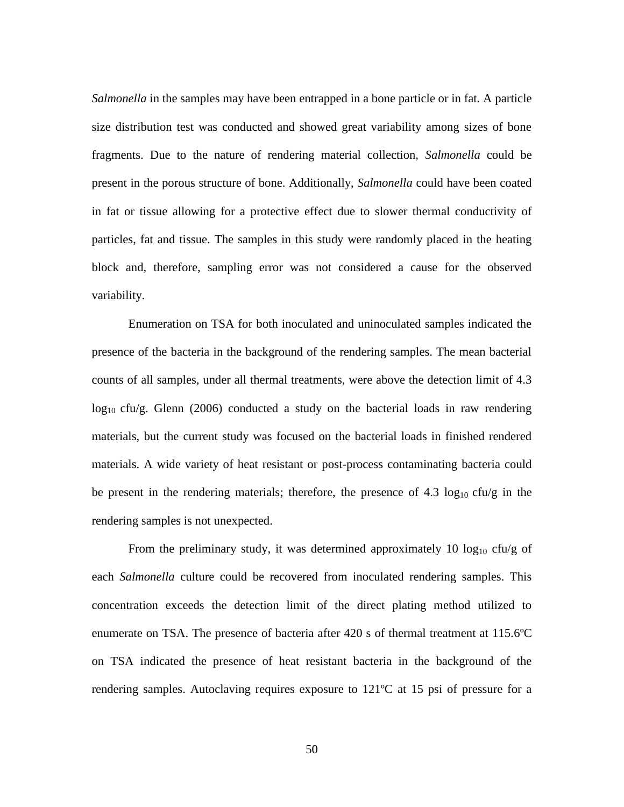*Salmonella* in the samples may have been entrapped in a bone particle or in fat. A particle size distribution test was conducted and showed great variability among sizes of bone fragments. Due to the nature of rendering material collection, *Salmonella* could be present in the porous structure of bone. Additionally, *Salmonella* could have been coated in fat or tissue allowing for a protective effect due to slower thermal conductivity of particles, fat and tissue. The samples in this study were randomly placed in the heating block and, therefore, sampling error was not considered a cause for the observed variability.

Enumeration on TSA for both inoculated and uninoculated samples indicated the presence of the bacteria in the background of the rendering samples. The mean bacterial counts of all samples, under all thermal treatments, were above the detection limit of 4.3  $log_{10}$  cfu/g. Glenn (2006) conducted a study on the bacterial loads in raw rendering materials, but the current study was focused on the bacterial loads in finished rendered materials. A wide variety of heat resistant or post-process contaminating bacteria could be present in the rendering materials; therefore, the presence of  $4.3 \log_{10} ctu/g$  in the rendering samples is not unexpected.

From the preliminary study, it was determined approximately 10  $log_{10}$  cfu/g of each *Salmonella* culture could be recovered from inoculated rendering samples. This concentration exceeds the detection limit of the direct plating method utilized to enumerate on TSA. The presence of bacteria after 420 s of thermal treatment at 115.6ºC on TSA indicated the presence of heat resistant bacteria in the background of the rendering samples. Autoclaving requires exposure to 121ºC at 15 psi of pressure for a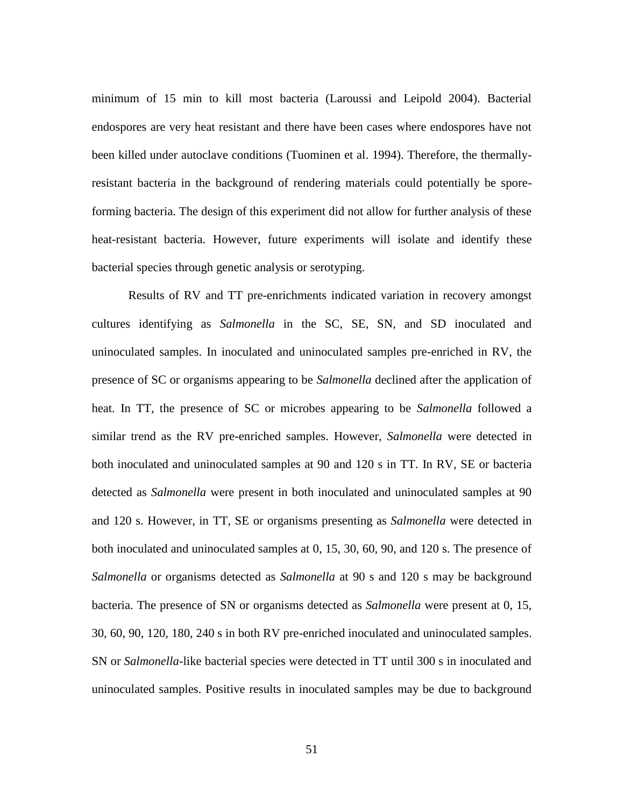minimum of 15 min to kill most bacteria (Laroussi and Leipold 2004). Bacterial endospores are very heat resistant and there have been cases where endospores have not been killed under autoclave conditions (Tuominen et al. 1994). Therefore, the thermallyresistant bacteria in the background of rendering materials could potentially be sporeforming bacteria. The design of this experiment did not allow for further analysis of these heat-resistant bacteria. However, future experiments will isolate and identify these bacterial species through genetic analysis or serotyping.

Results of RV and TT pre-enrichments indicated variation in recovery amongst cultures identifying as *Salmonella* in the SC, SE, SN, and SD inoculated and uninoculated samples. In inoculated and uninoculated samples pre-enriched in RV, the presence of SC or organisms appearing to be *Salmonella* declined after the application of heat. In TT, the presence of SC or microbes appearing to be *Salmonella* followed a similar trend as the RV pre-enriched samples. However, *Salmonella* were detected in both inoculated and uninoculated samples at 90 and 120 s in TT. In RV, SE or bacteria detected as *Salmonella* were present in both inoculated and uninoculated samples at 90 and 120 s. However, in TT, SE or organisms presenting as *Salmonella* were detected in both inoculated and uninoculated samples at 0, 15, 30, 60, 90, and 120 s. The presence of *Salmonella* or organisms detected as *Salmonella* at 90 s and 120 s may be background bacteria. The presence of SN or organisms detected as *Salmonella* were present at 0, 15, 30, 60, 90, 120, 180, 240 s in both RV pre-enriched inoculated and uninoculated samples. SN or *Salmonella*-like bacterial species were detected in TT until 300 s in inoculated and uninoculated samples. Positive results in inoculated samples may be due to background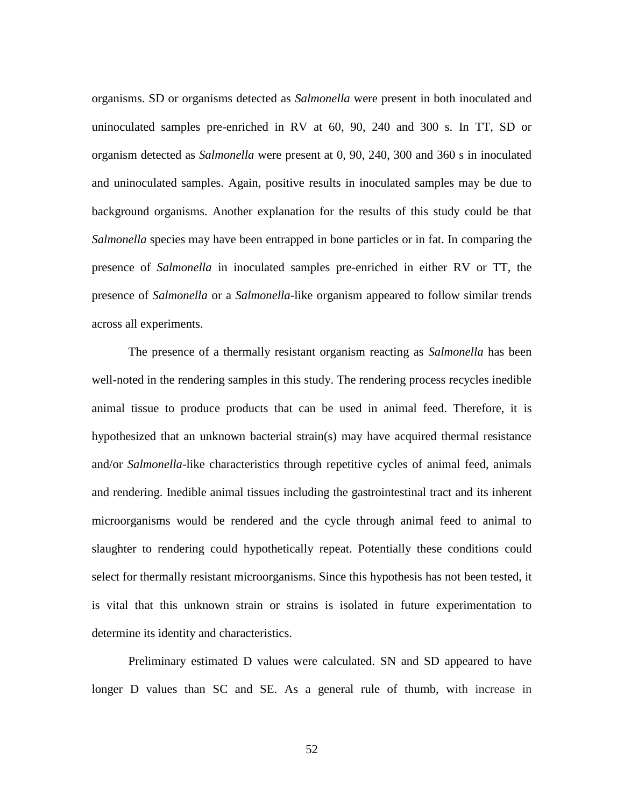organisms. SD or organisms detected as *Salmonella* were present in both inoculated and uninoculated samples pre-enriched in RV at 60, 90, 240 and 300 s. In TT, SD or organism detected as *Salmonella* were present at 0, 90, 240, 300 and 360 s in inoculated and uninoculated samples. Again, positive results in inoculated samples may be due to background organisms. Another explanation for the results of this study could be that *Salmonella* species may have been entrapped in bone particles or in fat. In comparing the presence of *Salmonella* in inoculated samples pre-enriched in either RV or TT, the presence of *Salmonella* or a *Salmonella*-like organism appeared to follow similar trends across all experiments.

The presence of a thermally resistant organism reacting as *Salmonella* has been well-noted in the rendering samples in this study. The rendering process recycles inedible animal tissue to produce products that can be used in animal feed. Therefore, it is hypothesized that an unknown bacterial strain(s) may have acquired thermal resistance and/or *Salmonella-*like characteristics through repetitive cycles of animal feed, animals and rendering. Inedible animal tissues including the gastrointestinal tract and its inherent microorganisms would be rendered and the cycle through animal feed to animal to slaughter to rendering could hypothetically repeat. Potentially these conditions could select for thermally resistant microorganisms. Since this hypothesis has not been tested, it is vital that this unknown strain or strains is isolated in future experimentation to determine its identity and characteristics.

Preliminary estimated D values were calculated. SN and SD appeared to have longer D values than SC and SE. As a general rule of thumb, with increase in

52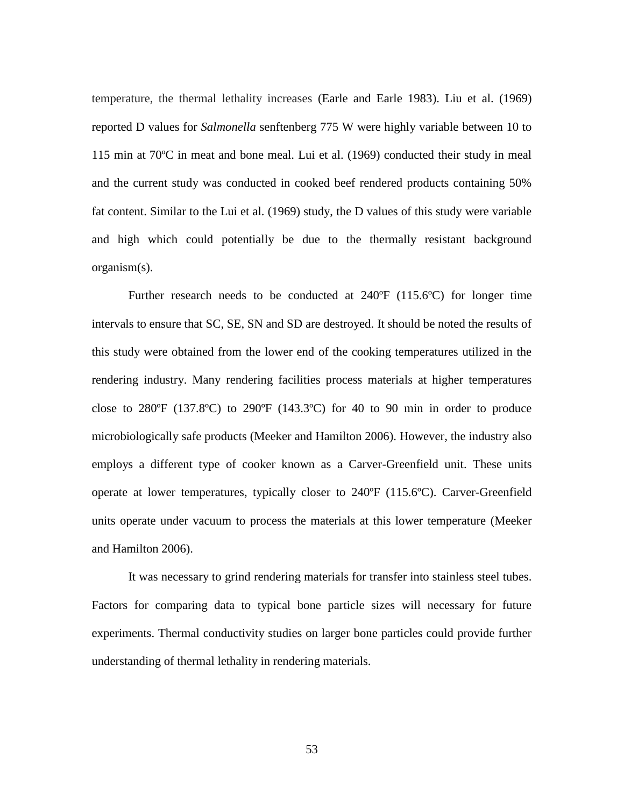temperature, the thermal lethality increases (Earle and Earle 1983). Liu et al. (1969) reported D values for *Salmonella* senftenberg 775 W were highly variable between 10 to 115 min at 70ºC in meat and bone meal. Lui et al. (1969) conducted their study in meal and the current study was conducted in cooked beef rendered products containing 50% fat content. Similar to the Lui et al. (1969) study, the D values of this study were variable and high which could potentially be due to the thermally resistant background organism(s).

Further research needs to be conducted at  $240^{\circ}F (115.6^{\circ}C)$  for longer time intervals to ensure that SC, SE, SN and SD are destroyed. It should be noted the results of this study were obtained from the lower end of the cooking temperatures utilized in the rendering industry. Many rendering facilities process materials at higher temperatures close to  $280^{\circ}F$  (137.8°C) to  $290^{\circ}F$  (143.3°C) for 40 to 90 min in order to produce microbiologically safe products (Meeker and Hamilton 2006). However, the industry also employs a different type of cooker known as a Carver-Greenfield unit. These units operate at lower temperatures, typically closer to 240ºF (115.6ºC). Carver-Greenfield units operate under vacuum to process the materials at this lower temperature (Meeker and Hamilton 2006).

It was necessary to grind rendering materials for transfer into stainless steel tubes. Factors for comparing data to typical bone particle sizes will necessary for future experiments. Thermal conductivity studies on larger bone particles could provide further understanding of thermal lethality in rendering materials.

53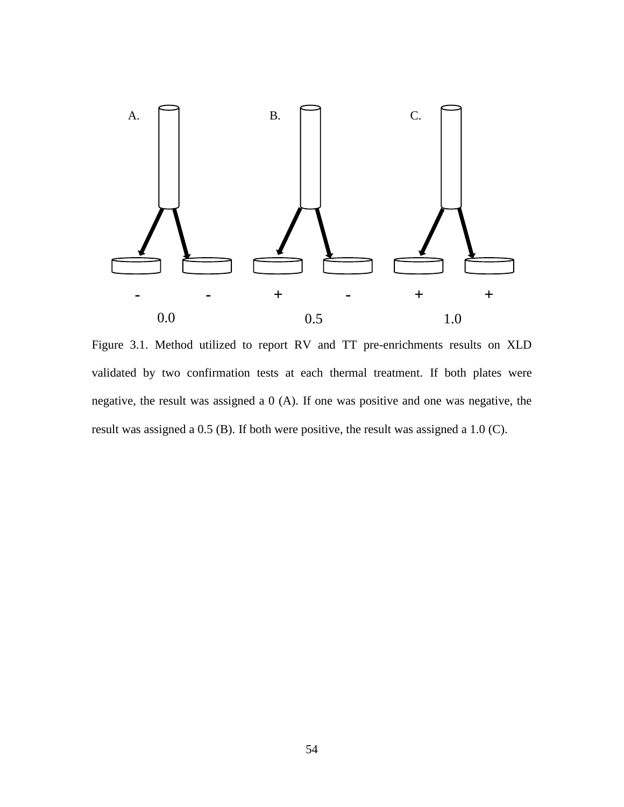

Figure 3.1. Method utilized to report RV and TT pre-enrichments results on XLD validated by two confirmation tests at each thermal treatment. If both plates were negative, the result was assigned a 0 (A). If one was positive and one was negative, the result was assigned a 0.5 (B). If both were positive, the result was assigned a 1.0 (C).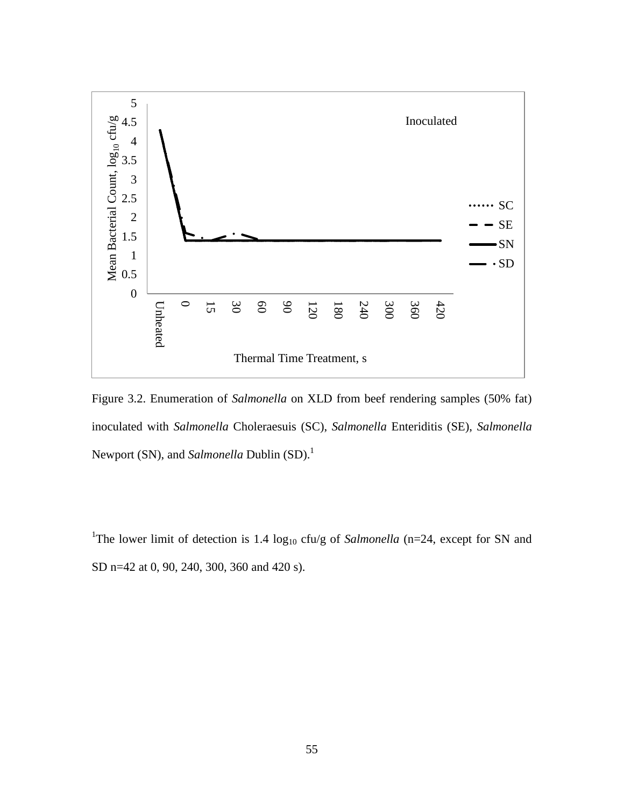

Figure 3.2. Enumeration of *Salmonella* on XLD from beef rendering samples (50% fat) inoculated with *Salmonella* Choleraesuis (SC), *Salmonella* Enteriditis (SE), *Salmonella* Newport (SN), and *Salmonella* Dublin (SD). 1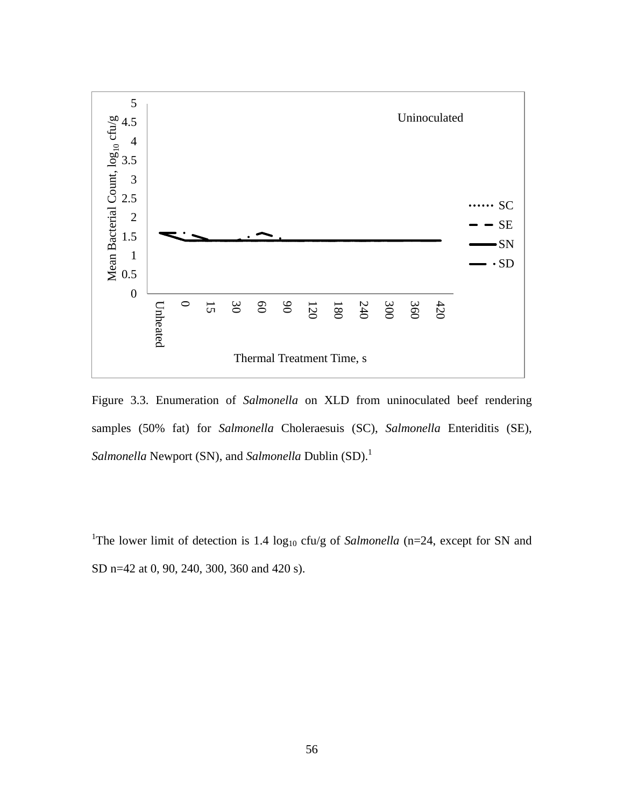

Figure 3.3. Enumeration of *Salmonella* on XLD from uninoculated beef rendering samples (50% fat) for *Salmonella* Choleraesuis (SC), *Salmonella* Enteriditis (SE), *Salmonella* Newport (SN), and *Salmonella* Dublin (SD). 1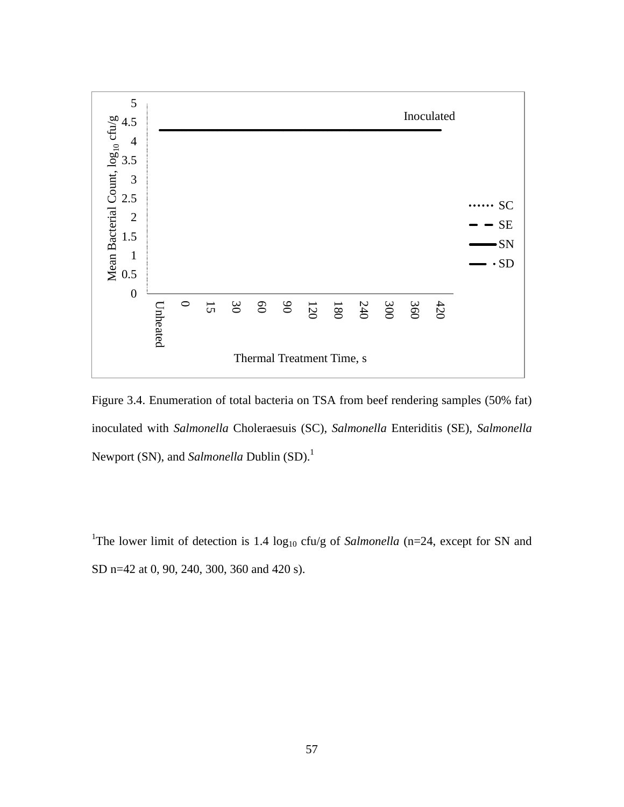

Figure 3.4. Enumeration of total bacteria on TSA from beef rendering samples (50% fat) inoculated with *Salmonella* Choleraesuis (SC), *Salmonella* Enteriditis (SE), *Salmonella* Newport (SN), and *Salmonella* Dublin (SD). 1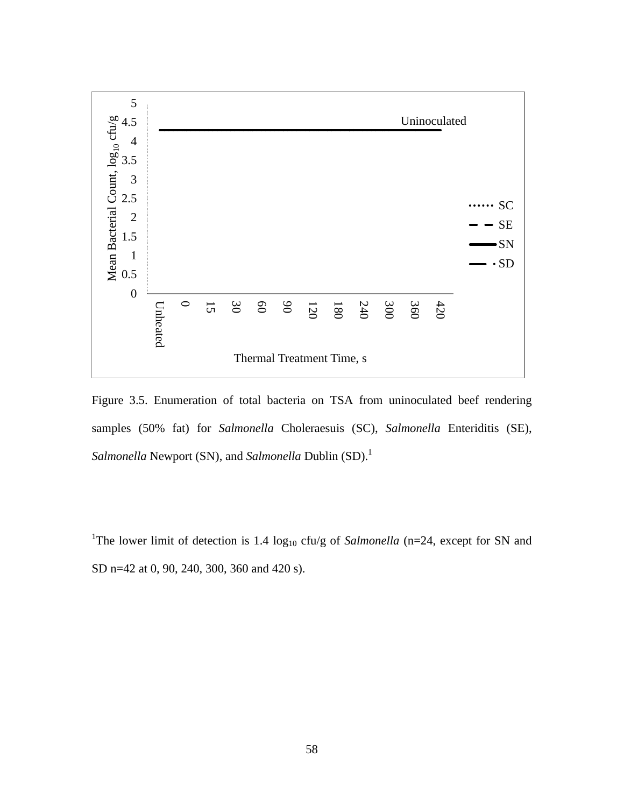

Figure 3.5. Enumeration of total bacteria on TSA from uninoculated beef rendering samples (50% fat) for *Salmonella* Choleraesuis (SC), *Salmonella* Enteriditis (SE), *Salmonella* Newport (SN), and *Salmonella* Dublin (SD).<sup>1</sup>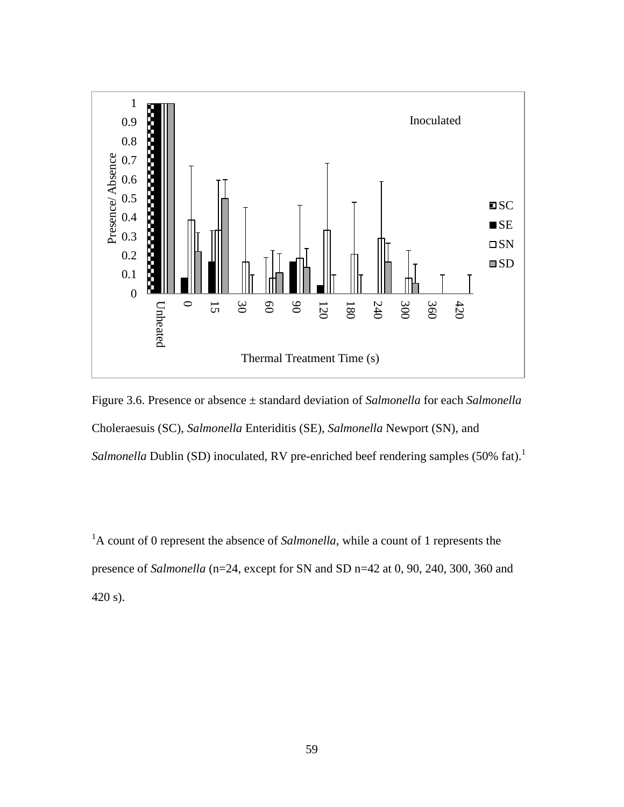

Figure 3.6. Presence or absence ± standard deviation of *Salmonella* for each *Salmonella* Choleraesuis (SC), *Salmonella* Enteriditis (SE), *Salmonella* Newport (SN), and Salmonella Dublin (SD) inoculated, RV pre-enriched beef rendering samples (50% fat).<sup>1</sup>

<sup>1</sup>A count of 0 represent the absence of *Salmonella*, while a count of 1 represents the presence of *Salmonella* (n=24, except for SN and SD n=42 at 0, 90, 240, 300, 360 and 420 s).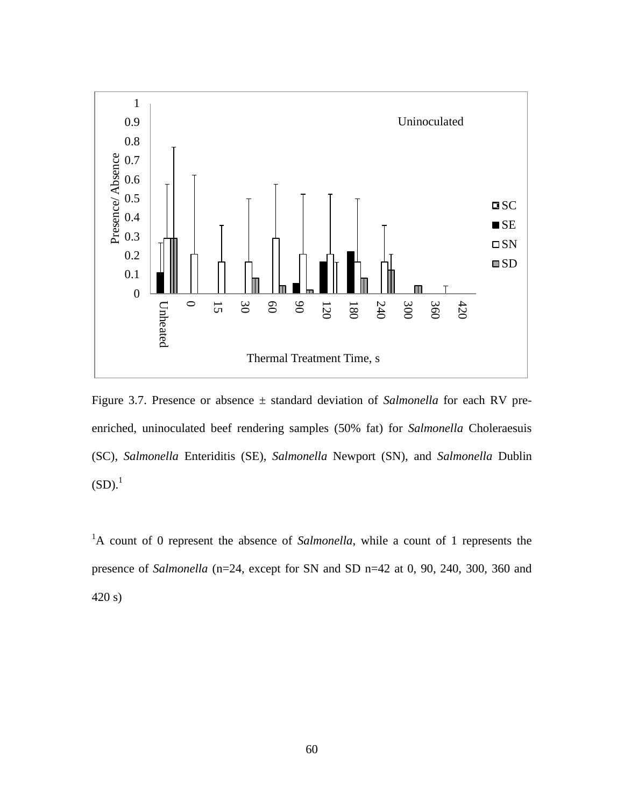

Figure 3.7. Presence or absence ± standard deviation of *Salmonella* for each RV preenriched, uninoculated beef rendering samples (50% fat) for *Salmonella* Choleraesuis (SC), *Salmonella* Enteriditis (SE), *Salmonella* Newport (SN), and *Salmonella* Dublin  $(SD).<sup>1</sup>$ 

<sup>1</sup>A count of 0 represent the absence of *Salmonella*, while a count of 1 represents the presence of *Salmonella* (n=24, except for SN and SD n=42 at 0, 90, 240, 300, 360 and 420 s)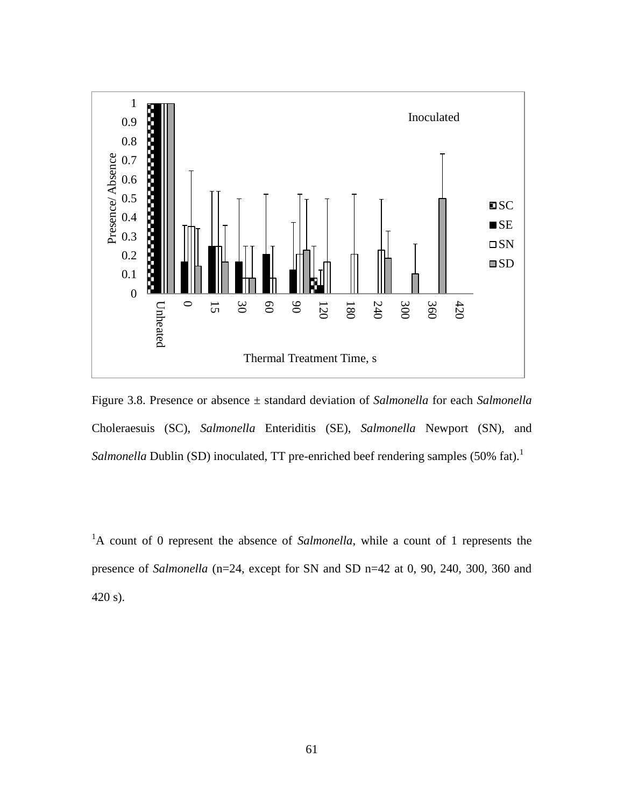

Figure 3.8. Presence or absence ± standard deviation of *Salmonella* for each *Salmonella* Choleraesuis (SC), *Salmonella* Enteriditis (SE), *Salmonella* Newport (SN), and Salmonella Dublin (SD) inoculated, TT pre-enriched beef rendering samples (50% fat).<sup>1</sup>

<sup>1</sup>A count of 0 represent the absence of *Salmonella*, while a count of 1 represents the presence of *Salmonella* (n=24, except for SN and SD n=42 at 0, 90, 240, 300, 360 and 420 s).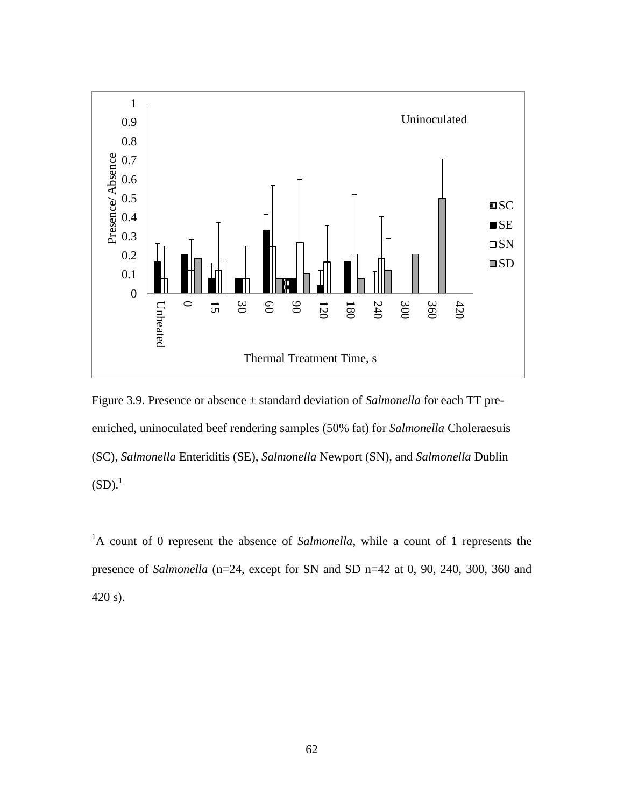

Figure 3.9. Presence or absence ± standard deviation of *Salmonella* for each TT preenriched, uninoculated beef rendering samples (50% fat) for *Salmonella* Choleraesuis (SC), *Salmonella* Enteriditis (SE), *Salmonella* Newport (SN), and *Salmonella* Dublin  $(SD).<sup>1</sup>$ 

<sup>1</sup>A count of 0 represent the absence of *Salmonella*, while a count of 1 represents the presence of *Salmonella* (n=24, except for SN and SD n=42 at 0, 90, 240, 300, 360 and 420 s).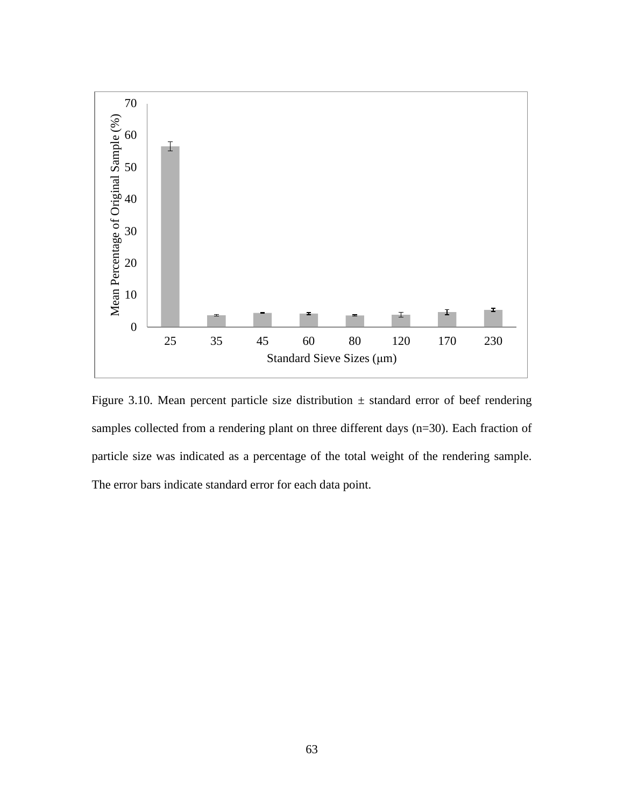

Figure 3.10. Mean percent particle size distribution  $\pm$  standard error of beef rendering samples collected from a rendering plant on three different days (n=30). Each fraction of particle size was indicated as a percentage of the total weight of the rendering sample. The error bars indicate standard error for each data point.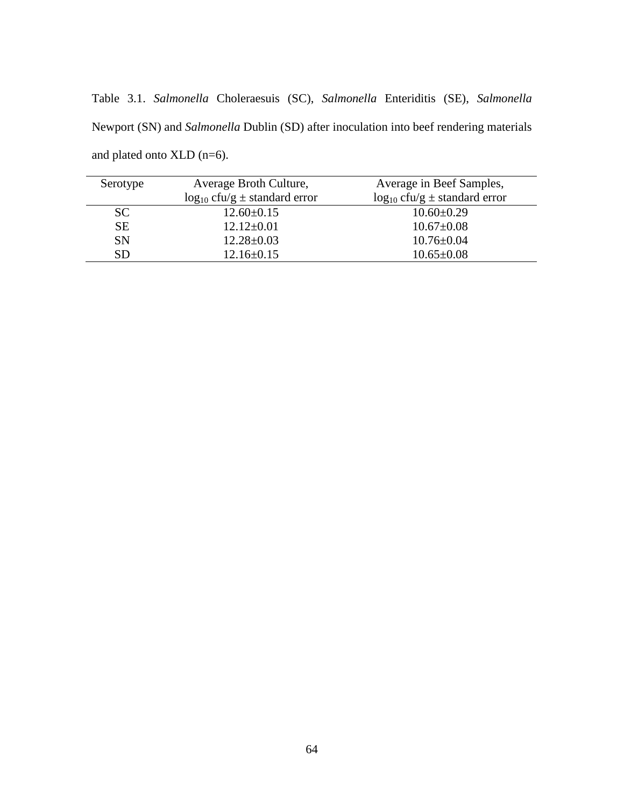Table 3.1. *Salmonella* Choleraesuis (SC), *Salmonella* Enteriditis (SE), *Salmonella* Newport (SN) and *Salmonella* Dublin (SD) after inoculation into beef rendering materials and plated onto XLD (n=6).

| Serotype  | Average Broth Culture,                 | Average in Beef Samples,               |
|-----------|----------------------------------------|----------------------------------------|
|           | $\log_{10}$ cfu/g $\pm$ standard error | $\log_{10}$ cfu/g $\pm$ standard error |
| SC.       | $12.60 \pm 0.15$                       | $10.60 \pm 0.29$                       |
| <b>SE</b> | $12.12 \pm 0.01$                       | $10.67 \pm 0.08$                       |
| <b>SN</b> | $12.28 \pm 0.03$                       | $10.76 \pm 0.04$                       |
| SD        | $12.16 \pm 0.15$                       | $10.65 \pm 0.08$                       |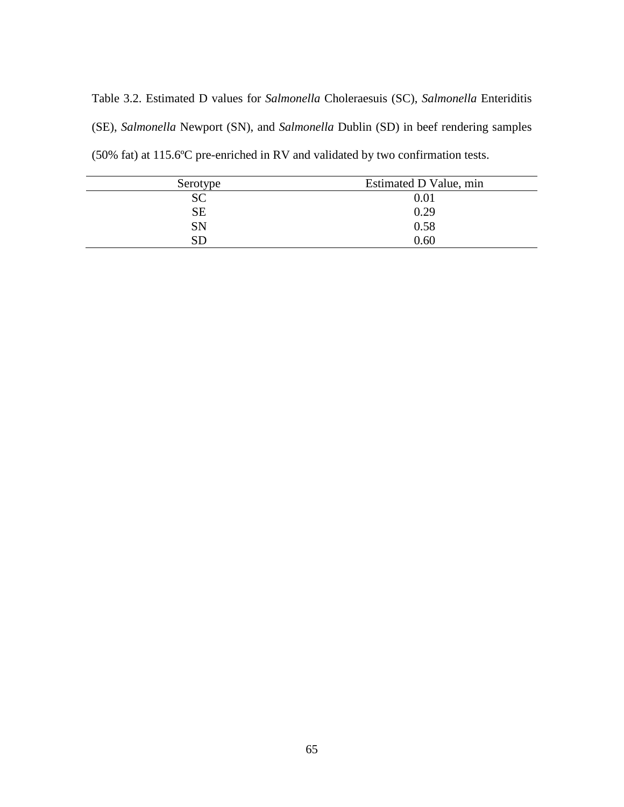Table 3.2. Estimated D values for *Salmonella* Choleraesuis (SC), *Salmonella* Enteriditis (SE), *Salmonella* Newport (SN), and *Salmonella* Dublin (SD) in beef rendering samples (50% fat) at 115.6ºC pre-enriched in RV and validated by two confirmation tests.

| Serotype  | Estimated D Value, min |
|-----------|------------------------|
| <b>SC</b> | $0.01\,$               |
| <b>SE</b> | 0.29                   |
| SN        | 0.58                   |
| SD        | 0.60                   |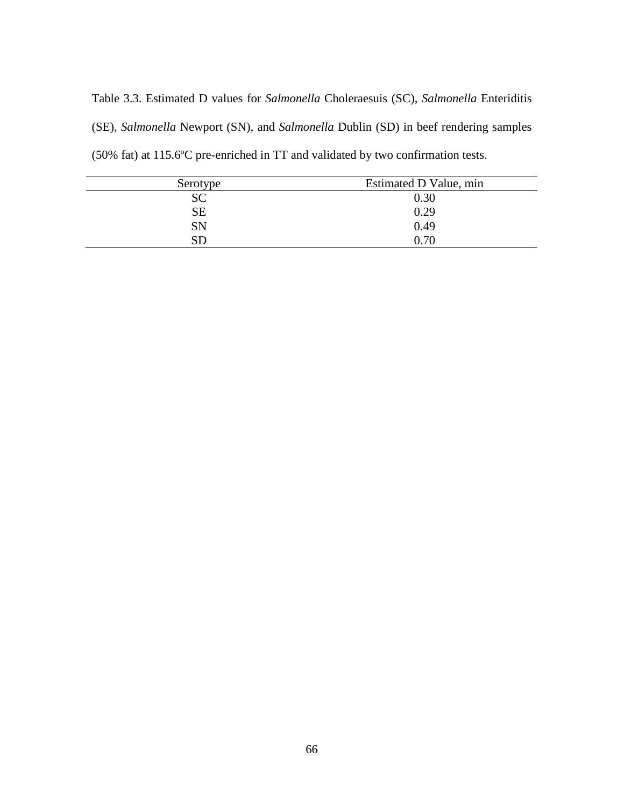Table 3.3. Estimated D values for *Salmonella* Choleraesuis (SC), *Salmonella* Enteriditis (SE), *Salmonella* Newport (SN), and *Salmonella* Dublin (SD) in beef rendering samples (50% fat) at 115.6ºC pre-enriched in TT and validated by two confirmation tests.

| Serotype   | Estimated D Value, min |
|------------|------------------------|
| <b>SC</b>  | 0.30                   |
| <b>SE</b>  | 0.29                   |
| SN         | 0.49                   |
| ${\rm SD}$ | 0.70                   |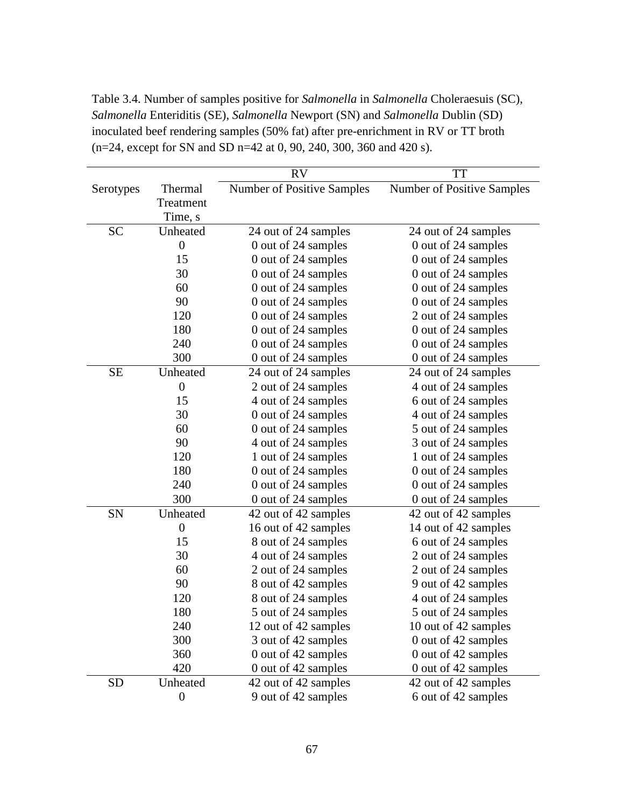Table 3.4. Number of samples positive for *Salmonella* in *Salmonella* Choleraesuis (SC), *Salmonella* Enteriditis (SE), *Salmonella* Newport (SN) and *Salmonella* Dublin (SD) inoculated beef rendering samples (50% fat) after pre-enrichment in RV or TT broth (n=24, except for SN and SD n=42 at 0, 90, 240, 300, 360 and 420 s).

|           |                  | <b>RV</b>                  | <b>TT</b>                  |
|-----------|------------------|----------------------------|----------------------------|
| Serotypes | Thermal          | Number of Positive Samples | Number of Positive Samples |
|           | Treatment        |                            |                            |
|           | Time, s          |                            |                            |
| <b>SC</b> | Unheated         | 24 out of 24 samples       | 24 out of 24 samples       |
|           | $\overline{0}$   | 0 out of 24 samples        | 0 out of 24 samples        |
|           | 15               | 0 out of 24 samples        | 0 out of 24 samples        |
|           | 30               | 0 out of 24 samples        | 0 out of 24 samples        |
|           | 60               | 0 out of 24 samples        | 0 out of 24 samples        |
|           | 90               | 0 out of 24 samples        | 0 out of 24 samples        |
|           | 120              | 0 out of 24 samples        | 2 out of 24 samples        |
|           | 180              | 0 out of 24 samples        | 0 out of 24 samples        |
|           | 240              | 0 out of 24 samples        | 0 out of 24 samples        |
|           | 300              | 0 out of 24 samples        | 0 out of 24 samples        |
| <b>SE</b> | Unheated         | 24 out of 24 samples       | 24 out of 24 samples       |
|           | $\overline{0}$   | 2 out of 24 samples        | 4 out of 24 samples        |
|           | 15               | 4 out of 24 samples        | 6 out of 24 samples        |
|           | 30               | 0 out of 24 samples        | 4 out of 24 samples        |
|           | 60               | 0 out of 24 samples        | 5 out of 24 samples        |
|           | 90               | 4 out of 24 samples        | 3 out of 24 samples        |
|           | 120              | 1 out of 24 samples        | 1 out of 24 samples        |
|           | 180              | 0 out of 24 samples        | 0 out of 24 samples        |
|           | 240              | 0 out of 24 samples        | 0 out of 24 samples        |
|           | 300              | 0 out of 24 samples        | 0 out of 24 samples        |
| SN        | Unheated         | 42 out of 42 samples       | 42 out of 42 samples       |
|           | $\boldsymbol{0}$ | 16 out of 42 samples       | 14 out of 42 samples       |
|           | 15               | 8 out of 24 samples        | 6 out of 24 samples        |
|           | 30               | 4 out of 24 samples        | 2 out of 24 samples        |
|           | 60               | 2 out of 24 samples        | 2 out of 24 samples        |
|           | 90               | 8 out of 42 samples        | 9 out of 42 samples        |
|           | 120              | 8 out of 24 samples        | 4 out of 24 samples        |
|           | 180              | 5 out of 24 samples        | 5 out of 24 samples        |
|           | 240              | 12 out of 42 samples       | 10 out of 42 samples       |
|           | 300              | 3 out of 42 samples        | 0 out of 42 samples        |
|           | 360              | 0 out of 42 samples        | 0 out of 42 samples        |
|           | 420              | 0 out of 42 samples        | 0 out of 42 samples        |
| <b>SD</b> | Unheated         | 42 out of 42 samples       | 42 out of 42 samples       |
|           | $\boldsymbol{0}$ | 9 out of 42 samples        | 6 out of 42 samples        |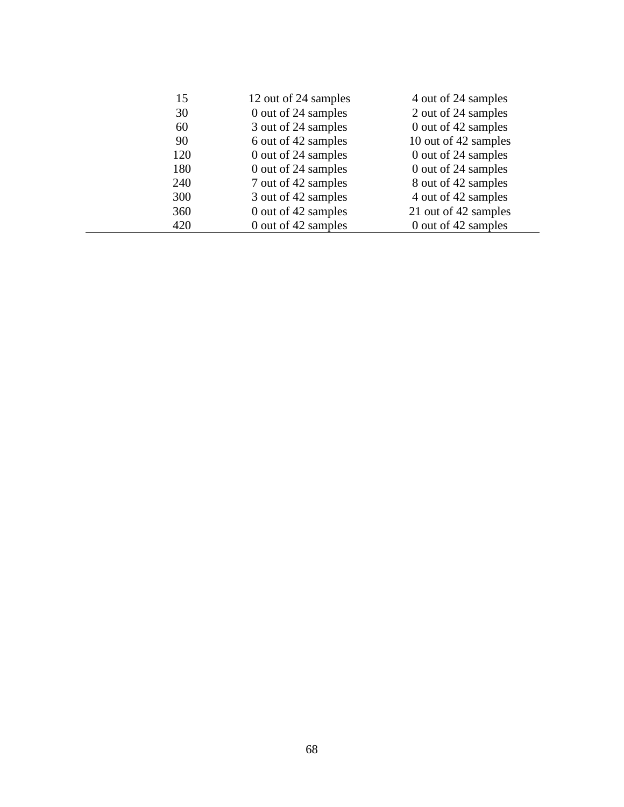| 15  | 12 out of 24 samples | 4 out of 24 samples  |
|-----|----------------------|----------------------|
| 30  | 0 out of 24 samples  | 2 out of 24 samples  |
| 60  | 3 out of 24 samples  | 0 out of 42 samples  |
| 90  | 6 out of 42 samples  | 10 out of 42 samples |
| 120 | 0 out of 24 samples  | 0 out of 24 samples  |
| 180 | 0 out of 24 samples  | 0 out of 24 samples  |
| 240 | 7 out of 42 samples  | 8 out of 42 samples  |
| 300 | 3 out of 42 samples  | 4 out of 42 samples  |
| 360 | 0 out of 42 samples  | 21 out of 42 samples |
| 420 | 0 out of 42 samples  | 0 out of 42 samples  |
|     |                      |                      |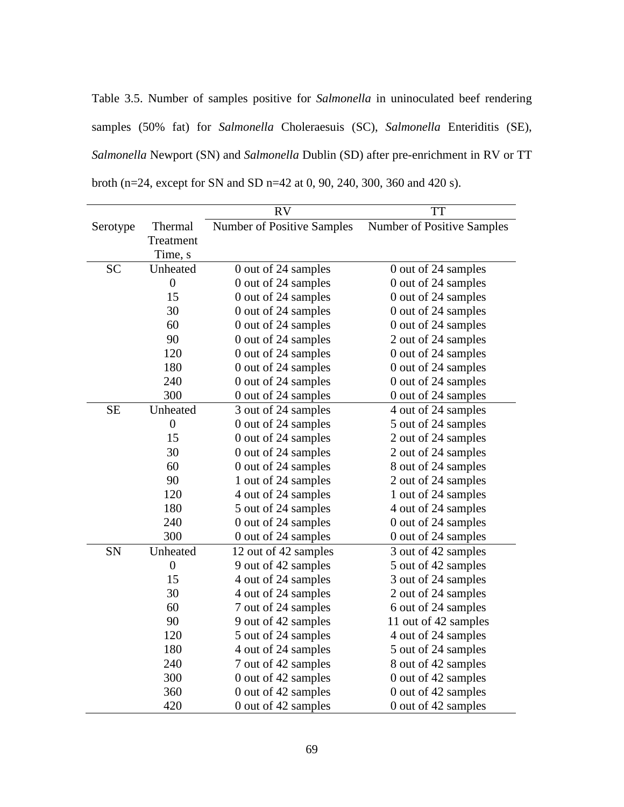Table 3.5. Number of samples positive for *Salmonella* in uninoculated beef rendering samples (50% fat) for *Salmonella* Choleraesuis (SC), *Salmonella* Enteriditis (SE), *Salmonella* Newport (SN) and *Salmonella* Dublin (SD) after pre-enrichment in RV or TT broth (n=24, except for SN and SD n=42 at 0, 90, 240, 300, 360 and 420 s).

|           |                  | <b>RV</b>                         | <b>TT</b>                  |
|-----------|------------------|-----------------------------------|----------------------------|
| Serotype  | Thermal          | <b>Number of Positive Samples</b> | Number of Positive Samples |
|           | Treatment        |                                   |                            |
|           | Time, s          |                                   |                            |
| <b>SC</b> | Unheated         | 0 out of 24 samples               | 0 out of 24 samples        |
|           | $\boldsymbol{0}$ | 0 out of 24 samples               | 0 out of 24 samples        |
|           | 15               | 0 out of 24 samples               | 0 out of 24 samples        |
|           | 30               | 0 out of 24 samples               | 0 out of 24 samples        |
|           | 60               | 0 out of 24 samples               | 0 out of 24 samples        |
|           | 90               | 0 out of 24 samples               | 2 out of 24 samples        |
|           | 120              | 0 out of 24 samples               | 0 out of 24 samples        |
|           | 180              | 0 out of 24 samples               | 0 out of 24 samples        |
|           | 240              | 0 out of 24 samples               | 0 out of 24 samples        |
|           | 300              | 0 out of 24 samples               | 0 out of 24 samples        |
| <b>SE</b> | Unheated         | 3 out of 24 samples               | 4 out of 24 samples        |
|           | $\boldsymbol{0}$ | 0 out of 24 samples               | 5 out of 24 samples        |
|           | 15               | 0 out of 24 samples               | 2 out of 24 samples        |
|           | 30               | 0 out of 24 samples               | 2 out of 24 samples        |
|           | 60               | 0 out of 24 samples               | 8 out of 24 samples        |
|           | 90               | 1 out of 24 samples               | 2 out of 24 samples        |
|           | 120              | 4 out of 24 samples               | 1 out of 24 samples        |
|           | 180              | 5 out of 24 samples               | 4 out of 24 samples        |
|           | 240              | 0 out of 24 samples               | 0 out of 24 samples        |
|           | 300              | 0 out of 24 samples               | 0 out of 24 samples        |
| SN        | Unheated         | 12 out of 42 samples              | 3 out of 42 samples        |
|           | $\boldsymbol{0}$ | 9 out of 42 samples               | 5 out of 42 samples        |
|           | 15               | 4 out of 24 samples               | 3 out of 24 samples        |
|           | 30               | 4 out of 24 samples               | 2 out of 24 samples        |
|           | 60               | 7 out of 24 samples               | 6 out of 24 samples        |
|           | 90               | 9 out of 42 samples               | 11 out of 42 samples       |
|           | 120              | 5 out of 24 samples               | 4 out of 24 samples        |
|           | 180              | 4 out of 24 samples               | 5 out of 24 samples        |
|           | 240              | 7 out of 42 samples               | 8 out of 42 samples        |
|           | 300              | 0 out of 42 samples               | 0 out of 42 samples        |
|           | 360              | 0 out of 42 samples               | 0 out of 42 samples        |
|           | 420              | 0 out of 42 samples               | 0 out of 42 samples        |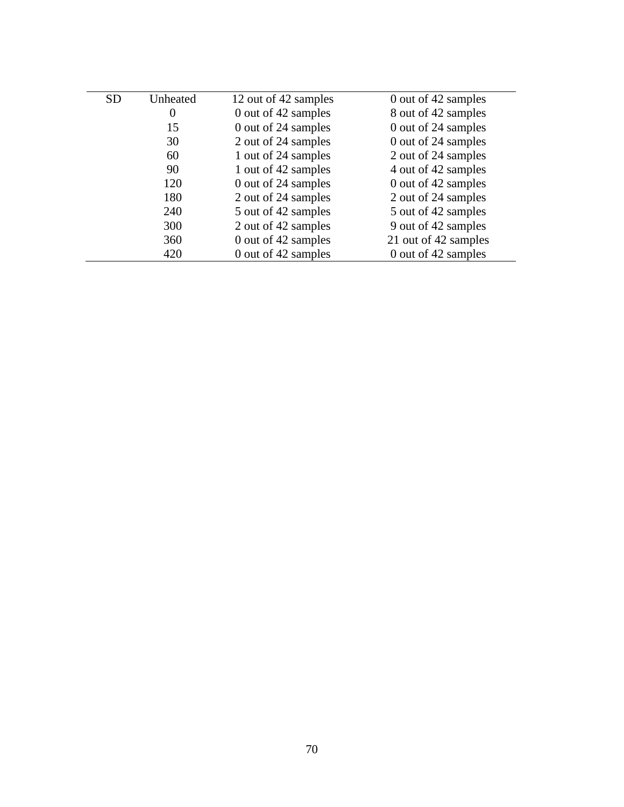| <b>SD</b> | Unheated | 12 out of 42 samples | 0 out of 42 samples  |
|-----------|----------|----------------------|----------------------|
|           | $\theta$ | 0 out of 42 samples  | 8 out of 42 samples  |
|           | 15       | 0 out of 24 samples  | 0 out of 24 samples  |
|           | 30       | 2 out of 24 samples  | 0 out of 24 samples  |
|           | 60       | 1 out of 24 samples  | 2 out of 24 samples  |
|           | 90       | 1 out of 42 samples  | 4 out of 42 samples  |
|           | 120      | 0 out of 24 samples  | 0 out of 42 samples  |
|           | 180      | 2 out of 24 samples  | 2 out of 24 samples  |
|           | 240      | 5 out of 42 samples  | 5 out of 42 samples  |
|           | 300      | 2 out of 42 samples  | 9 out of 42 samples  |
|           | 360      | 0 out of 42 samples  | 21 out of 42 samples |
|           | 420      | 0 out of 42 samples  | 0 out of 42 samples  |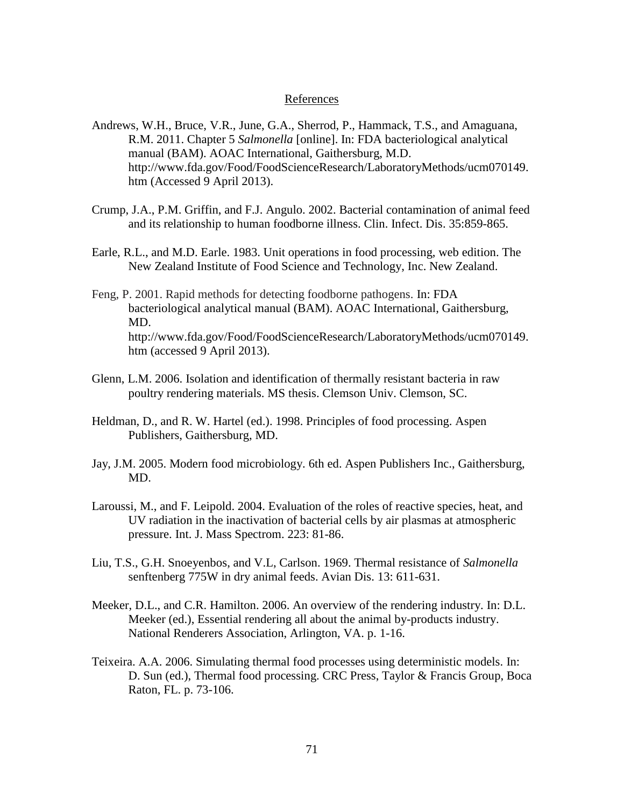#### References

- Andrews, W.H., Bruce, V.R., June, G.A., Sherrod, P., Hammack, T.S., and Amaguana, R.M. 2011. Chapter 5 *Salmonella* [online]. In: FDA bacteriological analytical manual (BAM). AOAC International, Gaithersburg, M.D. http://www.fda.gov/Food/FoodScienceResearch/LaboratoryMethods/ucm070149. htm (Accessed 9 April 2013).
- Crump, J.A., P.M. Griffin, and F.J. Angulo. 2002. Bacterial contamination of animal feed and its relationship to human foodborne illness. Clin. Infect. Dis. 35:859-865.
- Earle, R.L., and M.D. Earle. 1983. Unit operations in food processing, web edition. The New Zealand Institute of Food Science and Technology, Inc. New Zealand.
- Feng, P. 2001. Rapid methods for detecting foodborne pathogens. In: FDA bacteriological analytical manual (BAM). AOAC International, Gaithersburg, MD. http://www.fda.gov/Food/FoodScienceResearch/LaboratoryMethods/ucm070149. htm (accessed 9 April 2013).
- Glenn, L.M. 2006. Isolation and identification of thermally resistant bacteria in raw poultry rendering materials. MS thesis. Clemson Univ. Clemson, SC.
- Heldman, D., and R. W. Hartel (ed.). 1998. Principles of food processing. Aspen Publishers, Gaithersburg, MD.
- Jay, J.M. 2005. Modern food microbiology. 6th ed. Aspen Publishers Inc., Gaithersburg, MD.
- Laroussi, M., and F. Leipold. 2004. Evaluation of the roles of reactive species, heat, and UV radiation in the inactivation of bacterial cells by air plasmas at atmospheric pressure. Int. J. Mass Spectrom. 223: 81-86.
- Liu, T.S., G.H. Snoeyenbos, and V.L, Carlson. 1969. Thermal resistance of *Salmonella* senftenberg 775W in dry animal feeds. Avian Dis. 13: 611-631.
- Meeker, D.L., and C.R. Hamilton. 2006. An overview of the rendering industry. In: D.L. Meeker (ed.), Essential rendering all about the animal by-products industry. National Renderers Association, Arlington, VA. p. 1-16.
- Teixeira. A.A. 2006. Simulating thermal food processes using deterministic models. In: D. Sun (ed.), Thermal food processing. CRC Press, Taylor & Francis Group, Boca Raton, FL. p. 73-106.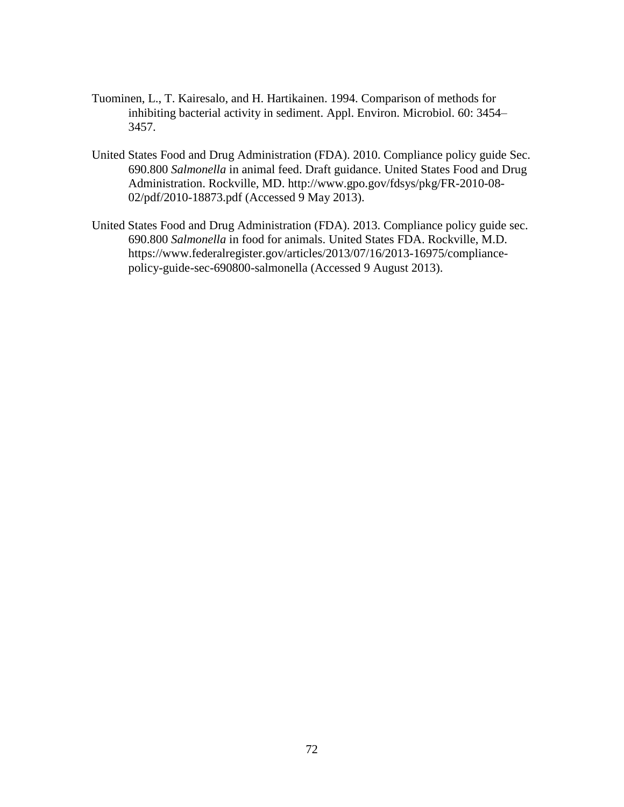- Tuominen, L., T. Kairesalo, and H. Hartikainen. 1994. Comparison of methods for inhibiting bacterial activity in sediment. Appl. Environ. Microbiol. 60: 3454– 3457.
- United States Food and Drug Administration (FDA). 2010. Compliance policy guide Sec. 690.800 *Salmonella* in animal feed. Draft guidance. United States Food and Drug Administration. Rockville, MD. http://www.gpo.gov/fdsys/pkg/FR-2010-08- 02/pdf/2010-18873.pdf (Accessed 9 May 2013).
- United States Food and Drug Administration (FDA). 2013. Compliance policy guide sec. 690.800 *Salmonella* in food for animals. United States FDA. Rockville, M.D. https://www.federalregister.gov/articles/2013/07/16/2013-16975/compliancepolicy-guide-sec-690800-salmonella (Accessed 9 August 2013).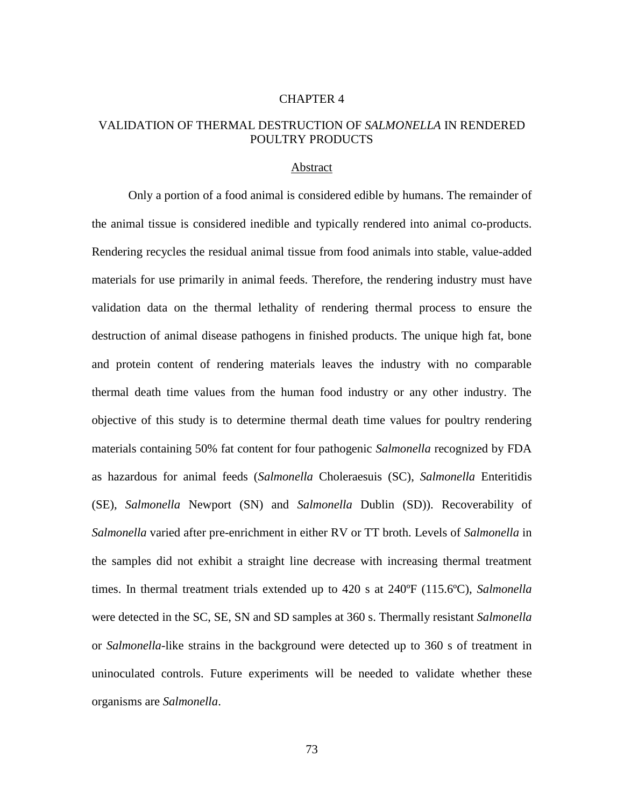#### CHAPTER 4

# VALIDATION OF THERMAL DESTRUCTION OF *SALMONELLA* IN RENDERED POULTRY PRODUCTS

## Abstract

Only a portion of a food animal is considered edible by humans. The remainder of the animal tissue is considered inedible and typically rendered into animal co-products. Rendering recycles the residual animal tissue from food animals into stable, value-added materials for use primarily in animal feeds. Therefore, the rendering industry must have validation data on the thermal lethality of rendering thermal process to ensure the destruction of animal disease pathogens in finished products. The unique high fat, bone and protein content of rendering materials leaves the industry with no comparable thermal death time values from the human food industry or any other industry. The objective of this study is to determine thermal death time values for poultry rendering materials containing 50% fat content for four pathogenic *Salmonella* recognized by FDA as hazardous for animal feeds (*Salmonella* Choleraesuis (SC), *Salmonella* Enteritidis (SE)*, Salmonella* Newport (SN) and *Salmonella* Dublin (SD)). Recoverability of *Salmonella* varied after pre-enrichment in either RV or TT broth. Levels of *Salmonella* in the samples did not exhibit a straight line decrease with increasing thermal treatment times. In thermal treatment trials extended up to 420 s at 240ºF (115.6ºC), *Salmonella* were detected in the SC, SE, SN and SD samples at 360 s. Thermally resistant *Salmonella* or *Salmonella*-like strains in the background were detected up to 360 s of treatment in uninoculated controls. Future experiments will be needed to validate whether these organisms are *Salmonella*.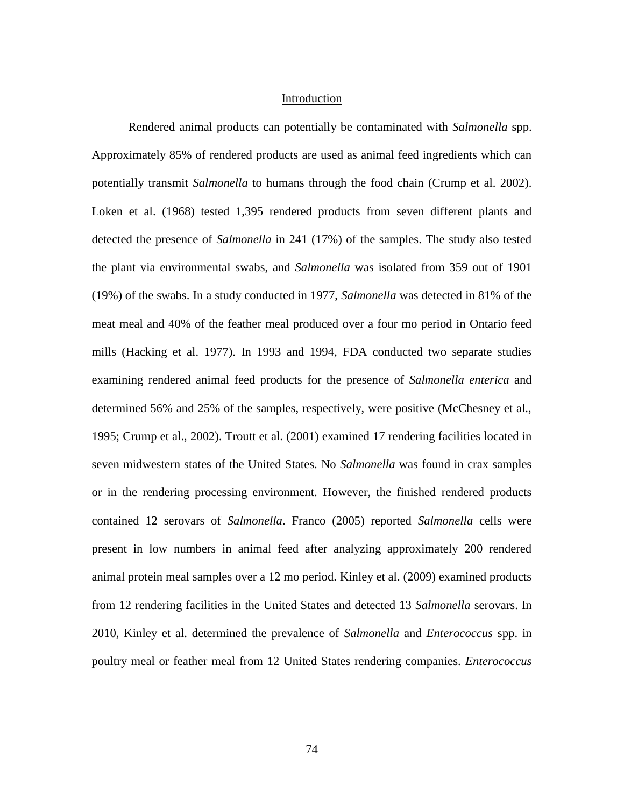#### Introduction

Rendered animal products can potentially be contaminated with *Salmonella* spp. Approximately 85% of rendered products are used as animal feed ingredients which can potentially transmit *Salmonella* to humans through the food chain (Crump et al. 2002). Loken et al. (1968) tested 1,395 rendered products from seven different plants and detected the presence of *Salmonella* in 241 (17%) of the samples. The study also tested the plant via environmental swabs, and *Salmonella* was isolated from 359 out of 1901 (19%) of the swabs. In a study conducted in 1977, *Salmonella* was detected in 81% of the meat meal and 40% of the feather meal produced over a four mo period in Ontario feed mills (Hacking et al. 1977). In 1993 and 1994, FDA conducted two separate studies examining rendered animal feed products for the presence of *Salmonella enterica* and determined 56% and 25% of the samples, respectively, were positive (McChesney et al., 1995; Crump et al., 2002). Troutt et al. (2001) examined 17 rendering facilities located in seven midwestern states of the United States. No *Salmonella* was found in crax samples or in the rendering processing environment. However, the finished rendered products contained 12 serovars of *Salmonella*. Franco (2005) reported *Salmonella* cells were present in low numbers in animal feed after analyzing approximately 200 rendered animal protein meal samples over a 12 mo period. Kinley et al. (2009) examined products from 12 rendering facilities in the United States and detected 13 *Salmonella* serovars. In 2010, Kinley et al. determined the prevalence of *Salmonella* and *Enterococcus* spp. in poultry meal or feather meal from 12 United States rendering companies. *Enterococcus*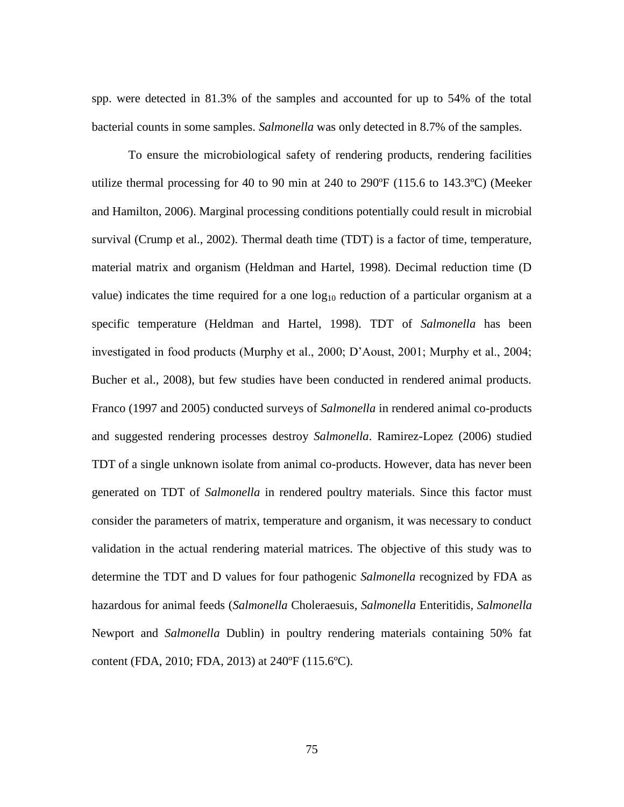spp. were detected in 81.3% of the samples and accounted for up to 54% of the total bacterial counts in some samples. *Salmonella* was only detected in 8.7% of the samples.

To ensure the microbiological safety of rendering products, rendering facilities utilize thermal processing for 40 to 90 min at 240 to 290 $\degree$ F (115.6 to 143.3 $\degree$ C) (Meeker and Hamilton, 2006). Marginal processing conditions potentially could result in microbial survival (Crump et al., 2002). Thermal death time (TDT) is a factor of time, temperature, material matrix and organism (Heldman and Hartel, 1998). Decimal reduction time (D value) indicates the time required for a one  $log_{10}$  reduction of a particular organism at a specific temperature (Heldman and Hartel, 1998). TDT of *Salmonella* has been investigated in food products (Murphy et al., 2000; D'Aoust, 2001; Murphy et al., 2004; Bucher et al., 2008), but few studies have been conducted in rendered animal products. Franco (1997 and 2005) conducted surveys of *Salmonella* in rendered animal co-products and suggested rendering processes destroy *Salmonella*. Ramirez-Lopez (2006) studied TDT of a single unknown isolate from animal co-products. However, data has never been generated on TDT of *Salmonella* in rendered poultry materials. Since this factor must consider the parameters of matrix, temperature and organism, it was necessary to conduct validation in the actual rendering material matrices. The objective of this study was to determine the TDT and D values for four pathogenic *Salmonella* recognized by FDA as hazardous for animal feeds (*Salmonella* Choleraesuis*, Salmonella* Enteritidis*, Salmonella* Newport and *Salmonella* Dublin) in poultry rendering materials containing 50% fat content (FDA, 2010; FDA, 2013) at 240ºF (115.6ºC).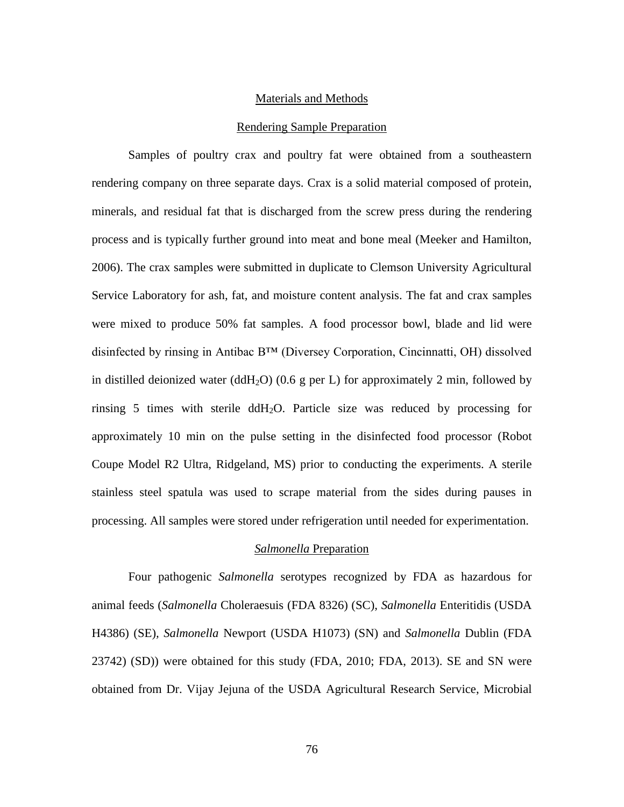## Materials and Methods

#### Rendering Sample Preparation

Samples of poultry crax and poultry fat were obtained from a southeastern rendering company on three separate days. Crax is a solid material composed of protein, minerals, and residual fat that is discharged from the screw press during the rendering process and is typically further ground into meat and bone meal (Meeker and Hamilton, 2006). The crax samples were submitted in duplicate to Clemson University Agricultural Service Laboratory for ash, fat, and moisture content analysis. The fat and crax samples were mixed to produce 50% fat samples. A food processor bowl, blade and lid were disinfected by rinsing in Antibac B™ (Diversey Corporation, Cincinnatti, OH) dissolved in distilled deionized water (ddH<sub>2</sub>O) (0.6 g per L) for approximately 2 min, followed by rinsing 5 times with sterile ddH<sub>2</sub>O. Particle size was reduced by processing for approximately 10 min on the pulse setting in the disinfected food processor (Robot Coupe Model R2 Ultra, Ridgeland, MS) prior to conducting the experiments. A sterile stainless steel spatula was used to scrape material from the sides during pauses in processing. All samples were stored under refrigeration until needed for experimentation.

## *Salmonella* Preparation

Four pathogenic *Salmonella* serotypes recognized by FDA as hazardous for animal feeds (*Salmonella* Choleraesuis (FDA 8326) (SC), *Salmonella* Enteritidis (USDA H4386) (SE)*, Salmonella* Newport (USDA H1073) (SN) and *Salmonella* Dublin (FDA 23742) (SD)) were obtained for this study (FDA, 2010; FDA, 2013). SE and SN were obtained from Dr. Vijay Jejuna of the USDA Agricultural Research Service, Microbial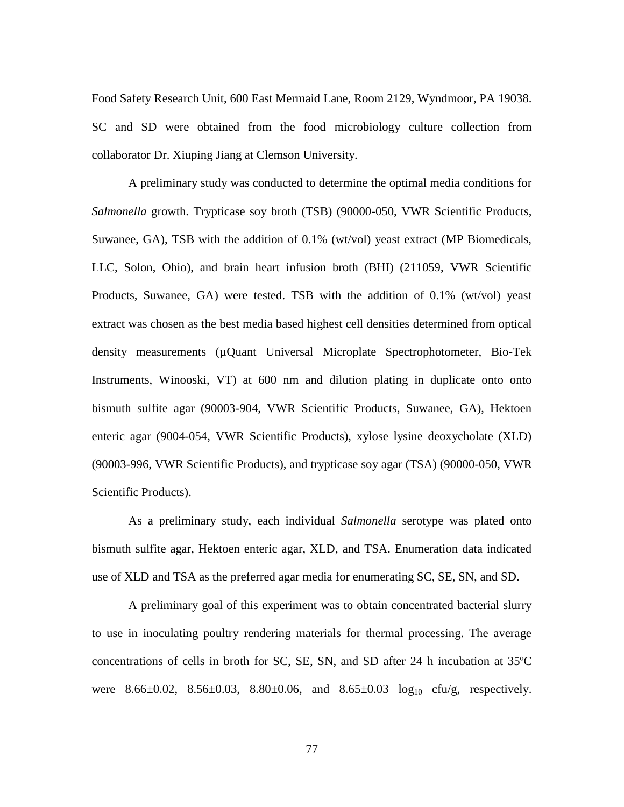Food Safety Research Unit, 600 East Mermaid Lane, Room 2129, Wyndmoor, PA 19038. SC and SD were obtained from the food microbiology culture collection from collaborator Dr. Xiuping Jiang at Clemson University.

A preliminary study was conducted to determine the optimal media conditions for *Salmonella* growth. Trypticase soy broth (TSB) (90000-050, VWR Scientific Products, Suwanee, GA), TSB with the addition of 0.1% (wt/vol) yeast extract (MP Biomedicals, LLC, Solon, Ohio), and brain heart infusion broth (BHI) (211059, VWR Scientific Products, Suwanee, GA) were tested. TSB with the addition of 0.1% (wt/vol) yeast extract was chosen as the best media based highest cell densities determined from optical density measurements (µQuant Universal Microplate Spectrophotometer, Bio-Tek Instruments, Winooski, VT) at 600 nm and dilution plating in duplicate onto onto bismuth sulfite agar (90003-904, VWR Scientific Products, Suwanee, GA), Hektoen enteric agar (9004-054, VWR Scientific Products), xylose lysine deoxycholate (XLD) (90003-996, VWR Scientific Products), and trypticase soy agar (TSA) (90000-050, VWR Scientific Products).

As a preliminary study, each individual *Salmonella* serotype was plated onto bismuth sulfite agar, Hektoen enteric agar, XLD, and TSA. Enumeration data indicated use of XLD and TSA as the preferred agar media for enumerating SC, SE, SN, and SD.

A preliminary goal of this experiment was to obtain concentrated bacterial slurry to use in inoculating poultry rendering materials for thermal processing. The average concentrations of cells in broth for SC, SE, SN, and SD after 24 h incubation at 35ºC were 8.66 $\pm$ 0.02, 8.56 $\pm$ 0.03, 8.80 $\pm$ 0.06, and 8.65 $\pm$ 0.03 log<sub>10</sub> cfu/g, respectively.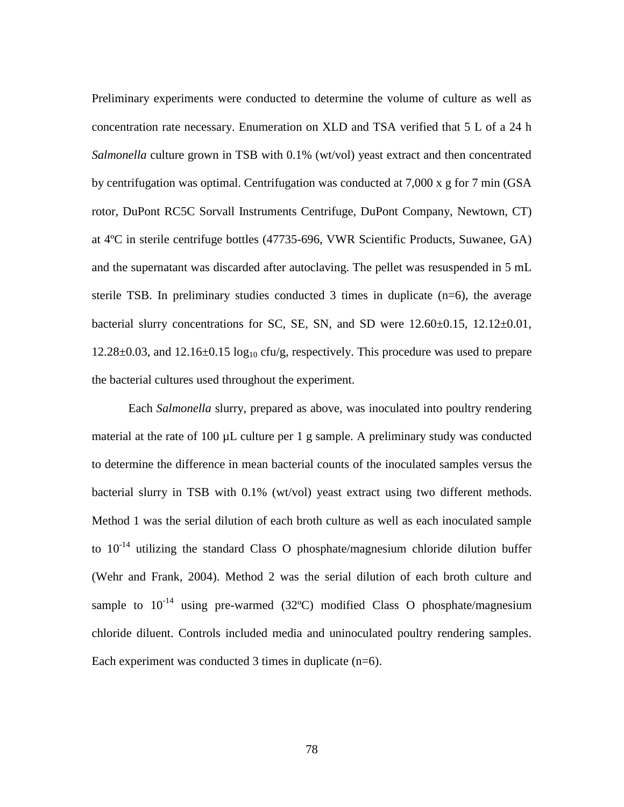Preliminary experiments were conducted to determine the volume of culture as well as concentration rate necessary. Enumeration on XLD and TSA verified that 5 L of a 24 h *Salmonella* culture grown in TSB with 0.1% (wt/vol) yeast extract and then concentrated by centrifugation was optimal. Centrifugation was conducted at  $7,000 \times g$  for 7 min (GSA) rotor, DuPont RC5C Sorvall Instruments Centrifuge, DuPont Company, Newtown, CT) at 4ºC in sterile centrifuge bottles (47735-696, VWR Scientific Products, Suwanee, GA) and the supernatant was discarded after autoclaving. The pellet was resuspended in 5 mL sterile TSB. In preliminary studies conducted 3 times in duplicate  $(n=6)$ , the average bacterial slurry concentrations for SC, SE, SN, and SD were  $12.60\pm0.15$ ,  $12.12\pm0.01$ ,  $12.28\pm0.03$ , and  $12.16\pm0.15 \log_{10} c f \nu/g$ , respectively. This procedure was used to prepare the bacterial cultures used throughout the experiment.

Each *Salmonella* slurry, prepared as above, was inoculated into poultry rendering material at the rate of 100 µL culture per 1 g sample. A preliminary study was conducted to determine the difference in mean bacterial counts of the inoculated samples versus the bacterial slurry in TSB with 0.1% (wt/vol) yeast extract using two different methods. Method 1 was the serial dilution of each broth culture as well as each inoculated sample to  $10^{-14}$  utilizing the standard Class O phosphate/magnesium chloride dilution buffer (Wehr and Frank, 2004). Method 2 was the serial dilution of each broth culture and sample to  $10^{-14}$  using pre-warmed (32°C) modified Class O phosphate/magnesium chloride diluent. Controls included media and uninoculated poultry rendering samples. Each experiment was conducted 3 times in duplicate (n=6).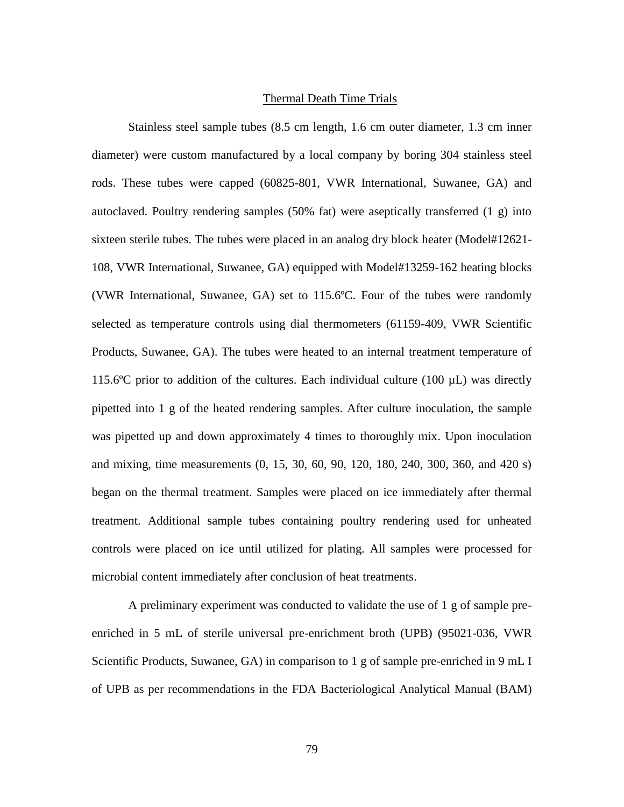#### Thermal Death Time Trials

Stainless steel sample tubes (8.5 cm length, 1.6 cm outer diameter, 1.3 cm inner diameter) were custom manufactured by a local company by boring 304 stainless steel rods. These tubes were capped (60825-801, VWR International, Suwanee, GA) and autoclaved. Poultry rendering samples (50% fat) were aseptically transferred (1 g) into sixteen sterile tubes. The tubes were placed in an analog dry block heater (Model#12621- 108, VWR International, Suwanee, GA) equipped with Model#13259-162 heating blocks (VWR International, Suwanee, GA) set to 115.6ºC. Four of the tubes were randomly selected as temperature controls using dial thermometers (61159-409, VWR Scientific Products, Suwanee, GA). The tubes were heated to an internal treatment temperature of 115.6 $\degree$ C prior to addition of the cultures. Each individual culture (100 µL) was directly pipetted into 1 g of the heated rendering samples. After culture inoculation, the sample was pipetted up and down approximately 4 times to thoroughly mix. Upon inoculation and mixing, time measurements (0, 15, 30, 60, 90, 120, 180, 240, 300, 360, and 420 s) began on the thermal treatment. Samples were placed on ice immediately after thermal treatment. Additional sample tubes containing poultry rendering used for unheated controls were placed on ice until utilized for plating. All samples were processed for microbial content immediately after conclusion of heat treatments.

A preliminary experiment was conducted to validate the use of 1 g of sample preenriched in 5 mL of sterile universal pre-enrichment broth (UPB) (95021-036, VWR Scientific Products, Suwanee, GA) in comparison to 1 g of sample pre-enriched in 9 mL I of UPB as per recommendations in the FDA Bacteriological Analytical Manual (BAM)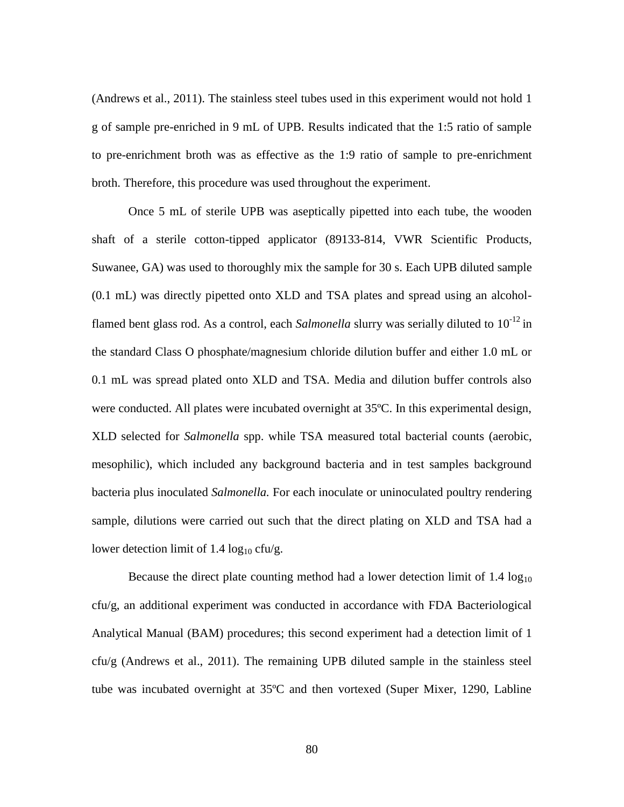(Andrews et al., 2011). The stainless steel tubes used in this experiment would not hold 1 g of sample pre-enriched in 9 mL of UPB. Results indicated that the 1:5 ratio of sample to pre-enrichment broth was as effective as the 1:9 ratio of sample to pre-enrichment broth. Therefore, this procedure was used throughout the experiment.

Once 5 mL of sterile UPB was aseptically pipetted into each tube, the wooden shaft of a sterile cotton-tipped applicator (89133-814, VWR Scientific Products, Suwanee, GA) was used to thoroughly mix the sample for 30 s. Each UPB diluted sample (0.1 mL) was directly pipetted onto XLD and TSA plates and spread using an alcoholflamed bent glass rod. As a control, each *Salmonella* slurry was serially diluted to 10<sup>-12</sup> in the standard Class O phosphate/magnesium chloride dilution buffer and either 1.0 mL or 0.1 mL was spread plated onto XLD and TSA. Media and dilution buffer controls also were conducted. All plates were incubated overnight at 35ºC. In this experimental design, XLD selected for *Salmonella* spp. while TSA measured total bacterial counts (aerobic, mesophilic), which included any background bacteria and in test samples background bacteria plus inoculated *Salmonella.* For each inoculate or uninoculated poultry rendering sample, dilutions were carried out such that the direct plating on XLD and TSA had a lower detection limit of 1.4  $log_{10}$  cfu/g.

Because the direct plate counting method had a lower detection limit of  $1.4 \log_{10}$ cfu/g, an additional experiment was conducted in accordance with FDA Bacteriological Analytical Manual (BAM) procedures; this second experiment had a detection limit of 1 cfu/g (Andrews et al., 2011). The remaining UPB diluted sample in the stainless steel tube was incubated overnight at 35ºC and then vortexed (Super Mixer, 1290, Labline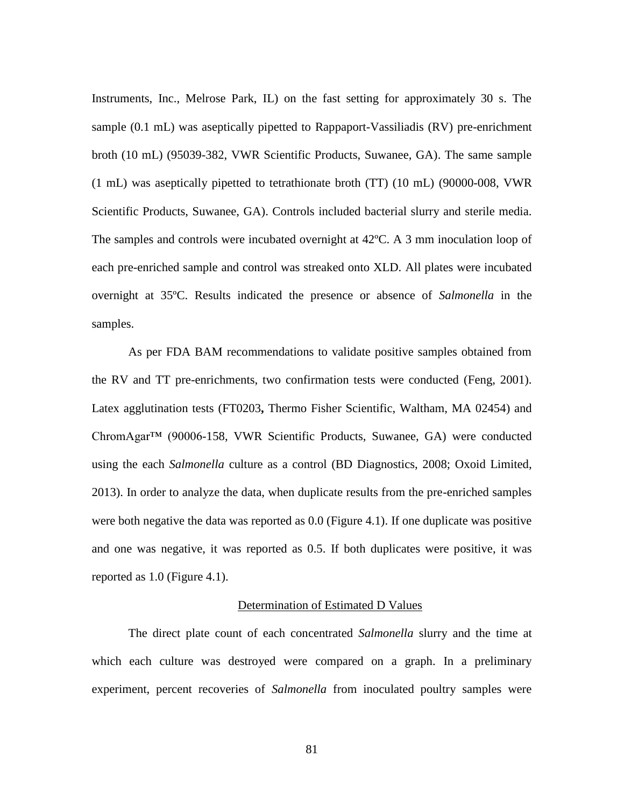Instruments, Inc., Melrose Park, IL) on the fast setting for approximately 30 s. The sample (0.1 mL) was aseptically pipetted to Rappaport-Vassiliadis (RV) pre-enrichment broth (10 mL) (95039-382, VWR Scientific Products, Suwanee, GA). The same sample (1 mL) was aseptically pipetted to tetrathionate broth (TT) (10 mL) (90000-008, VWR Scientific Products, Suwanee, GA). Controls included bacterial slurry and sterile media. The samples and controls were incubated overnight at 42ºC. A 3 mm inoculation loop of each pre-enriched sample and control was streaked onto XLD. All plates were incubated overnight at 35ºC. Results indicated the presence or absence of *Salmonella* in the samples.

As per FDA BAM recommendations to validate positive samples obtained from the RV and TT pre-enrichments, two confirmation tests were conducted (Feng, 2001). Latex agglutination tests (FT0203**,** Thermo Fisher Scientific, Waltham, MA 02454) and ChromAgar™ (90006-158, VWR Scientific Products, Suwanee, GA) were conducted using the each *Salmonella* culture as a control (BD Diagnostics, 2008; Oxoid Limited, 2013). In order to analyze the data, when duplicate results from the pre-enriched samples were both negative the data was reported as 0.0 (Figure 4.1). If one duplicate was positive and one was negative, it was reported as 0.5. If both duplicates were positive, it was reported as 1.0 (Figure 4.1).

## Determination of Estimated D Values

The direct plate count of each concentrated *Salmonella* slurry and the time at which each culture was destroyed were compared on a graph. In a preliminary experiment, percent recoveries of *Salmonella* from inoculated poultry samples were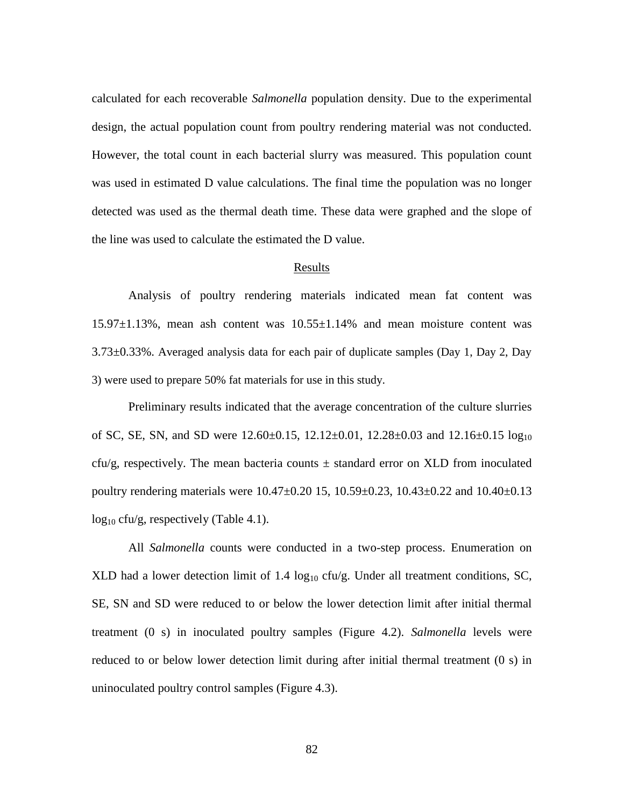calculated for each recoverable *Salmonella* population density. Due to the experimental design, the actual population count from poultry rendering material was not conducted. However, the total count in each bacterial slurry was measured. This population count was used in estimated D value calculations. The final time the population was no longer detected was used as the thermal death time. These data were graphed and the slope of the line was used to calculate the estimated the D value.

#### Results

Analysis of poultry rendering materials indicated mean fat content was 15.97±1.13%, mean ash content was 10.55±1.14% and mean moisture content was 3.73±0.33%. Averaged analysis data for each pair of duplicate samples (Day 1, Day 2, Day 3) were used to prepare 50% fat materials for use in this study.

Preliminary results indicated that the average concentration of the culture slurries of SC, SE, SN, and SD were  $12.60\pm0.15$ ,  $12.12\pm0.01$ ,  $12.28\pm0.03$  and  $12.16\pm0.15 \log_{10}$ cfu/g, respectively. The mean bacteria counts  $\pm$  standard error on XLD from inoculated poultry rendering materials were 10.47±0.20 15, 10.59±0.23, 10.43±0.22 and 10.40±0.13  $log_{10}$  cfu/g, respectively (Table 4.1).

All *Salmonella* counts were conducted in a two-step process. Enumeration on XLD had a lower detection limit of 1.4  $log_{10}$  cfu/g. Under all treatment conditions, SC, SE, SN and SD were reduced to or below the lower detection limit after initial thermal treatment (0 s) in inoculated poultry samples (Figure 4.2). *Salmonella* levels were reduced to or below lower detection limit during after initial thermal treatment (0 s) in uninoculated poultry control samples (Figure 4.3).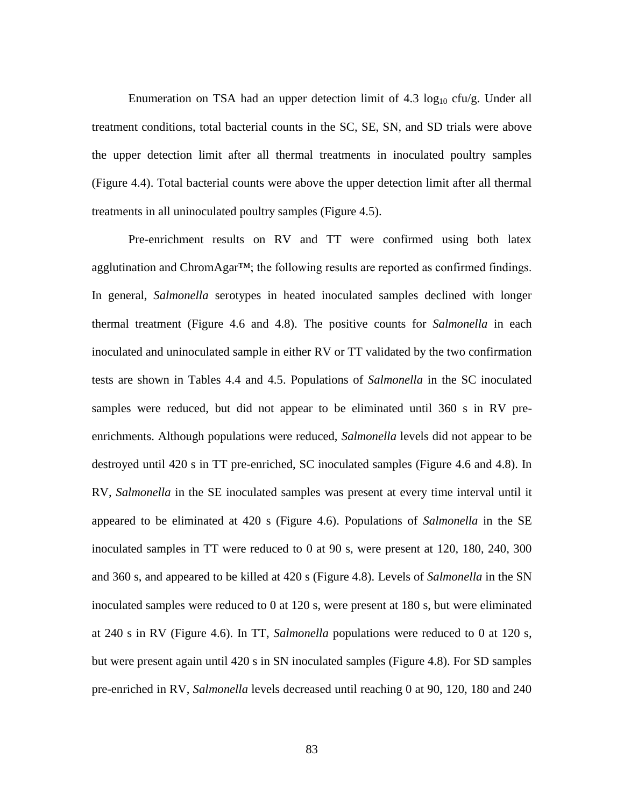Enumeration on TSA had an upper detection limit of  $4.3 \log_{10} c f u/g$ . Under all treatment conditions, total bacterial counts in the SC, SE, SN, and SD trials were above the upper detection limit after all thermal treatments in inoculated poultry samples (Figure 4.4). Total bacterial counts were above the upper detection limit after all thermal treatments in all uninoculated poultry samples (Figure 4.5).

Pre-enrichment results on RV and TT were confirmed using both latex agglutination and ChromAgar™; the following results are reported as confirmed findings. In general, *Salmonella* serotypes in heated inoculated samples declined with longer thermal treatment (Figure 4.6 and 4.8). The positive counts for *Salmonella* in each inoculated and uninoculated sample in either RV or TT validated by the two confirmation tests are shown in Tables 4.4 and 4.5. Populations of *Salmonella* in the SC inoculated samples were reduced, but did not appear to be eliminated until 360 s in RV preenrichments. Although populations were reduced, *Salmonella* levels did not appear to be destroyed until 420 s in TT pre-enriched, SC inoculated samples (Figure 4.6 and 4.8). In RV, *Salmonella* in the SE inoculated samples was present at every time interval until it appeared to be eliminated at 420 s (Figure 4.6). Populations of *Salmonella* in the SE inoculated samples in TT were reduced to 0 at 90 s, were present at 120, 180, 240, 300 and 360 s, and appeared to be killed at 420 s (Figure 4.8). Levels of *Salmonella* in the SN inoculated samples were reduced to 0 at 120 s, were present at 180 s, but were eliminated at 240 s in RV (Figure 4.6). In TT, *Salmonella* populations were reduced to 0 at 120 s, but were present again until 420 s in SN inoculated samples (Figure 4.8). For SD samples pre-enriched in RV, *Salmonella* levels decreased until reaching 0 at 90, 120, 180 and 240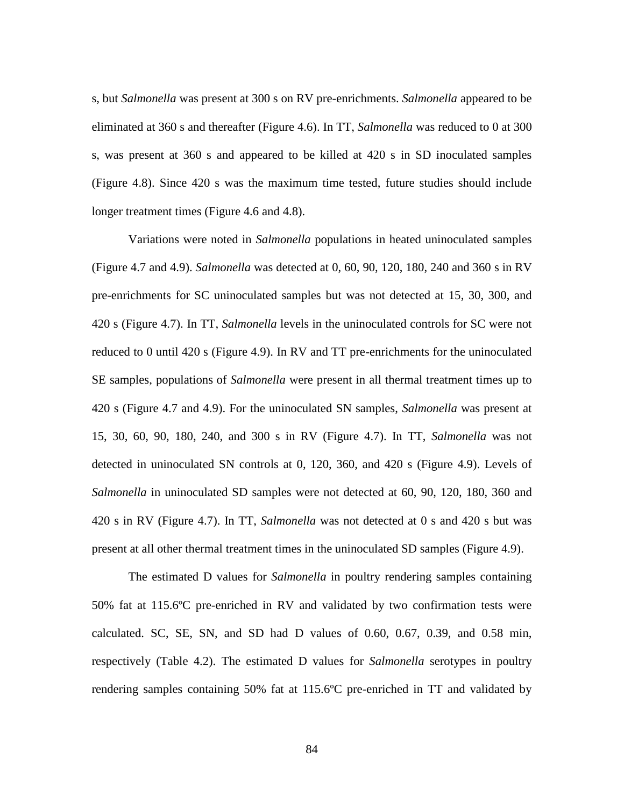s, but *Salmonella* was present at 300 s on RV pre-enrichments. *Salmonella* appeared to be eliminated at 360 s and thereafter (Figure 4.6). In TT, *Salmonella* was reduced to 0 at 300 s, was present at 360 s and appeared to be killed at 420 s in SD inoculated samples (Figure 4.8). Since 420 s was the maximum time tested, future studies should include longer treatment times (Figure 4.6 and 4.8).

Variations were noted in *Salmonella* populations in heated uninoculated samples (Figure 4.7 and 4.9). *Salmonella* was detected at 0, 60, 90, 120, 180, 240 and 360 s in RV pre-enrichments for SC uninoculated samples but was not detected at 15, 30, 300, and 420 s (Figure 4.7). In TT, *Salmonella* levels in the uninoculated controls for SC were not reduced to 0 until 420 s (Figure 4.9). In RV and TT pre-enrichments for the uninoculated SE samples, populations of *Salmonella* were present in all thermal treatment times up to 420 s (Figure 4.7 and 4.9). For the uninoculated SN samples, *Salmonella* was present at 15, 30, 60, 90, 180, 240, and 300 s in RV (Figure 4.7). In TT, *Salmonella* was not detected in uninoculated SN controls at 0, 120, 360, and 420 s (Figure 4.9). Levels of *Salmonella* in uninoculated SD samples were not detected at 60, 90, 120, 180, 360 and 420 s in RV (Figure 4.7). In TT, *Salmonella* was not detected at 0 s and 420 s but was present at all other thermal treatment times in the uninoculated SD samples (Figure 4.9).

The estimated D values for *Salmonella* in poultry rendering samples containing 50% fat at 115.6ºC pre-enriched in RV and validated by two confirmation tests were calculated. SC, SE, SN, and SD had D values of 0.60, 0.67, 0.39, and 0.58 min, respectively (Table 4.2). The estimated D values for *Salmonella* serotypes in poultry rendering samples containing 50% fat at 115.6ºC pre-enriched in TT and validated by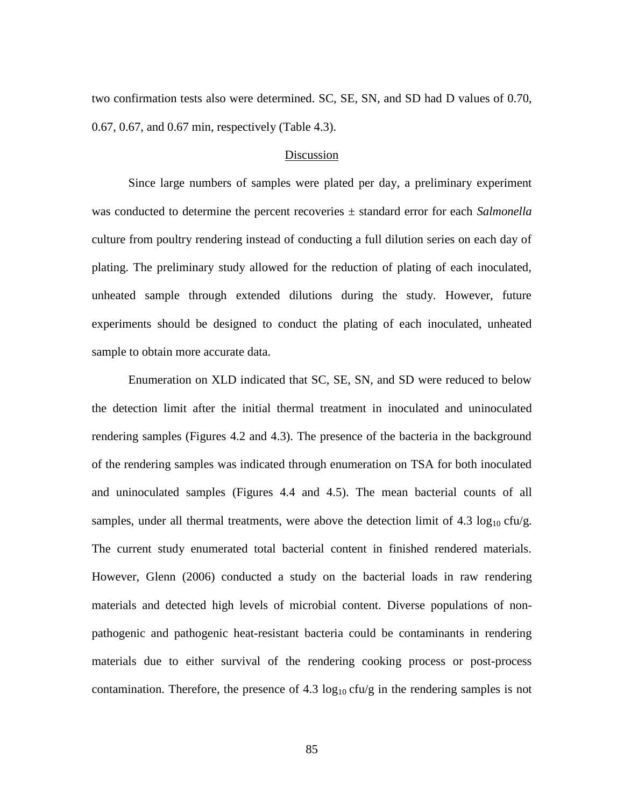two confirmation tests also were determined. SC, SE, SN, and SD had D values of 0.70, 0.67, 0.67, and 0.67 min, respectively (Table 4.3).

#### Discussion

Since large numbers of samples were plated per day, a preliminary experiment was conducted to determine the percent recoveries ± standard error for each *Salmonella* culture from poultry rendering instead of conducting a full dilution series on each day of plating. The preliminary study allowed for the reduction of plating of each inoculated, unheated sample through extended dilutions during the study. However, future experiments should be designed to conduct the plating of each inoculated, unheated sample to obtain more accurate data.

Enumeration on XLD indicated that SC, SE, SN, and SD were reduced to below the detection limit after the initial thermal treatment in inoculated and uninoculated rendering samples (Figures 4.2 and 4.3). The presence of the bacteria in the background of the rendering samples was indicated through enumeration on TSA for both inoculated and uninoculated samples (Figures 4.4 and 4.5). The mean bacterial counts of all samples, under all thermal treatments, were above the detection limit of  $4.3 \log_{10} c f u/g$ . The current study enumerated total bacterial content in finished rendered materials. However, Glenn (2006) conducted a study on the bacterial loads in raw rendering materials and detected high levels of microbial content. Diverse populations of nonpathogenic and pathogenic heat-resistant bacteria could be contaminants in rendering materials due to either survival of the rendering cooking process or post-process contamination. Therefore, the presence of 4.3  $log_{10}$  cfu/g in the rendering samples is not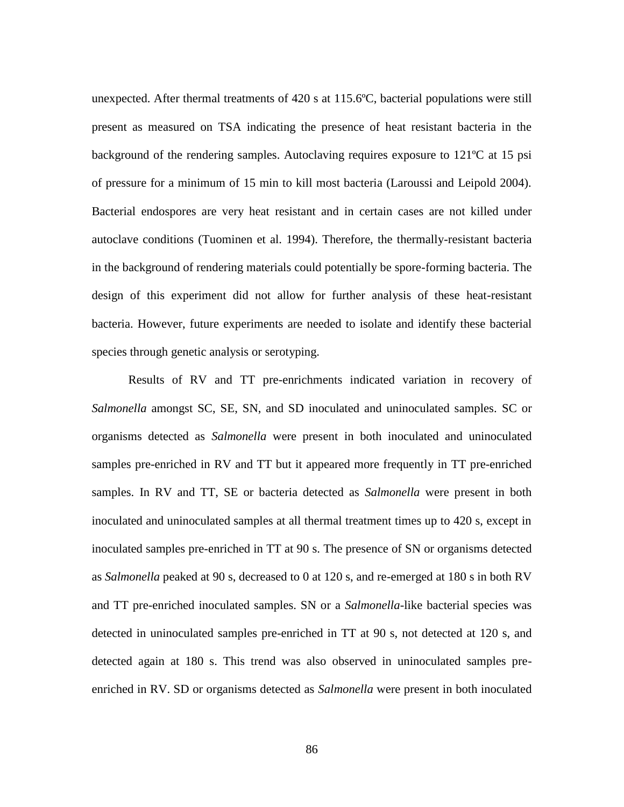unexpected. After thermal treatments of 420 s at 115.6ºC, bacterial populations were still present as measured on TSA indicating the presence of heat resistant bacteria in the background of the rendering samples. Autoclaving requires exposure to 121ºC at 15 psi of pressure for a minimum of 15 min to kill most bacteria (Laroussi and Leipold 2004). Bacterial endospores are very heat resistant and in certain cases are not killed under autoclave conditions (Tuominen et al. 1994). Therefore, the thermally-resistant bacteria in the background of rendering materials could potentially be spore-forming bacteria. The design of this experiment did not allow for further analysis of these heat-resistant bacteria. However, future experiments are needed to isolate and identify these bacterial species through genetic analysis or serotyping.

Results of RV and TT pre-enrichments indicated variation in recovery of *Salmonella* amongst SC, SE, SN, and SD inoculated and uninoculated samples. SC or organisms detected as *Salmonella* were present in both inoculated and uninoculated samples pre-enriched in RV and TT but it appeared more frequently in TT pre-enriched samples. In RV and TT, SE or bacteria detected as *Salmonella* were present in both inoculated and uninoculated samples at all thermal treatment times up to 420 s, except in inoculated samples pre-enriched in TT at 90 s. The presence of SN or organisms detected as *Salmonella* peaked at 90 s, decreased to 0 at 120 s, and re-emerged at 180 s in both RV and TT pre-enriched inoculated samples. SN or a *Salmonella*-like bacterial species was detected in uninoculated samples pre-enriched in TT at 90 s, not detected at 120 s, and detected again at 180 s. This trend was also observed in uninoculated samples preenriched in RV. SD or organisms detected as *Salmonella* were present in both inoculated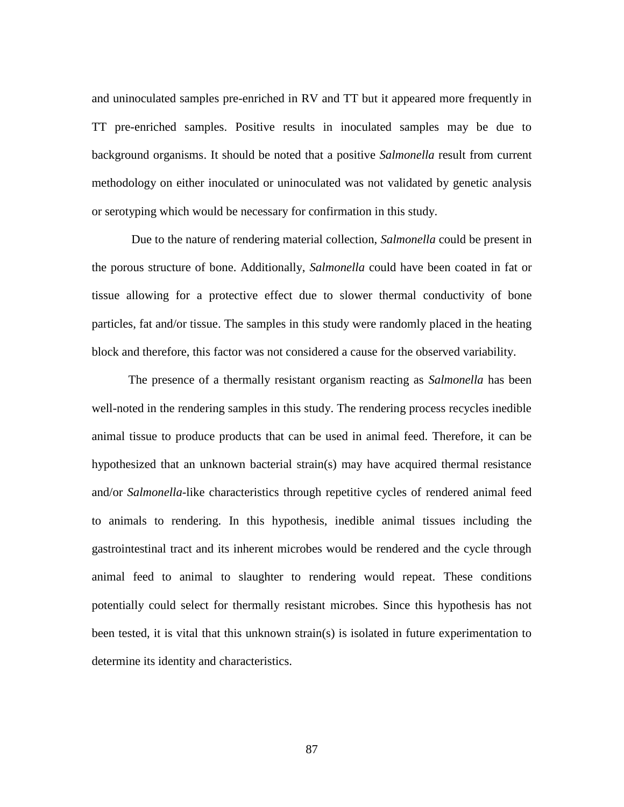and uninoculated samples pre-enriched in RV and TT but it appeared more frequently in TT pre-enriched samples. Positive results in inoculated samples may be due to background organisms. It should be noted that a positive *Salmonella* result from current methodology on either inoculated or uninoculated was not validated by genetic analysis or serotyping which would be necessary for confirmation in this study.

Due to the nature of rendering material collection, *Salmonella* could be present in the porous structure of bone. Additionally, *Salmonella* could have been coated in fat or tissue allowing for a protective effect due to slower thermal conductivity of bone particles, fat and/or tissue. The samples in this study were randomly placed in the heating block and therefore, this factor was not considered a cause for the observed variability.

The presence of a thermally resistant organism reacting as *Salmonella* has been well-noted in the rendering samples in this study. The rendering process recycles inedible animal tissue to produce products that can be used in animal feed. Therefore, it can be hypothesized that an unknown bacterial strain(s) may have acquired thermal resistance and/or *Salmonella*-like characteristics through repetitive cycles of rendered animal feed to animals to rendering. In this hypothesis, inedible animal tissues including the gastrointestinal tract and its inherent microbes would be rendered and the cycle through animal feed to animal to slaughter to rendering would repeat. These conditions potentially could select for thermally resistant microbes. Since this hypothesis has not been tested, it is vital that this unknown strain(s) is isolated in future experimentation to determine its identity and characteristics.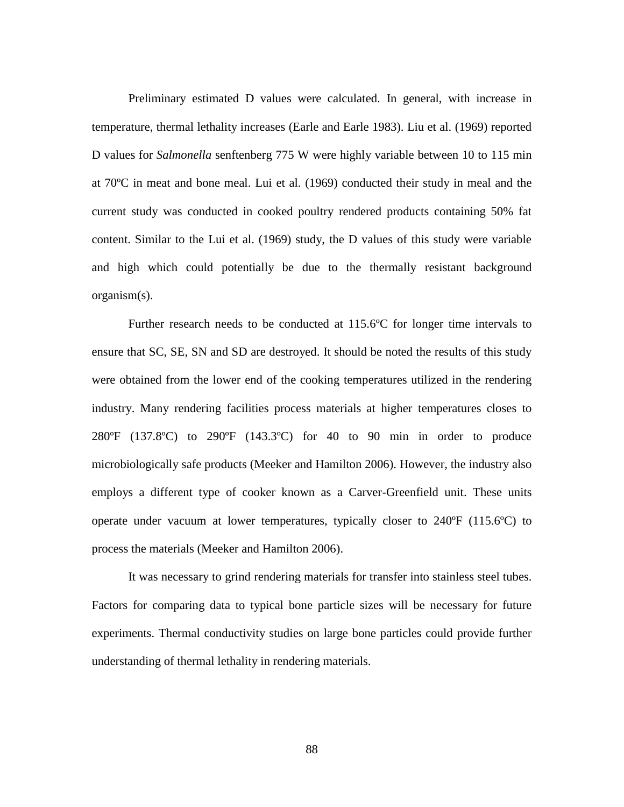Preliminary estimated D values were calculated. In general, with increase in temperature, thermal lethality increases (Earle and Earle 1983). Liu et al. (1969) reported D values for *Salmonella* senftenberg 775 W were highly variable between 10 to 115 min at 70ºC in meat and bone meal. Lui et al. (1969) conducted their study in meal and the current study was conducted in cooked poultry rendered products containing 50% fat content. Similar to the Lui et al. (1969) study, the D values of this study were variable and high which could potentially be due to the thermally resistant background organism(s).

Further research needs to be conducted at 115.6ºC for longer time intervals to ensure that SC, SE, SN and SD are destroyed. It should be noted the results of this study were obtained from the lower end of the cooking temperatures utilized in the rendering industry. Many rendering facilities process materials at higher temperatures closes to 280ºF (137.8ºC) to 290ºF (143.3ºC) for 40 to 90 min in order to produce microbiologically safe products (Meeker and Hamilton 2006). However, the industry also employs a different type of cooker known as a Carver-Greenfield unit. These units operate under vacuum at lower temperatures, typically closer to 240ºF (115.6ºC) to process the materials (Meeker and Hamilton 2006).

It was necessary to grind rendering materials for transfer into stainless steel tubes. Factors for comparing data to typical bone particle sizes will be necessary for future experiments. Thermal conductivity studies on large bone particles could provide further understanding of thermal lethality in rendering materials.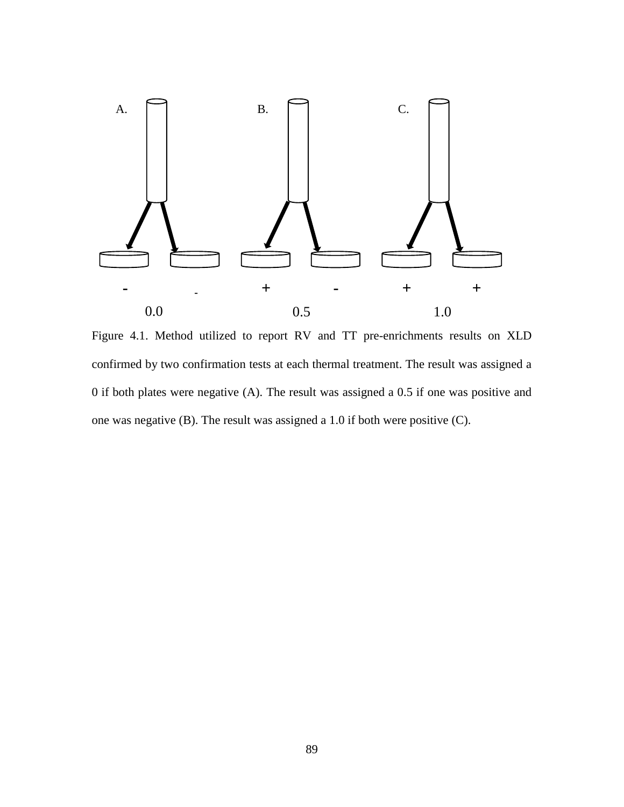

Figure 4.1. Method utilized to report RV and TT pre-enrichments results on XLD confirmed by two confirmation tests at each thermal treatment. The result was assigned a 0 if both plates were negative (A). The result was assigned a 0.5 if one was positive and one was negative (B). The result was assigned a 1.0 if both were positive (C).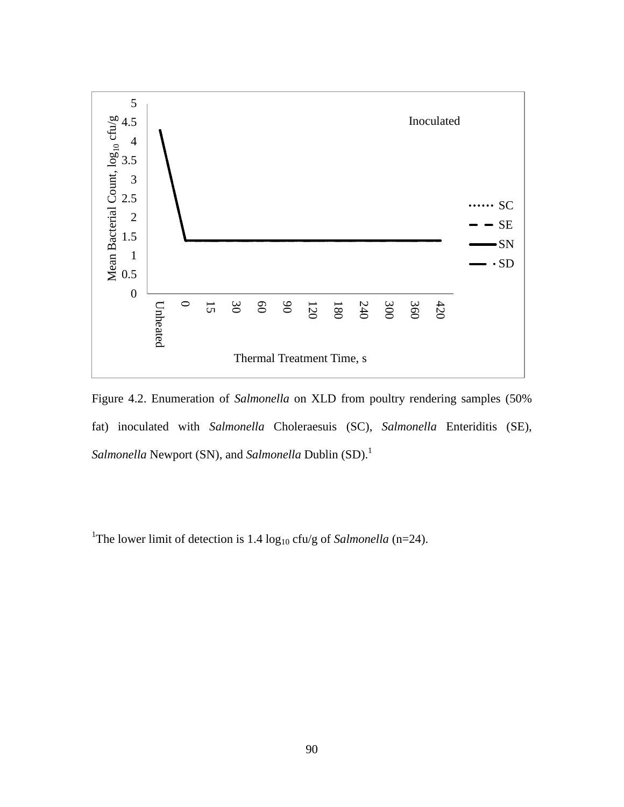

Figure 4.2. Enumeration of *Salmonella* on XLD from poultry rendering samples (50% fat) inoculated with *Salmonella* Choleraesuis (SC), *Salmonella* Enteriditis (SE), *Salmonella* Newport (SN), and *Salmonella* Dublin (SD). 1

<sup>1</sup>The lower limit of detection is 1.4  $\log_{10}$  cfu/g of *Salmonella* (n=24).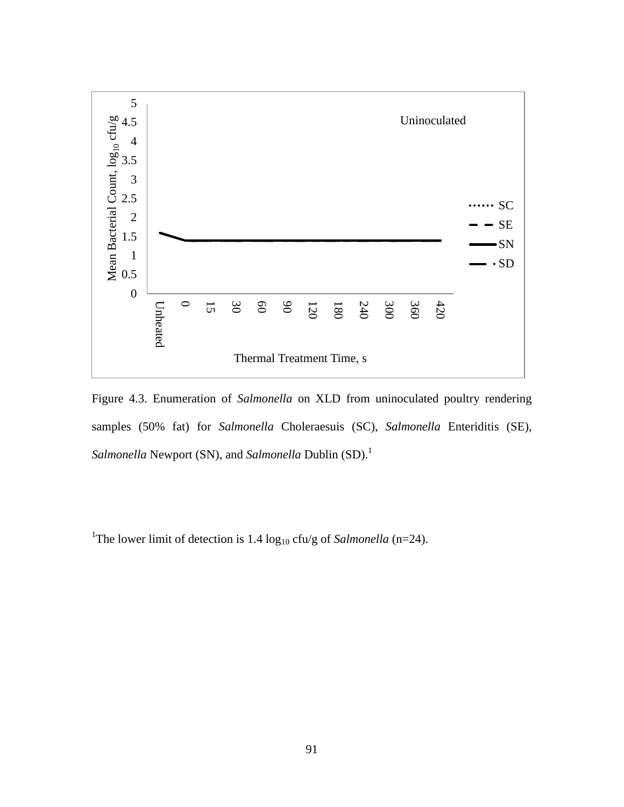

Figure 4.3. Enumeration of *Salmonella* on XLD from uninoculated poultry rendering samples (50% fat) for *Salmonella* Choleraesuis (SC), *Salmonella* Enteriditis (SE), *Salmonella* Newport (SN), and *Salmonella* Dublin (SD). 1

<sup>1</sup>The lower limit of detection is 1.4  $\log_{10}$  cfu/g of *Salmonella* (n=24).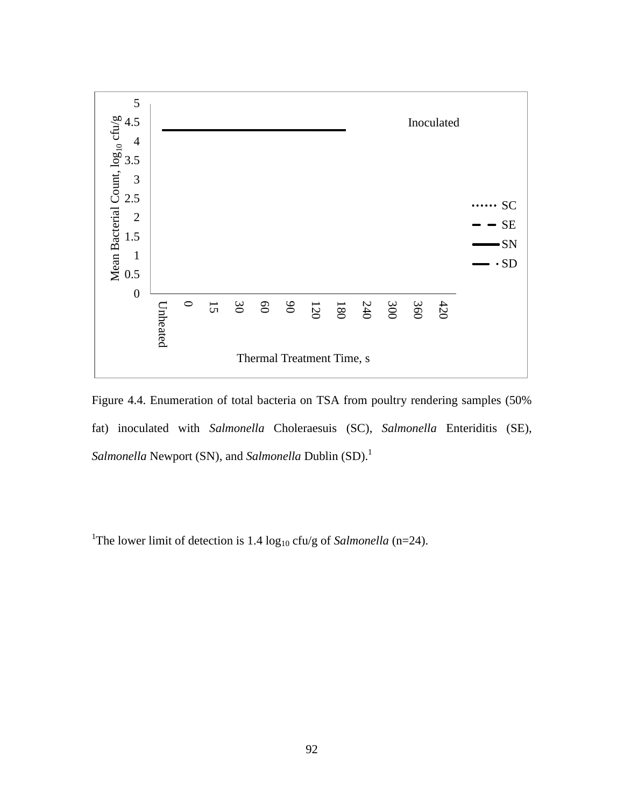

Figure 4.4. Enumeration of total bacteria on TSA from poultry rendering samples (50% fat) inoculated with *Salmonella* Choleraesuis (SC), *Salmonella* Enteriditis (SE), *Salmonella* Newport (SN), and *Salmonella* Dublin (SD). 1

<sup>1</sup>The lower limit of detection is 1.4  $log_{10}$  cfu/g of *Salmonella* (n=24).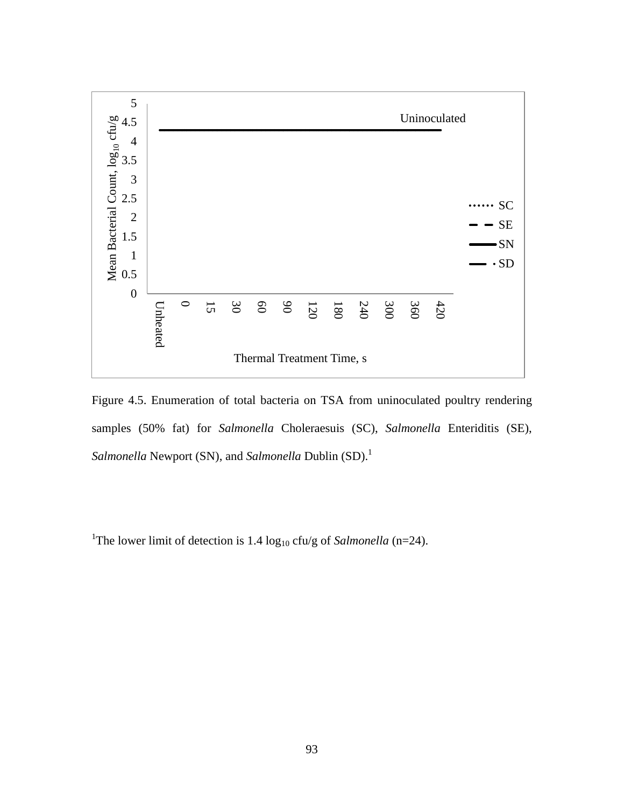

Figure 4.5. Enumeration of total bacteria on TSA from uninoculated poultry rendering samples (50% fat) for *Salmonella* Choleraesuis (SC), *Salmonella* Enteriditis (SE), *Salmonella* Newport (SN), and *Salmonella* Dublin (SD). 1

<sup>1</sup>The lower limit of detection is 1.4  $log_{10}$  cfu/g of *Salmonella* (n=24).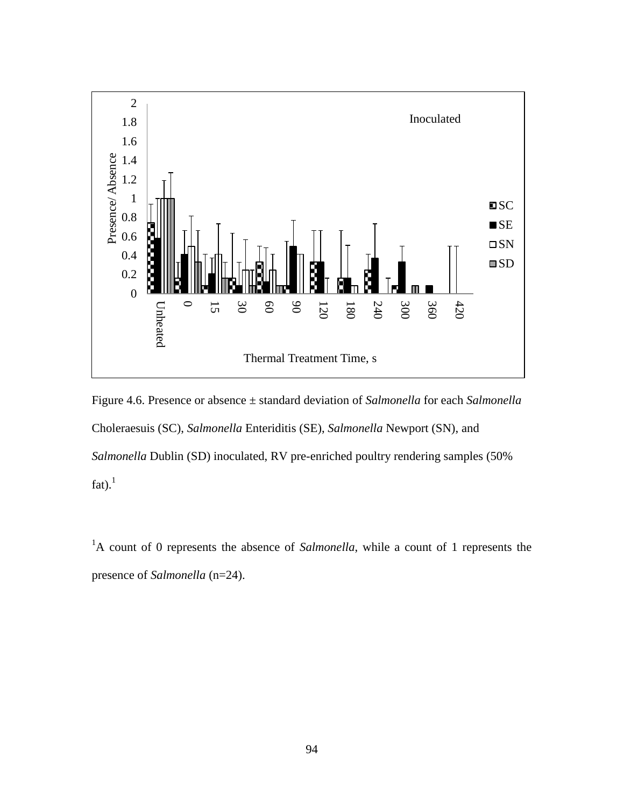

Figure 4.6. Presence or absence ± standard deviation of *Salmonella* for each *Salmonella* Choleraesuis (SC), *Salmonella* Enteriditis (SE), *Salmonella* Newport (SN), and *Salmonella* Dublin (SD) inoculated, RV pre-enriched poultry rendering samples (50% fat). $<sup>1</sup>$ </sup>

<sup>1</sup>A count of 0 represents the absence of *Salmonella*, while a count of 1 represents the presence of *Salmonella* (n=24).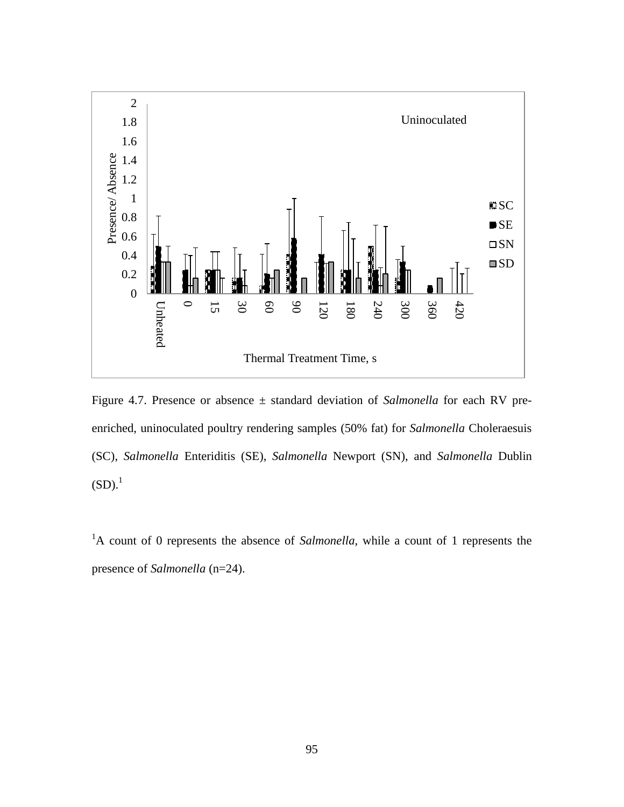

Figure 4.7. Presence or absence ± standard deviation of *Salmonella* for each RV preenriched, uninoculated poultry rendering samples (50% fat) for *Salmonella* Choleraesuis (SC), *Salmonella* Enteriditis (SE), *Salmonella* Newport (SN), and *Salmonella* Dublin  $(SD).<sup>1</sup>$ 

<sup>1</sup>A count of 0 represents the absence of *Salmonella*, while a count of 1 represents the presence of *Salmonella* (n=24).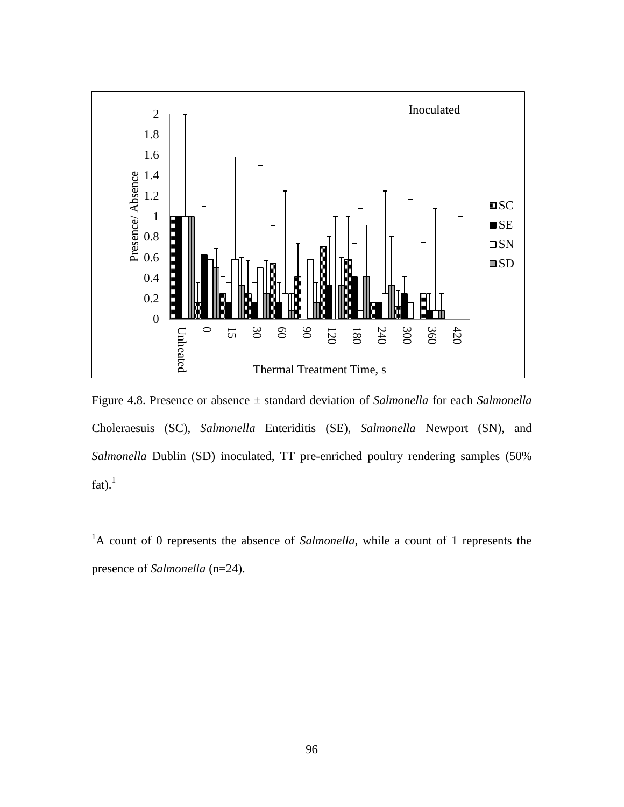

Figure 4.8. Presence or absence ± standard deviation of *Salmonella* for each *Salmonella* Choleraesuis (SC), *Salmonella* Enteriditis (SE), *Salmonella* Newport (SN), and *Salmonella* Dublin (SD) inoculated, TT pre-enriched poultry rendering samples (50% fat). $<sup>1</sup>$ </sup>

<sup>1</sup>A count of 0 represents the absence of *Salmonella*, while a count of 1 represents the presence of *Salmonella* (n=24).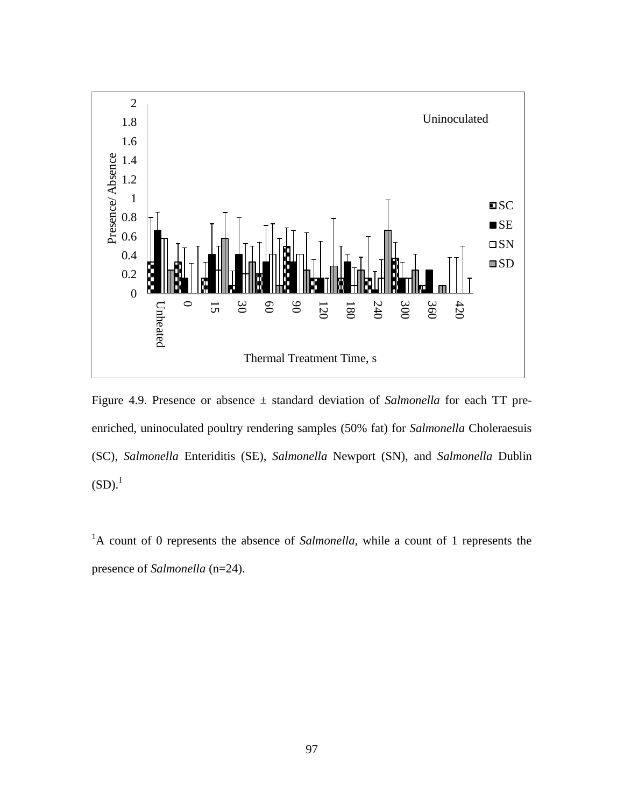

Figure 4.9. Presence or absence ± standard deviation of *Salmonella* for each TT preenriched, uninoculated poultry rendering samples (50% fat) for *Salmonella* Choleraesuis (SC), *Salmonella* Enteriditis (SE), *Salmonella* Newport (SN), and *Salmonella* Dublin  $(SD).<sup>1</sup>$ 

<sup>1</sup>A count of 0 represents the absence of *Salmonella*, while a count of 1 represents the presence of *Salmonella* (n=24).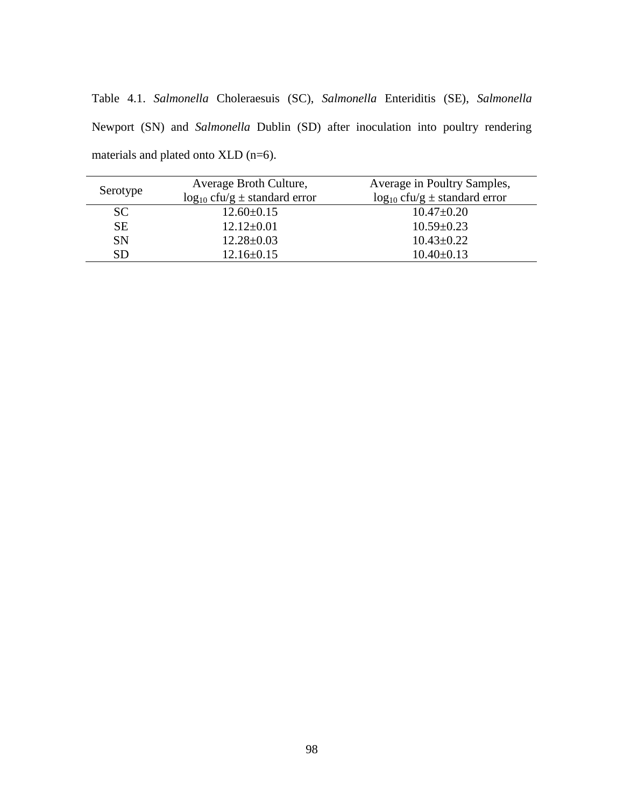Table 4.1. *Salmonella* Choleraesuis (SC), *Salmonella* Enteriditis (SE), *Salmonella* Newport (SN) and *Salmonella* Dublin (SD) after inoculation into poultry rendering materials and plated onto XLD (n=6).

| Serotype  | Average Broth Culture,                 | Average in Poultry Samples,            |  |
|-----------|----------------------------------------|----------------------------------------|--|
|           | $\log_{10}$ cfu/g $\pm$ standard error | $\log_{10}$ cfu/g $\pm$ standard error |  |
| <b>SC</b> | $12.60 \pm 0.15$                       | $10.47 \pm 0.20$                       |  |
| <b>SE</b> | $12.12 \pm 0.01$                       | $10.59 \pm 0.23$                       |  |
| <b>SN</b> | $12.28 \pm 0.03$                       | $10.43 \pm 0.22$                       |  |
| <b>SD</b> | $12.16 \pm 0.15$                       | $10.40 \pm 0.13$                       |  |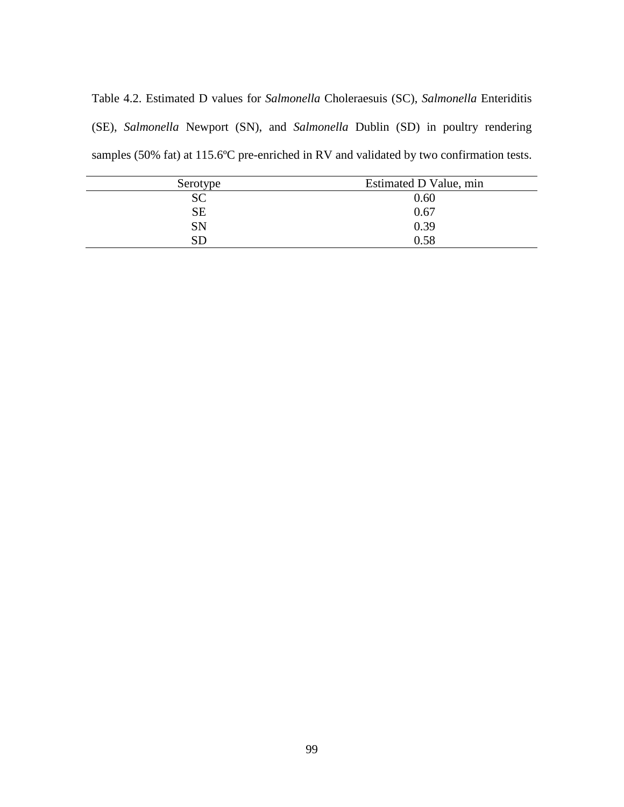Table 4.2. Estimated D values for *Salmonella* Choleraesuis (SC), *Salmonella* Enteriditis (SE), *Salmonella* Newport (SN), and *Salmonella* Dublin (SD) in poultry rendering samples (50% fat) at 115.6ºC pre-enriched in RV and validated by two confirmation tests.

| Serotype   | Estimated D Value, min |
|------------|------------------------|
| <b>SC</b>  | 0.60                   |
| <b>SE</b>  | 0.67                   |
| <b>SN</b>  | 0.39                   |
| ${\rm SD}$ | 0.58                   |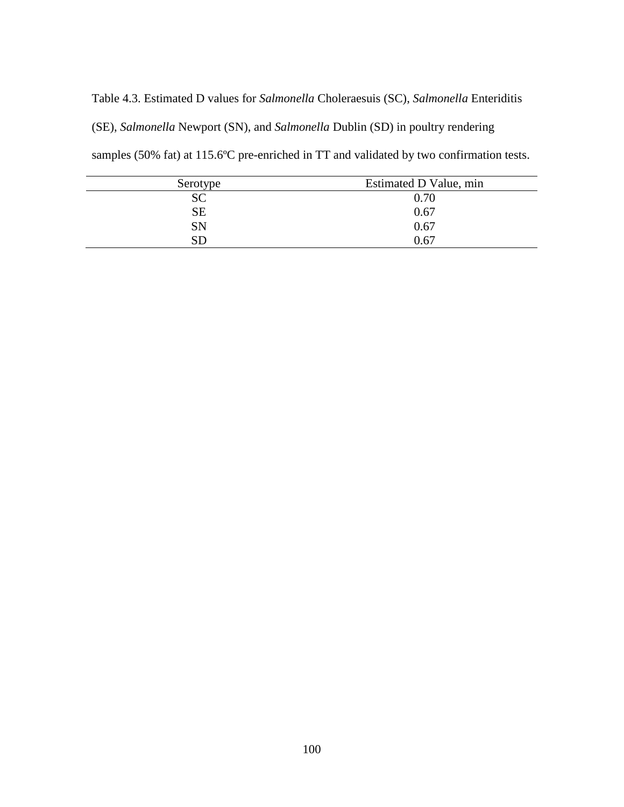Table 4.3. Estimated D values for *Salmonella* Choleraesuis (SC), *Salmonella* Enteriditis (SE), *Salmonella* Newport (SN), and *Salmonella* Dublin (SD) in poultry rendering samples (50% fat) at 115.6ºC pre-enriched in TT and validated by two confirmation tests.

| Serotype   | Estimated D Value, min |
|------------|------------------------|
| <b>SC</b>  | 0.70                   |
| <b>SE</b>  | 0.67                   |
| SN         | 0.67                   |
| ${\rm SD}$ | 0.67                   |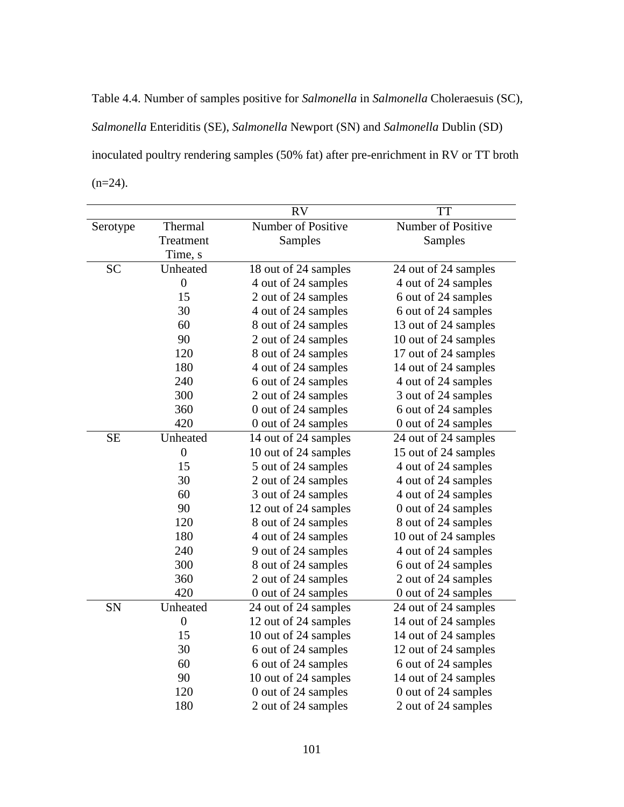Table 4.4. Number of samples positive for *Salmonella* in *Salmonella* Choleraesuis (SC), *Salmonella* Enteriditis (SE), *Salmonella* Newport (SN) and *Salmonella* Dublin (SD) inoculated poultry rendering samples (50% fat) after pre-enrichment in RV or TT broth  $(n=24)$ .

|           |                  | <b>RV</b>            | <b>TT</b>            |
|-----------|------------------|----------------------|----------------------|
| Serotype  | Thermal          | Number of Positive   | Number of Positive   |
|           | Treatment        | Samples              | Samples              |
|           | Time, s          |                      |                      |
| <b>SC</b> | Unheated         | 18 out of 24 samples | 24 out of 24 samples |
|           | $\boldsymbol{0}$ | 4 out of 24 samples  | 4 out of 24 samples  |
|           | 15               | 2 out of 24 samples  | 6 out of 24 samples  |
|           | 30               | 4 out of 24 samples  | 6 out of 24 samples  |
|           | 60               | 8 out of 24 samples  | 13 out of 24 samples |
|           | 90               | 2 out of 24 samples  | 10 out of 24 samples |
|           | 120              | 8 out of 24 samples  | 17 out of 24 samples |
|           | 180              | 4 out of 24 samples  | 14 out of 24 samples |
|           | 240              | 6 out of 24 samples  | 4 out of 24 samples  |
|           | 300              | 2 out of 24 samples  | 3 out of 24 samples  |
|           | 360              | 0 out of 24 samples  | 6 out of 24 samples  |
|           | 420              | 0 out of 24 samples  | 0 out of 24 samples  |
| <b>SE</b> | Unheated         | 14 out of 24 samples | 24 out of 24 samples |
|           | $\overline{0}$   | 10 out of 24 samples | 15 out of 24 samples |
|           | 15               | 5 out of 24 samples  | 4 out of 24 samples  |
|           | 30               | 2 out of 24 samples  | 4 out of 24 samples  |
|           | 60               | 3 out of 24 samples  | 4 out of 24 samples  |
|           | 90               | 12 out of 24 samples | 0 out of 24 samples  |
|           | 120              | 8 out of 24 samples  | 8 out of 24 samples  |
|           | 180              | 4 out of 24 samples  | 10 out of 24 samples |
|           | 240              | 9 out of 24 samples  | 4 out of 24 samples  |
|           | 300              | 8 out of 24 samples  | 6 out of 24 samples  |
|           | 360              | 2 out of 24 samples  | 2 out of 24 samples  |
|           | 420              | 0 out of 24 samples  | 0 out of 24 samples  |
| SN        | Unheated         | 24 out of 24 samples | 24 out of 24 samples |
|           | $\boldsymbol{0}$ | 12 out of 24 samples | 14 out of 24 samples |
|           | 15               | 10 out of 24 samples | 14 out of 24 samples |
|           | 30               | 6 out of 24 samples  | 12 out of 24 samples |
|           | 60               | 6 out of 24 samples  | 6 out of 24 samples  |
|           | 90               | 10 out of 24 samples | 14 out of 24 samples |
|           | 120              | 0 out of 24 samples  | 0 out of 24 samples  |
|           | 180              | 2 out of 24 samples  | 2 out of 24 samples  |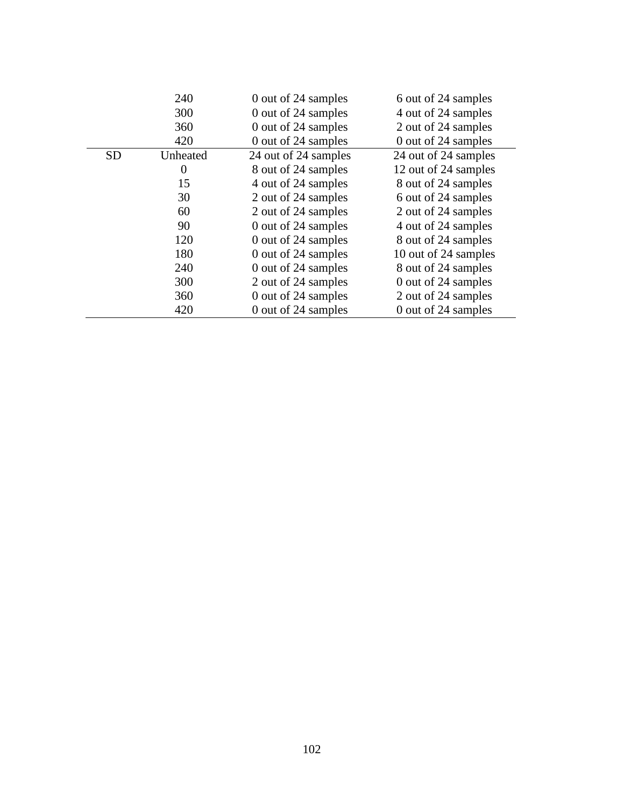|           | 240      | 0 out of 24 samples  | 6 out of 24 samples  |
|-----------|----------|----------------------|----------------------|
|           | 300      | 0 out of 24 samples  | 4 out of 24 samples  |
|           | 360      | 0 out of 24 samples  | 2 out of 24 samples  |
|           | 420      | 0 out of 24 samples  | 0 out of 24 samples  |
| <b>SD</b> | Unheated | 24 out of 24 samples | 24 out of 24 samples |
|           | 0        | 8 out of 24 samples  | 12 out of 24 samples |
|           | 15       | 4 out of 24 samples  | 8 out of 24 samples  |
|           | 30       | 2 out of 24 samples  | 6 out of 24 samples  |
|           | 60       | 2 out of 24 samples  | 2 out of 24 samples  |
|           | 90       | 0 out of 24 samples  | 4 out of 24 samples  |
|           | 120      | 0 out of 24 samples  | 8 out of 24 samples  |
|           | 180      | 0 out of 24 samples  | 10 out of 24 samples |
|           | 240      | 0 out of 24 samples  | 8 out of 24 samples  |
|           | 300      | 2 out of 24 samples  | 0 out of 24 samples  |
|           | 360      | 0 out of 24 samples  | 2 out of 24 samples  |
|           | 420      | 0 out of 24 samples  | 0 out of 24 samples  |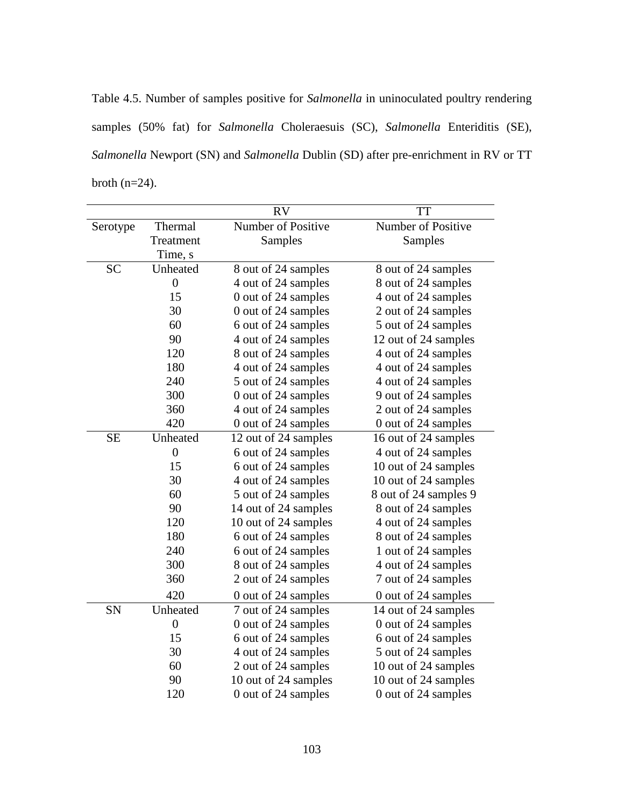Table 4.5. Number of samples positive for *Salmonella* in uninoculated poultry rendering samples (50% fat) for *Salmonella* Choleraesuis (SC), *Salmonella* Enteriditis (SE), *Salmonella* Newport (SN) and *Salmonella* Dublin (SD) after pre-enrichment in RV or TT broth (n=24).

|           |                  | <b>RV</b>                 | <b>TT</b>             |
|-----------|------------------|---------------------------|-----------------------|
| Serotype  | Thermal          | <b>Number of Positive</b> | Number of Positive    |
|           | Treatment        | Samples                   | Samples               |
|           | Time, s          |                           |                       |
| <b>SC</b> | Unheated         | 8 out of 24 samples       | 8 out of 24 samples   |
|           | $\boldsymbol{0}$ | 4 out of 24 samples       | 8 out of 24 samples   |
|           | 15               | 0 out of 24 samples       | 4 out of 24 samples   |
|           | 30               | 0 out of 24 samples       | 2 out of 24 samples   |
|           | 60               | 6 out of 24 samples       | 5 out of 24 samples   |
|           | 90               | 4 out of 24 samples       | 12 out of 24 samples  |
|           | 120              | 8 out of 24 samples       | 4 out of 24 samples   |
|           | 180              | 4 out of 24 samples       | 4 out of 24 samples   |
|           | 240              | 5 out of 24 samples       | 4 out of 24 samples   |
|           | 300              | 0 out of 24 samples       | 9 out of 24 samples   |
|           | 360              | 4 out of 24 samples       | 2 out of 24 samples   |
|           | 420              | 0 out of 24 samples       | 0 out of 24 samples   |
| <b>SE</b> | Unheated         | 12 out of 24 samples      | 16 out of 24 samples  |
|           | $\boldsymbol{0}$ | 6 out of 24 samples       | 4 out of 24 samples   |
|           | 15               | 6 out of 24 samples       | 10 out of 24 samples  |
|           | 30               | 4 out of 24 samples       | 10 out of 24 samples  |
|           | 60               | 5 out of 24 samples       | 8 out of 24 samples 9 |
|           | 90               | 14 out of 24 samples      | 8 out of 24 samples   |
|           | 120              | 10 out of 24 samples      | 4 out of 24 samples   |
|           | 180              | 6 out of 24 samples       | 8 out of 24 samples   |
|           | 240              | 6 out of 24 samples       | 1 out of 24 samples   |
|           | 300              | 8 out of 24 samples       | 4 out of 24 samples   |
|           | 360              | 2 out of 24 samples       | 7 out of 24 samples   |
|           | 420              | 0 out of 24 samples       | 0 out of 24 samples   |
| <b>SN</b> | Unheated         | 7 out of 24 samples       | 14 out of 24 samples  |
|           | $\boldsymbol{0}$ | 0 out of 24 samples       | 0 out of 24 samples   |
|           | 15               | 6 out of 24 samples       | 6 out of 24 samples   |
|           | 30               | 4 out of 24 samples       | 5 out of 24 samples   |
|           | 60               | 2 out of 24 samples       | 10 out of 24 samples  |
|           | 90               | 10 out of 24 samples      | 10 out of 24 samples  |
|           | 120              | 0 out of 24 samples       | 0 out of 24 samples   |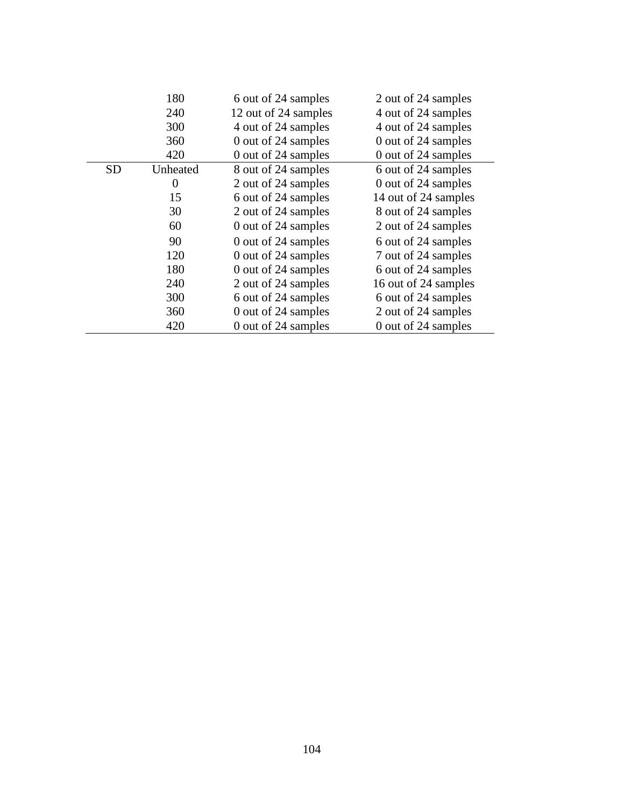|           | 180      | 6 out of 24 samples  | 2 out of 24 samples  |
|-----------|----------|----------------------|----------------------|
|           | 240      | 12 out of 24 samples | 4 out of 24 samples  |
|           | 300      | 4 out of 24 samples  | 4 out of 24 samples  |
|           | 360      | 0 out of 24 samples  | 0 out of 24 samples  |
|           | 420      | 0 out of 24 samples  | 0 out of 24 samples  |
| <b>SD</b> | Unheated | 8 out of 24 samples  | 6 out of 24 samples  |
|           | $\theta$ | 2 out of 24 samples  | 0 out of 24 samples  |
|           | 15       | 6 out of 24 samples  | 14 out of 24 samples |
|           | 30       | 2 out of 24 samples  | 8 out of 24 samples  |
|           | 60       | 0 out of 24 samples  | 2 out of 24 samples  |
|           | 90       | 0 out of 24 samples  | 6 out of 24 samples  |
|           | 120      | 0 out of 24 samples  | 7 out of 24 samples  |
|           | 180      | 0 out of 24 samples  | 6 out of 24 samples  |
|           | 240      | 2 out of 24 samples  | 16 out of 24 samples |
|           | 300      | 6 out of 24 samples  | 6 out of 24 samples  |
|           | 360      | 0 out of 24 samples  | 2 out of 24 samples  |
|           | 420      | 0 out of 24 samples  | 0 out of 24 samples  |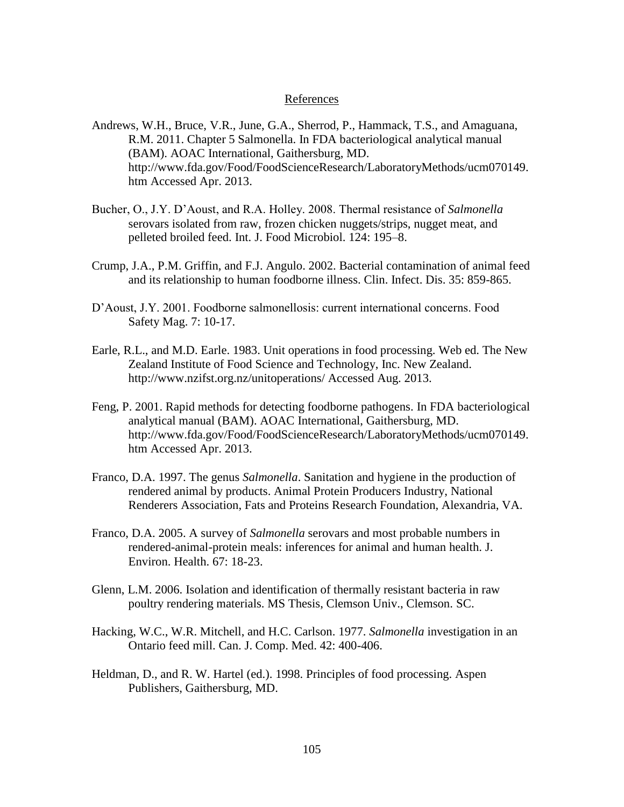## References

- Andrews, W.H., Bruce, V.R., June, G.A., Sherrod, P., Hammack, T.S., and Amaguana, R.M. 2011. Chapter 5 Salmonella. In FDA bacteriological analytical manual (BAM). AOAC International, Gaithersburg, MD. http://www.fda.gov/Food/FoodScienceResearch/LaboratoryMethods/ucm070149. htm Accessed Apr. 2013.
- Bucher, O., J.Y. D'Aoust, and R.A. Holley. 2008. Thermal resistance of *Salmonella* serovars isolated from raw, frozen chicken nuggets/strips, nugget meat, and pelleted broiled feed. Int. J. Food Microbiol. 124: 195–8.
- Crump, J.A., P.M. Griffin, and F.J. Angulo. 2002. Bacterial contamination of animal feed and its relationship to human foodborne illness. Clin. Infect. Dis. 35: 859-865.
- D'Aoust, J.Y. 2001. Foodborne salmonellosis: current international concerns. Food Safety Mag. 7: 10-17.
- Earle, R.L., and M.D. Earle. 1983. Unit operations in food processing. Web ed. The New Zealand Institute of Food Science and Technology, Inc. New Zealand. http://www.nzifst.org.nz/unitoperations/ Accessed Aug. 2013.
- Feng, P. 2001. Rapid methods for detecting foodborne pathogens. In FDA bacteriological analytical manual (BAM). AOAC International, Gaithersburg, MD. http://www.fda.gov/Food/FoodScienceResearch/LaboratoryMethods/ucm070149. htm Accessed Apr. 2013.
- Franco, D.A. 1997. The genus *Salmonella*. Sanitation and hygiene in the production of rendered animal by products. Animal Protein Producers Industry, National Renderers Association, Fats and Proteins Research Foundation, Alexandria, VA.
- Franco, D.A. 2005. A survey of *Salmonella* serovars and most probable numbers in rendered-animal-protein meals: inferences for animal and human health. J. Environ. Health. 67: 18-23.
- Glenn, L.M. 2006. Isolation and identification of thermally resistant bacteria in raw poultry rendering materials. MS Thesis, Clemson Univ., Clemson. SC.
- Hacking, W.C., W.R. Mitchell, and H.C. Carlson. 1977. *Salmonella* investigation in an Ontario feed mill. Can. J. Comp. Med. 42: 400-406.
- Heldman, D., and R. W. Hartel (ed.). 1998. Principles of food processing. Aspen Publishers, Gaithersburg, MD.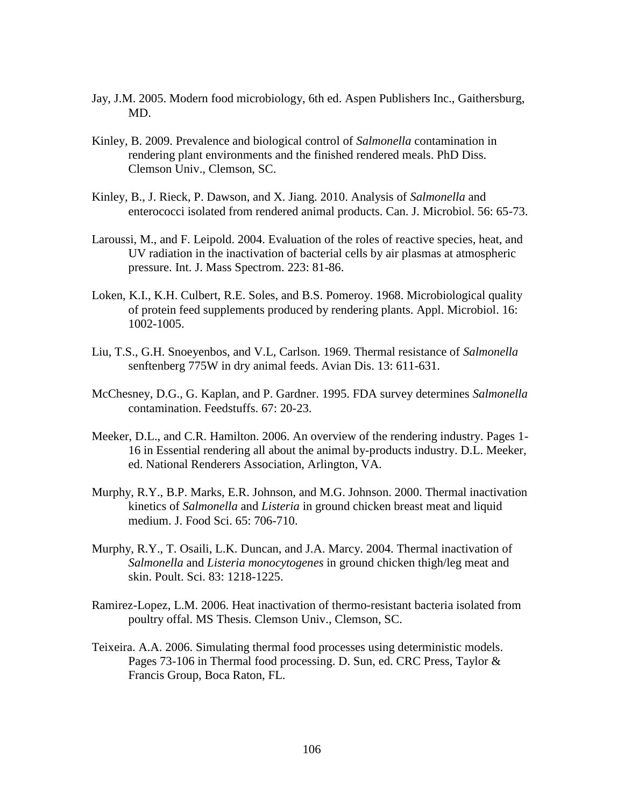- Jay, J.M. 2005. Modern food microbiology, 6th ed. Aspen Publishers Inc., Gaithersburg, MD.
- Kinley, B. 2009. Prevalence and biological control of *Salmonella* contamination in rendering plant environments and the finished rendered meals. PhD Diss. Clemson Univ., Clemson, SC.
- Kinley, B., J. Rieck, P. Dawson, and X. Jiang. 2010. Analysis of *Salmonella* and enterococci isolated from rendered animal products. Can. J. Microbiol. 56: 65-73.
- Laroussi, M., and F. Leipold. 2004. Evaluation of the roles of reactive species, heat, and UV radiation in the inactivation of bacterial cells by air plasmas at atmospheric pressure. Int. J. Mass Spectrom. 223: 81-86.
- Loken, K.I., K.H. Culbert, R.E. Soles, and B.S. Pomeroy. 1968. Microbiological quality of protein feed supplements produced by rendering plants. Appl. Microbiol. 16: 1002-1005.
- Liu, T.S., G.H. Snoeyenbos, and V.L, Carlson. 1969. Thermal resistance of *Salmonella* senftenberg 775W in dry animal feeds. Avian Dis. 13: 611-631.
- McChesney, D.G., G. Kaplan, and P. Gardner. 1995. FDA survey determines *Salmonella* contamination. Feedstuffs. 67: 20-23.
- Meeker, D.L., and C.R. Hamilton. 2006. An overview of the rendering industry. Pages 1- 16 in Essential rendering all about the animal by-products industry. D.L. Meeker, ed. National Renderers Association, Arlington, VA.
- Murphy, R.Y., B.P. Marks, E.R. Johnson, and M.G. Johnson. 2000. Thermal inactivation kinetics of *Salmonella* and *Listeria* in ground chicken breast meat and liquid medium. J. Food Sci. 65: 706-710.
- Murphy, R.Y., T. Osaili, L.K. Duncan, and J.A. Marcy. 2004. Thermal inactivation of *Salmonella* and *Listeria monocytogenes* in ground chicken thigh/leg meat and skin. Poult. Sci. 83: 1218-1225.
- Ramirez-Lopez, L.M. 2006. Heat inactivation of thermo-resistant bacteria isolated from poultry offal. MS Thesis. Clemson Univ., Clemson, SC.
- Teixeira. A.A. 2006. Simulating thermal food processes using deterministic models. Pages 73-106 in Thermal food processing. D. Sun, ed. CRC Press, Taylor & Francis Group, Boca Raton, FL.